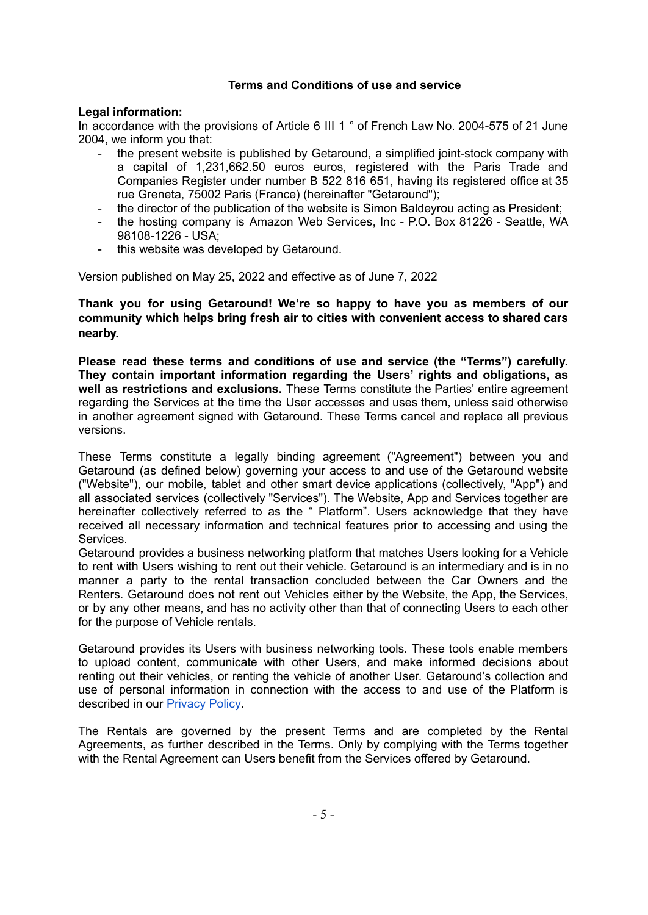#### **Terms and Conditions of use and service**

#### **Legal information:**

In accordance with the provisions of Article 6 III 1 ° of French Law No. 2004-575 of 21 June 2004, we inform you that:

- the present website is published by Getaround, a simplified joint-stock company with a capital of 1,231,662.50 euros euros, registered with the Paris Trade and Companies Register under number B 522 816 651, having its registered office at 35 rue Greneta, 75002 Paris (France) (hereinafter "Getaround");
- the director of the publication of the website is Simon Baldeyrou acting as President;
- the hosting company is Amazon Web Services, Inc P.O. Box 81226 Seattle, WA 98108-1226 - USA;
- this website was developed by Getaround.

Version published on May 25, 2022 and effective as of June 7, 2022

**Thank you for using Getaround! We're so happy to have you as members of our community which helps bring fresh air to cities with convenient access to shared cars nearby.**

**Please read these terms and conditions of use and service (the "Terms") carefully. They contain important information regarding the Users' rights and obligations, as well as restrictions and exclusions.** These Terms constitute the Parties' entire agreement regarding the Services at the time the User accesses and uses them, unless said otherwise in another agreement signed with Getaround. These Terms cancel and replace all previous versions.

These Terms constitute a legally binding agreement ("Agreement") between you and Getaround (as defined below) governing your access to and use of the Getaround website ("Website"), our mobile, tablet and other smart device applications (collectively, "App") and all associated services (collectively "Services"). The Website, App and Services together are hereinafter collectively referred to as the " Platform". Users acknowledge that they have received all necessary information and technical features prior to accessing and using the Services.

Getaround provides a business networking platform that matches Users looking for a Vehicle to rent with Users wishing to rent out their vehicle. Getaround is an intermediary and is in no manner a party to the rental transaction concluded between the Car Owners and the Renters. Getaround does not rent out Vehicles either by the Website, the App, the Services, or by any other means, and has no activity other than that of connecting Users to each other for the purpose of Vehicle rentals.

Getaround provides its Users with business networking tools. These tools enable members to upload content, communicate with other Users, and make informed decisions about renting out their vehicles, or renting the vehicle of another User. Getaround's collection and use of personal information in connection with the access to and use of the Platform is described in our [Privacy](https://en.getaround.com/privacy) Policy.

The Rentals are governed by the present Terms and are completed by the Rental Agreements, as further described in the Terms. Only by complying with the Terms together with the Rental Agreement can Users benefit from the Services offered by Getaround.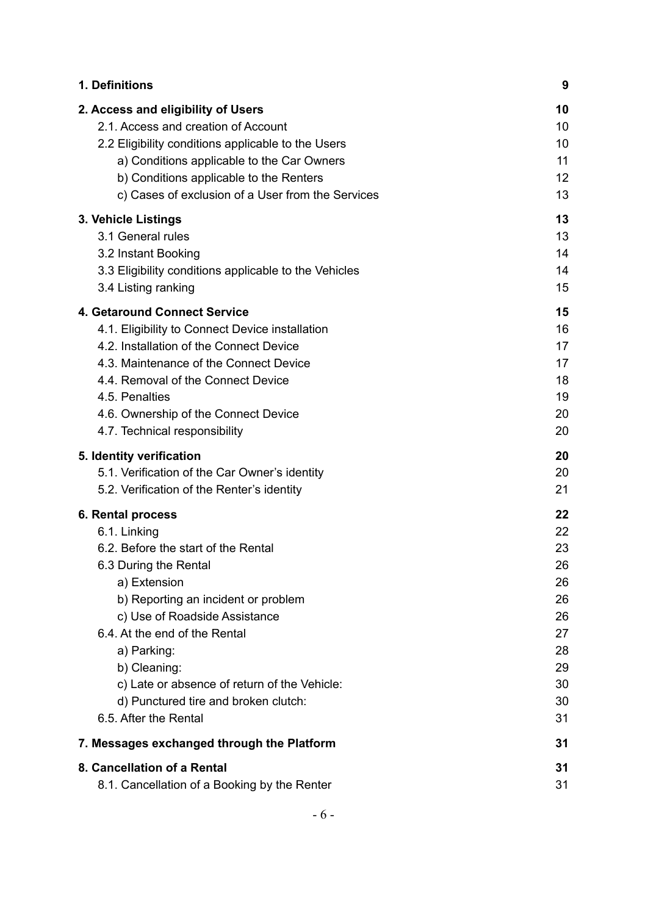| 1. Definitions                                        | 9  |
|-------------------------------------------------------|----|
| 2. Access and eligibility of Users                    | 10 |
| 2.1. Access and creation of Account                   | 10 |
| 2.2 Eligibility conditions applicable to the Users    | 10 |
| a) Conditions applicable to the Car Owners            | 11 |
| b) Conditions applicable to the Renters               | 12 |
| c) Cases of exclusion of a User from the Services     | 13 |
| 3. Vehicle Listings                                   | 13 |
| 3.1 General rules                                     | 13 |
| 3.2 Instant Booking                                   | 14 |
| 3.3 Eligibility conditions applicable to the Vehicles | 14 |
| 3.4 Listing ranking                                   | 15 |
| 4. Getaround Connect Service                          | 15 |
| 4.1. Eligibility to Connect Device installation       | 16 |
| 4.2. Installation of the Connect Device               | 17 |
| 4.3. Maintenance of the Connect Device                | 17 |
| 4.4. Removal of the Connect Device                    | 18 |
| 4.5. Penalties                                        | 19 |
| 4.6. Ownership of the Connect Device                  | 20 |
| 4.7. Technical responsibility                         | 20 |
| 5. Identity verification                              | 20 |
| 5.1. Verification of the Car Owner's identity         | 20 |
| 5.2. Verification of the Renter's identity            | 21 |
| 6. Rental process                                     | 22 |
| 6.1. Linking                                          | 22 |
| 6.2. Before the start of the Rental                   | 23 |
| 6.3 During the Rental                                 | 26 |
| a) Extension                                          | 26 |
| b) Reporting an incident or problem                   | 26 |
| c) Use of Roadside Assistance                         | 26 |
| 6.4. At the end of the Rental                         | 27 |
| a) Parking:                                           | 28 |
| b) Cleaning:                                          | 29 |
| c) Late or absence of return of the Vehicle:          | 30 |
| d) Punctured tire and broken clutch:                  | 30 |
| 6.5. After the Rental                                 | 31 |
| 7. Messages exchanged through the Platform            | 31 |
| 8. Cancellation of a Rental                           | 31 |
| 8.1. Cancellation of a Booking by the Renter          | 31 |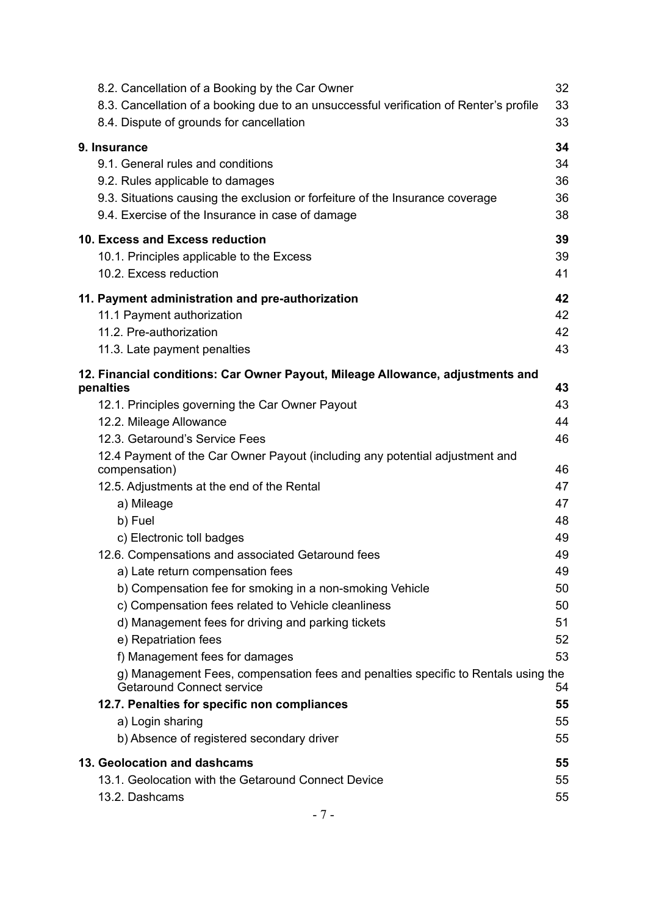| 8.2. Cancellation of a Booking by the Car Owner<br>8.3. Cancellation of a booking due to an unsuccessful verification of Renter's profile<br>8.4. Dispute of grounds for cancellation | 32<br>33<br>33 |
|---------------------------------------------------------------------------------------------------------------------------------------------------------------------------------------|----------------|
| 9. Insurance                                                                                                                                                                          | 34             |
| 9.1. General rules and conditions                                                                                                                                                     | 34             |
| 9.2. Rules applicable to damages                                                                                                                                                      | 36             |
| 9.3. Situations causing the exclusion or forfeiture of the Insurance coverage                                                                                                         | 36             |
| 9.4. Exercise of the Insurance in case of damage                                                                                                                                      | 38             |
| 10. Excess and Excess reduction                                                                                                                                                       | 39             |
| 10.1. Principles applicable to the Excess                                                                                                                                             | 39             |
| 10.2. Excess reduction                                                                                                                                                                | 41             |
| 11. Payment administration and pre-authorization                                                                                                                                      | 42             |
| 11.1 Payment authorization                                                                                                                                                            | 42             |
| 11.2. Pre-authorization                                                                                                                                                               | 42             |
| 11.3. Late payment penalties                                                                                                                                                          | 43             |
| 12. Financial conditions: Car Owner Payout, Mileage Allowance, adjustments and<br>penalties                                                                                           | 43             |
| 12.1. Principles governing the Car Owner Payout                                                                                                                                       | 43             |
| 12.2. Mileage Allowance                                                                                                                                                               | 44             |
| 12.3. Getaround's Service Fees                                                                                                                                                        | 46             |
| 12.4 Payment of the Car Owner Payout (including any potential adjustment and                                                                                                          | 46             |
| compensation)                                                                                                                                                                         | 47             |
| 12.5. Adjustments at the end of the Rental<br>a) Mileage                                                                                                                              | 47             |
| b) Fuel                                                                                                                                                                               | 48             |
| c) Electronic toll badges                                                                                                                                                             | 49             |
| 12.6. Compensations and associated Getaround fees                                                                                                                                     | 49             |
| a) Late return compensation fees                                                                                                                                                      | 49             |
| b) Compensation fee for smoking in a non-smoking Vehicle                                                                                                                              | 50             |
| c) Compensation fees related to Vehicle cleanliness                                                                                                                                   | 50             |
| d) Management fees for driving and parking tickets                                                                                                                                    | 51             |
| e) Repatriation fees                                                                                                                                                                  | 52             |
| f) Management fees for damages                                                                                                                                                        | 53             |
| g) Management Fees, compensation fees and penalties specific to Rentals using the<br><b>Getaround Connect service</b>                                                                 | 54             |
| 12.7. Penalties for specific non compliances                                                                                                                                          | 55             |
| a) Login sharing                                                                                                                                                                      | 55             |
| b) Absence of registered secondary driver                                                                                                                                             | 55             |
| 13. Geolocation and dashcams                                                                                                                                                          | 55             |
| 13.1. Geolocation with the Getaround Connect Device                                                                                                                                   | 55             |
| 13.2. Dashcams                                                                                                                                                                        | 55             |
|                                                                                                                                                                                       |                |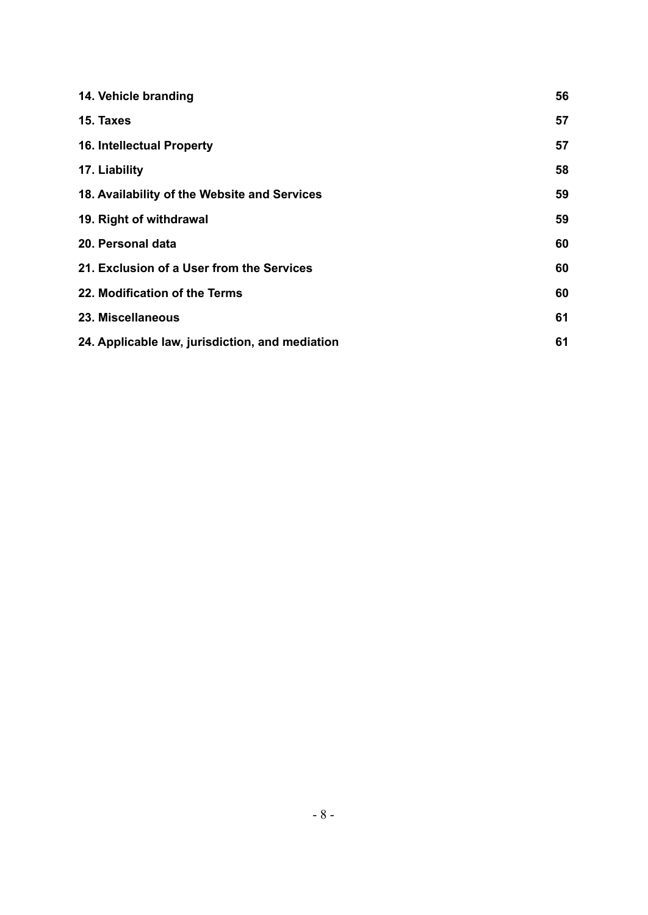| 14. Vehicle branding                            | 56 |
|-------------------------------------------------|----|
| 15. Taxes                                       | 57 |
| <b>16. Intellectual Property</b>                | 57 |
| 17. Liability                                   | 58 |
| 18. Availability of the Website and Services    | 59 |
| 19. Right of withdrawal                         | 59 |
| 20. Personal data                               | 60 |
| 21. Exclusion of a User from the Services       | 60 |
| 22. Modification of the Terms                   | 60 |
| 23. Miscellaneous                               | 61 |
| 24. Applicable law, jurisdiction, and mediation | 61 |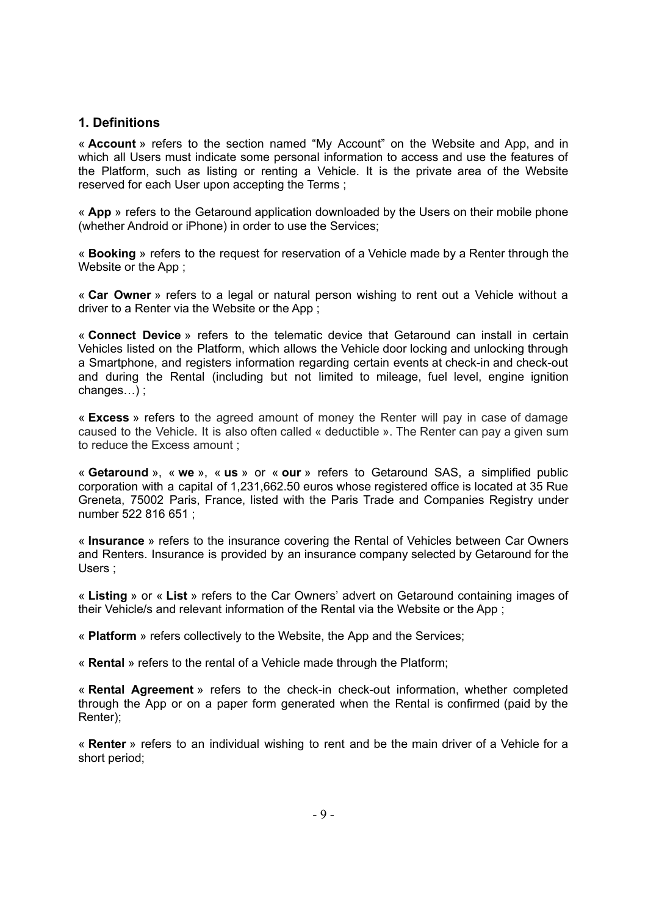## <span id="page-4-0"></span>**1. Definitions**

« **Account** » refers to the section named "My Account" on the Website and App, and in which all Users must indicate some personal information to access and use the features of the Platform, such as listing or renting a Vehicle. It is the private area of the Website reserved for each User upon accepting the Terms ;

« **App** » refers to the Getaround application downloaded by the Users on their mobile phone (whether Android or iPhone) in order to use the Services;

« **Booking** » refers to the request for reservation of a Vehicle made by a Renter through the Website or the App ;

« **Car Owner** » refers to a legal or natural person wishing to rent out a Vehicle without a driver to a Renter via the Website or the App ;

« **Connect Device** » refers to the telematic device that Getaround can install in certain Vehicles listed on the Platform, which allows the Vehicle door locking and unlocking through a Smartphone, and registers information regarding certain events at check-in and check-out and during the Rental (including but not limited to mileage, fuel level, engine ignition changes…) ;

« **Excess** » refers to the agreed amount of money the Renter will pay in case of damage caused to the Vehicle. It is also often called « deductible ». The Renter can pay a given sum to reduce the Excess amount ;

« **Getaround** », « **we** », « **us** » or « **our** » refers to Getaround SAS, a simplified public corporation with a capital of 1,231,662.50 euros whose registered office is located at 35 Rue Greneta, 75002 Paris, France, listed with the Paris Trade and Companies Registry under number 522 816 651 ;

« **Insurance** » refers to the insurance covering the Rental of Vehicles between Car Owners and Renters. Insurance is provided by an insurance company selected by Getaround for the Users ;

« **Listing** » or « **List** » refers to the Car Owners' advert on Getaround containing images of their Vehicle/s and relevant information of the Rental via the Website or the App ;

« **Platform** » refers collectively to the Website, the App and the Services;

« **Rental** » refers to the rental of a Vehicle made through the Platform;

« **Rental Agreement** » refers to the check-in check-out information, whether completed through the App or on a paper form generated when the Rental is confirmed (paid by the Renter);

« **Renter** » refers to an individual wishing to rent and be the main driver of a Vehicle for a short period;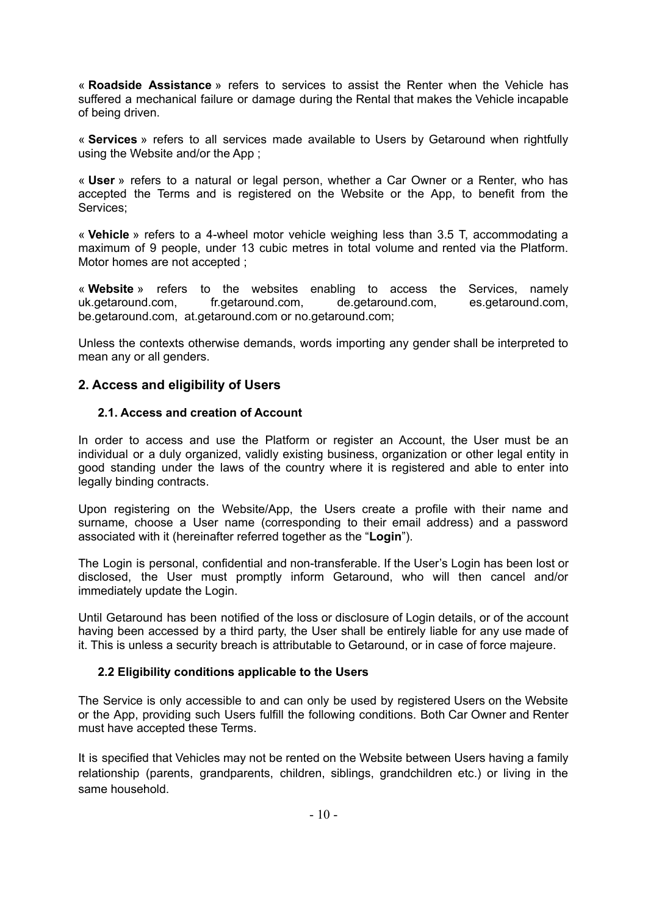« **Roadside Assistance** » refers to services to assist the Renter when the Vehicle has suffered a mechanical failure or damage during the Rental that makes the Vehicle incapable of being driven.

« **Services** » refers to all services made available to Users by Getaround when rightfully using the Website and/or the App ;

« **User** » refers to a natural or legal person, whether a Car Owner or a Renter, who has accepted the Terms and is registered on the Website or the App, to benefit from the Services;

« **Vehicle** » refers to a 4-wheel motor vehicle weighing less than 3.5 T, accommodating a maximum of 9 people, under 13 cubic metres in total volume and rented via the Platform. Motor homes are not accepted ;

« **Website** » refers to the websites enabling to access the Services, namely uk.getaround.com, fr.getaround.com, de.getaround.com, es.getaround.com, be.getaround.com, at.getaround.com or no.getaround.com;

Unless the contexts otherwise demands, words importing any gender shall be interpreted to mean any or all genders.

## <span id="page-5-0"></span>**2. Access and eligibility of Users**

#### <span id="page-5-1"></span>**2.1. Access and creation of Account**

In order to access and use the Platform or register an Account, the User must be an individual or a duly organized, validly existing business, organization or other legal entity in good standing under the laws of the country where it is registered and able to enter into legally binding contracts.

Upon registering on the Website/App, the Users create a profile with their name and surname, choose a User name (corresponding to their email address) and a password associated with it (hereinafter referred together as the "**Login**").

The Login is personal, confidential and non-transferable. If the User's Login has been lost or disclosed, the User must promptly inform Getaround, who will then cancel and/or immediately update the Login.

Until Getaround has been notified of the loss or disclosure of Login details, or of the account having been accessed by a third party, the User shall be entirely liable for any use made of it. This is unless a security breach is attributable to Getaround, or in case of force majeure.

#### <span id="page-5-2"></span>**2.2 Eligibility conditions applicable to the Users**

The Service is only accessible to and can only be used by registered Users on the Website or the App, providing such Users fulfill the following conditions. Both Car Owner and Renter must have accepted these Terms.

It is specified that Vehicles may not be rented on the Website between Users having a family relationship (parents, grandparents, children, siblings, grandchildren etc.) or living in the same household.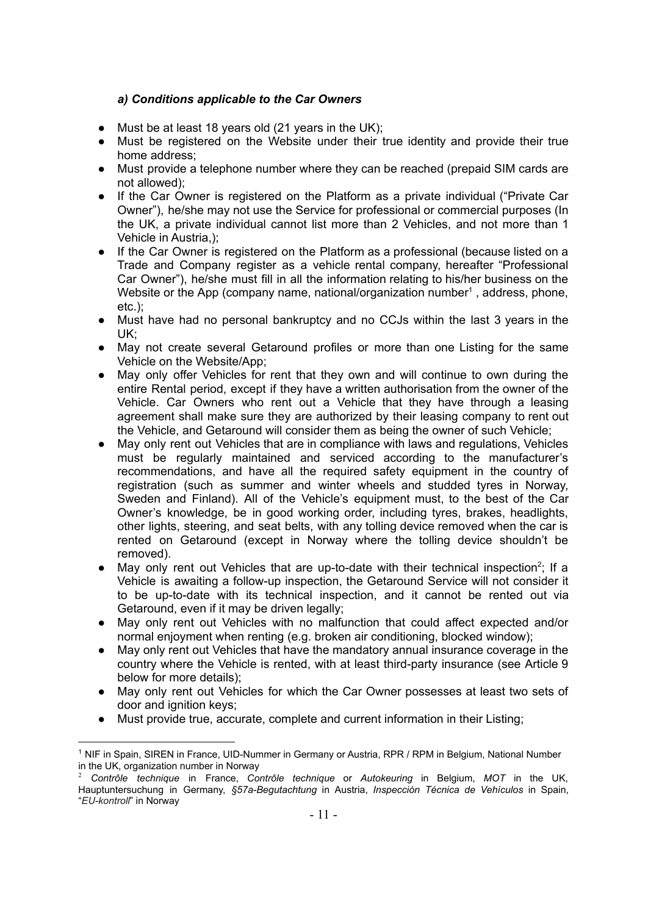### *a) Conditions applicable to the Car Owners*

- <span id="page-6-0"></span>● Must be at least 18 years old (21 years in the UK);
- Must be registered on the Website under their true identity and provide their true home address;
- Must provide a telephone number where they can be reached (prepaid SIM cards are not allowed);
- If the Car Owner is registered on the Platform as a private individual ("Private Car Owner"), he/she may not use the Service for professional or commercial purposes (In the UK, a private individual cannot list more than 2 Vehicles, and not more than 1 Vehicle in Austria,);
- If the Car Owner is registered on the Platform as a professional (because listed on a Trade and Company register as a vehicle rental company, hereafter "Professional Car Owner"), he/she must fill in all the information relating to his/her business on the Website or the App (company name, national/organization number<sup>1</sup>, address, phone, etc.);
- Must have had no personal bankruptcy and no CCJs within the last 3 years in the UK;
- May not create several Getaround profiles or more than one Listing for the same Vehicle on the Website/App;
- May only offer Vehicles for rent that they own and will continue to own during the entire Rental period, except if they have a written authorisation from the owner of the Vehicle. Car Owners who rent out a Vehicle that they have through a leasing agreement shall make sure they are authorized by their leasing company to rent out the Vehicle, and Getaround will consider them as being the owner of such Vehicle;
- May only rent out Vehicles that are in compliance with laws and regulations, Vehicles must be regularly maintained and serviced according to the manufacturer's recommendations, and have all the required safety equipment in the country of registration (such as summer and winter wheels and studded tyres in Norway, Sweden and Finland). All of the Vehicle's equipment must, to the best of the Car Owner's knowledge, be in good working order, including tyres, brakes, headlights, other lights, steering, and seat belts, with any tolling device removed when the car is rented on Getaround (except in Norway where the tolling device shouldn't be removed).
- May only rent out Vehicles that are up-to-date with their technical inspection<sup>2</sup>; If a Vehicle is awaiting a follow-up inspection, the Getaround Service will not consider it to be up-to-date with its technical inspection, and it cannot be rented out via Getaround, even if it may be driven legally;
- May only rent out Vehicles with no malfunction that could affect expected and/or normal enjoyment when renting (e.g. broken air conditioning, blocked window);
- May only rent out Vehicles that have the mandatory annual insurance coverage in the country where the Vehicle is rented, with at least third-party insurance (see Article 9 below for more details);
- May only rent out Vehicles for which the Car Owner possesses at least two sets of door and ignition keys:
- Must provide true, accurate, complete and current information in their Listing;

<sup>&</sup>lt;sup>1</sup> NIF in Spain, SIREN in France, UID-Nummer in Germany or Austria, RPR / RPM in Belgium, National Number in the UK, organization number in Norway

<sup>2</sup> *Contrôle technique* in France, *Contrôle technique* or *Autokeuring* in Belgium, *MOT* in the UK, Hauptuntersuchung in Germany, *§57a-Begutachtung* in Austria, *[Inspección](http://www.dgt.es/es/seguridad-vial/centros-colaboradores/itvs/) Técnica de Vehículos* in Spain, "*EU-kontroll*" in Norway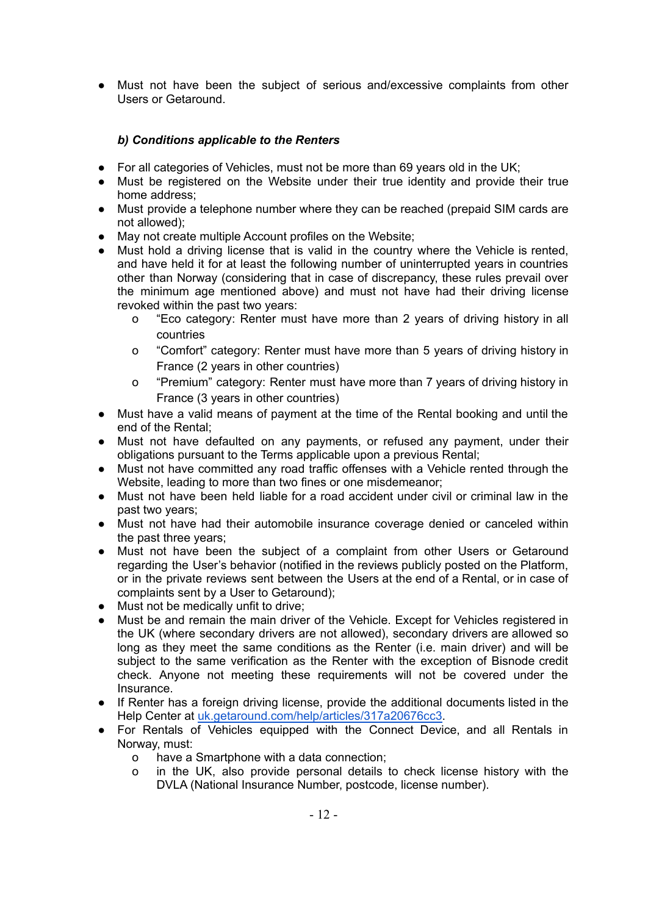● Must not have been the subject of serious and/excessive complaints from other Users or Getaround.

## *b) Conditions applicable to the Renters*

- <span id="page-7-0"></span>• For all categories of Vehicles, must not be more than 69 years old in the UK;
- Must be registered on the Website under their true identity and provide their true home address;
- Must provide a telephone number where they can be reached (prepaid SIM cards are not allowed);
- May not create multiple Account profiles on the Website;
- Must hold a driving license that is valid in the country where the Vehicle is rented, and have held it for at least the following number of uninterrupted years in countries other than Norway (considering that in case of discrepancy, these rules prevail over the minimum age mentioned above) and must not have had their driving license revoked within the past two years:
	- o "Eco category: Renter must have more than 2 years of driving history in all countries
	- o "Comfort" category: Renter must have more than 5 years of driving history in France (2 years in other countries)
	- o "Premium" category: Renter must have more than 7 years of driving history in France (3 years in other countries)
- Must have a valid means of payment at the time of the Rental booking and until the end of the Rental;
- Must not have defaulted on any payments, or refused any payment, under their obligations pursuant to the Terms applicable upon a previous Rental;
- Must not have committed any road traffic offenses with a Vehicle rented through the Website, leading to more than two fines or one misdemeanor;
- Must not have been held liable for a road accident under civil or criminal law in the past two years;
- Must not have had their automobile insurance coverage denied or canceled within the past three years;
- Must not have been the subject of a complaint from other Users or Getaround regarding the User's behavior (notified in the reviews publicly posted on the Platform, or in the private reviews sent between the Users at the end of a Rental, or in case of complaints sent by a User to Getaround);
- Must not be medically unfit to drive;
- Must be and remain the main driver of the Vehicle. Except for Vehicles registered in the UK (where secondary drivers are not allowed), secondary drivers are allowed so long as they meet the same conditions as the Renter (i.e. main driver) and will be subject to the same verification as the Renter with the exception of Bisnode credit check. Anyone not meeting these requirements will not be covered under the Insurance.
- If Renter has a foreign driving license, provide the additional documents listed in the Help Center at [uk.getaround.com/help/articles/317a20676cc3.](http://uk.getaround.com/help/articles/317a20676cc3)
- For Rentals of Vehicles equipped with the Connect Device, and all Rentals in Norway, must:
	- o have a Smartphone with a data connection;
	- o in the UK, also provide personal details to check license history with the DVLA (National Insurance Number, postcode, license number).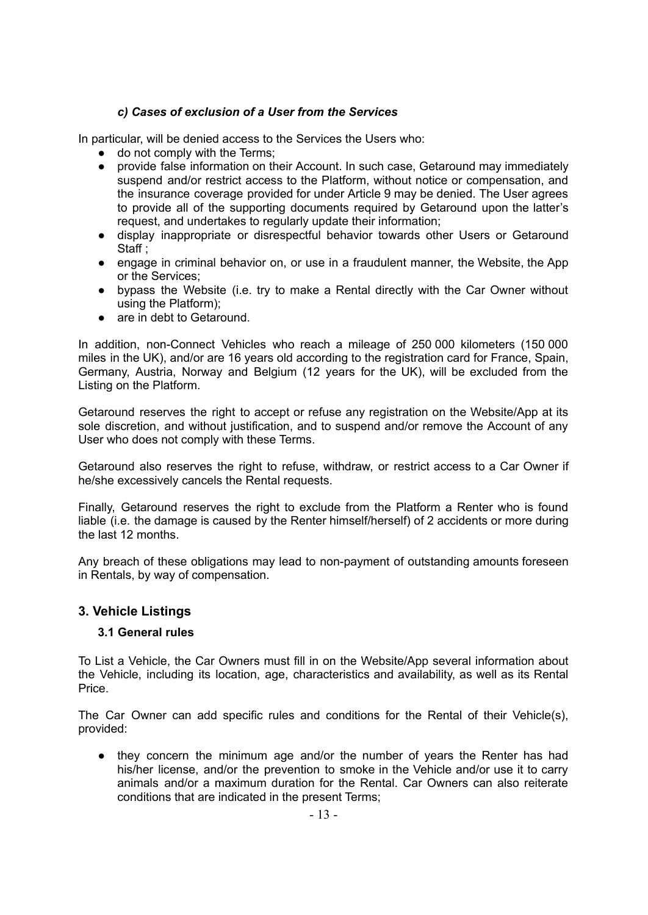## *c) Cases of exclusion of a User from the Services*

<span id="page-8-0"></span>In particular, will be denied access to the Services the Users who:

- do not comply with the Terms;
- provide false information on their Account. In such case, Getaround may immediately suspend and/or restrict access to the Platform, without notice or compensation, and the insurance coverage provided for under Article 9 may be denied. The User agrees to provide all of the supporting documents required by Getaround upon the latter's request, and undertakes to regularly update their information;
- display inappropriate or disrespectful behavior towards other Users or Getaround Staff:
- engage in criminal behavior on, or use in a fraudulent manner, the Website, the App or the Services;
- bypass the Website (i.e. try to make a Rental directly with the Car Owner without using the Platform);
- are in debt to Getaround.

In addition, non-Connect Vehicles who reach a mileage of 250 000 kilometers (150 000 miles in the UK), and/or are 16 years old according to the registration card for France, Spain, Germany, Austria, Norway and Belgium (12 years for the UK), will be excluded from the Listing on the Platform.

Getaround reserves the right to accept or refuse any registration on the Website/App at its sole discretion, and without justification, and to suspend and/or remove the Account of any User who does not comply with these Terms.

Getaround also reserves the right to refuse, withdraw, or restrict access to a Car Owner if he/she excessively cancels the Rental requests.

Finally, Getaround reserves the right to exclude from the Platform a Renter who is found liable (i.e. the damage is caused by the Renter himself/herself) of 2 accidents or more during the last 12 months.

Any breach of these obligations may lead to non-payment of outstanding amounts foreseen in Rentals, by way of compensation.

## <span id="page-8-2"></span><span id="page-8-1"></span>**3. Vehicle Listings**

#### **3.1 General rules**

To List a Vehicle, the Car Owners must fill in on the Website/App several information about the Vehicle, including its location, age, characteristics and availability, as well as its Rental Price.

The Car Owner can add specific rules and conditions for the Rental of their Vehicle(s), provided:

they concern the minimum age and/or the number of years the Renter has had his/her license, and/or the prevention to smoke in the Vehicle and/or use it to carry animals and/or a maximum duration for the Rental. Car Owners can also reiterate conditions that are indicated in the present Terms;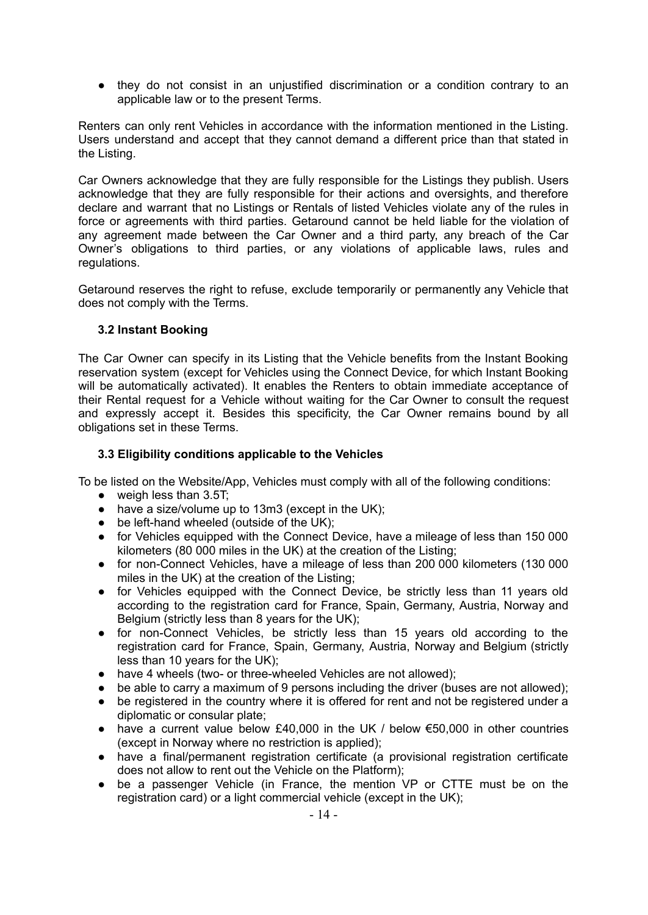● they do not consist in an unjustified discrimination or a condition contrary to an applicable law or to the present Terms.

Renters can only rent Vehicles in accordance with the information mentioned in the Listing. Users understand and accept that they cannot demand a different price than that stated in the Listing.

Car Owners acknowledge that they are fully responsible for the Listings they publish. Users acknowledge that they are fully responsible for their actions and oversights, and therefore declare and warrant that no Listings or Rentals of listed Vehicles violate any of the rules in force or agreements with third parties. Getaround cannot be held liable for the violation of any agreement made between the Car Owner and a third party, any breach of the Car Owner's obligations to third parties, or any violations of applicable laws, rules and regulations.

Getaround reserves the right to refuse, exclude temporarily or permanently any Vehicle that does not comply with the Terms.

#### <span id="page-9-0"></span>**3.2 Instant Booking**

The Car Owner can specify in its Listing that the Vehicle benefits from the Instant Booking reservation system (except for Vehicles using the Connect Device, for which Instant Booking will be automatically activated). It enables the Renters to obtain immediate acceptance of their Rental request for a Vehicle without waiting for the Car Owner to consult the request and expressly accept it. Besides this specificity, the Car Owner remains bound by all obligations set in these Terms.

### <span id="page-9-1"></span>**3.3 Eligibility conditions applicable to the Vehicles**

To be listed on the Website/App, Vehicles must comply with all of the following conditions:

- weigh less than 3.5T;
- have a size/volume up to 13m3 (except in the UK);
- be left-hand wheeled (outside of the UK);
- for Vehicles equipped with the Connect Device, have a mileage of less than 150 000 kilometers (80 000 miles in the UK) at the creation of the Listing;
- for non-Connect Vehicles, have a mileage of less than 200 000 kilometers (130 000 miles in the UK) at the creation of the Listing;
- for Vehicles equipped with the Connect Device, be strictly less than 11 years old according to the registration card for France, Spain, Germany, Austria, Norway and Belgium (strictly less than 8 years for the UK);
- for non-Connect Vehicles, be strictly less than 15 years old according to the registration card for France, Spain, Germany, Austria, Norway and Belgium (strictly less than 10 years for the UK);
- have 4 wheels (two- or three-wheeled Vehicles are not allowed);
- be able to carry a maximum of 9 persons including the driver (buses are not allowed):
- be registered in the country where it is offered for rent and not be registered under a diplomatic or consular plate;
- have a current value below £40,000 in the UK / below  $€50,000$  in other countries (except in Norway where no restriction is applied);
- have a final/permanent registration certificate (a provisional registration certificate does not allow to rent out the Vehicle on the Platform);
- be a passenger Vehicle (in France, the mention VP or CTTE must be on the registration card) or a light commercial vehicle (except in the UK);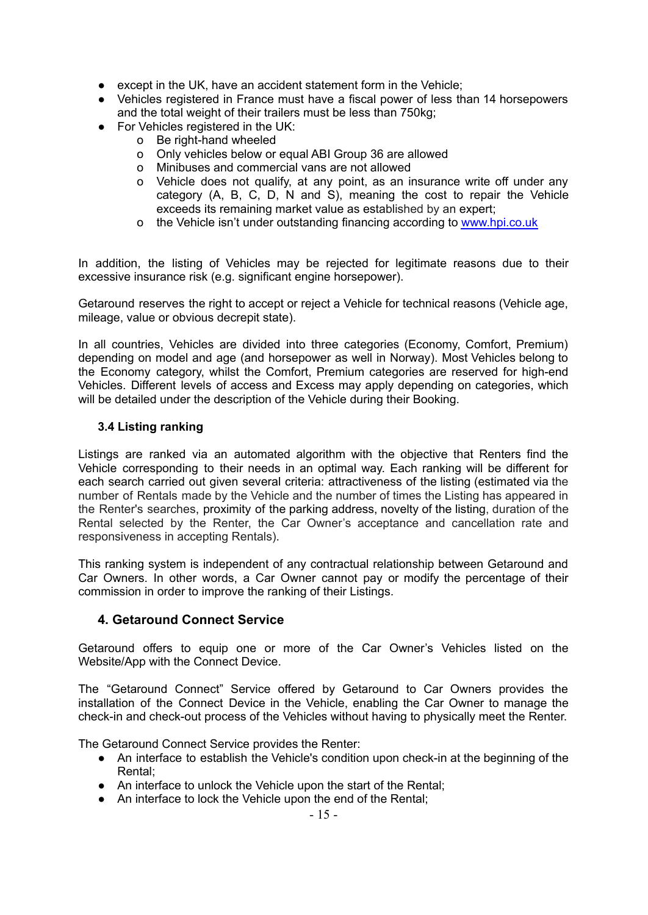- except in the UK, have an accident statement form in the Vehicle;
- Vehicles registered in France must have a fiscal power of less than 14 horsepowers and the total weight of their trailers must be less than 750kg;
- For Vehicles registered in the UK:
	- o Be right-hand wheeled
	- o Only vehicles below or equal ABI Group 36 are allowed
	- o Minibuses and commercial vans are not allowed
	- o Vehicle does not qualify, at any point, as an insurance write off under any category (A, B, C, D, N and S), meaning the cost to repair the Vehicle exceeds its remaining market value as established by an expert;
	- o the Vehicle isn't under outstanding financing according to [www.hpi.co.uk](http://www.hpi.co.uk)

In addition, the listing of Vehicles may be rejected for legitimate reasons due to their excessive insurance risk (e.g. significant engine horsepower).

Getaround reserves the right to accept or reject a Vehicle for technical reasons (Vehicle age, mileage, value or obvious decrepit state).

In all countries, Vehicles are divided into three categories (Economy, Comfort, Premium) depending on model and age (and horsepower as well in Norway). Most Vehicles belong to the Economy category, whilst the Comfort, Premium categories are reserved for high-end Vehicles. Different levels of access and Excess may apply depending on categories, which will be detailed under the description of the Vehicle during their Booking.

#### <span id="page-10-0"></span>**3.4 Listing ranking**

Listings are ranked via an automated algorithm with the objective that Renters find the Vehicle corresponding to their needs in an optimal way. Each ranking will be different for each search carried out given several criteria: attractiveness of the listing (estimated via the number of Rentals made by the Vehicle and the number of times the Listing has appeared in the Renter's searches, proximity of the parking address, novelty of the listing, duration of the Rental selected by the Renter, the Car Owner's acceptance and cancellation rate and responsiveness in accepting Rentals).

This ranking system is independent of any contractual relationship between Getaround and Car Owners. In other words, a Car Owner cannot pay or modify the percentage of their commission in order to improve the ranking of their Listings.

#### <span id="page-10-1"></span>**4. Getaround Connect Service**

Getaround offers to equip one or more of the Car Owner's Vehicles listed on the Website/App with the Connect Device.

The "Getaround Connect" Service offered by Getaround to Car Owners provides the installation of the Connect Device in the Vehicle, enabling the Car Owner to manage the check-in and check-out process of the Vehicles without having to physically meet the Renter.

The Getaround Connect Service provides the Renter:

- An interface to establish the Vehicle's condition upon check-in at the beginning of the Rental;
- An interface to unlock the Vehicle upon the start of the Rental;
- An interface to lock the Vehicle upon the end of the Rental;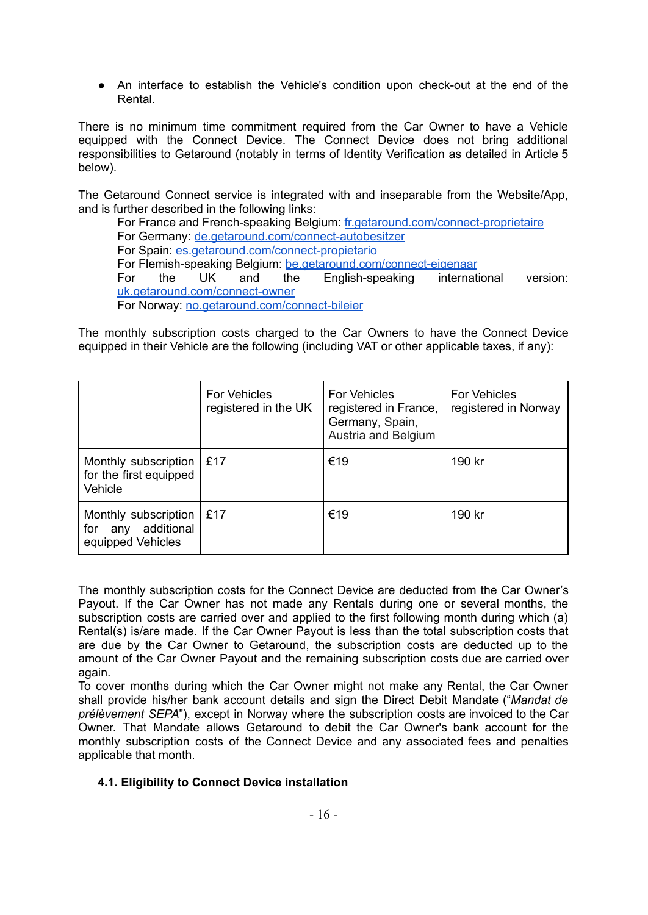● An interface to establish the Vehicle's condition upon check-out at the end of the Rental.

There is no minimum time commitment required from the Car Owner to have a Vehicle equipped with the Connect Device. The Connect Device does not bring additional responsibilities to Getaround (notably in terms of Identity Verification as detailed in Article 5 below).

The Getaround Connect service is integrated with and inseparable from the Website/App, and is further described in the following links:

For France and French-speaking Belgium: [fr.getaround.com/connect-proprietaire](http://fr.getaround.com/connect-proprietaire) For Germany: [de.getaround.com/connect-autobesitzer](http://de.getaround.com/connect-autobesitzer) For [Spain](https://www.drivy.com/open)[:](https://www.drivy.de/open-autobesitzer) [es.getaround.com/connect-propietario](http://es.getaround.com/connect-propietario) For Flemish-speaking Belgium: [be.getaround.com/connect-eigenaar](http://be.getaround.com/connect-eigenaar) For the UK and the English-speaking international version: [uk.getaround.com/connect-owner](https://uk.getaround.com/connect-owner) For Norway: [no.getaround.com/connect-bileier](http://no.getaround.com/connect-bileier)

The monthly subscription costs charged to the Car Owners to have the Connect Device equipped in their Vehicle are the following (including VAT or other applicable taxes, if any):

|                                                                       | For Vehicles<br>registered in the UK | For Vehicles<br>registered in France,<br>Germany, Spain,<br>Austria and Belgium | <b>For Vehicles</b><br>registered in Norway |
|-----------------------------------------------------------------------|--------------------------------------|---------------------------------------------------------------------------------|---------------------------------------------|
| Monthly subscription   £17<br>for the first equipped<br>Vehicle       |                                      | €19                                                                             | 190 kr                                      |
| Monthly subscription<br>additional<br>for<br>any<br>equipped Vehicles | £17                                  | €19                                                                             | 190 kr                                      |

The monthly subscription costs for the Connect Device are deducted from the Car Owner's Payout. If the Car Owner has not made any Rentals during one or several months, the subscription costs are carried over and applied to the first following month during which (a) Rental(s) is/are made. If the Car Owner Payout is less than the total subscription costs that are due by the Car Owner to Getaround, the subscription costs are deducted up to the amount of the Car Owner Payout and the remaining subscription costs due are carried over again.

To cover months during which the Car Owner might not make any Rental, the Car Owner shall provide his/her bank account details and sign the Direct Debit Mandate ("*Mandat de prélèvement SEPA*"), except in Norway where the subscription costs are invoiced to the Car Owner. That Mandate allows Getaround to debit the Car Owner's bank account for the monthly subscription costs of the Connect Device and any associated fees and penalties applicable that month.

#### <span id="page-11-0"></span>**4.1. Eligibility to Connect Device installation**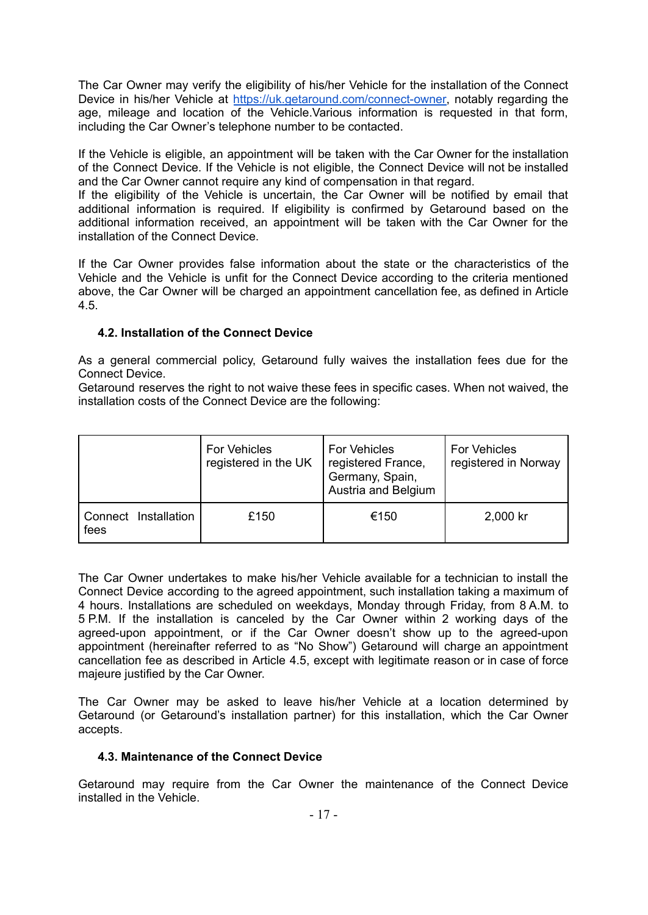The Car Owner may verify the eligibility of his/her Vehicle for the installation of the Connect Device in his/her Vehicle at [https://uk.getaround.com/connect-owner,](https://uk.getaround.com/connect-owner) notably regarding the age, mileage and location of the Vehicle.Various information is requested in that form, including the Car Owner's telephone number to be contacted.

If the Vehicle is eligible, an appointment will be taken with the Car Owner for the installation of the Connect Device. If the Vehicle is not eligible, the Connect Device will not be installed and the Car Owner cannot require any kind of compensation in that regard.

If the eligibility of the Vehicle is uncertain, the Car Owner will be notified by email that additional information is required. If eligibility is confirmed by Getaround based on the additional information received, an appointment will be taken with the Car Owner for the installation of the Connect Device.

If the Car Owner provides false information about the state or the characteristics of the Vehicle and the Vehicle is unfit for the Connect Device according to the criteria mentioned above, the Car Owner will be charged an appointment cancellation fee, as defined in Article 4.5.

## <span id="page-12-0"></span>**4.2. Installation of the Connect Device**

As a general commercial policy, Getaround fully waives the installation fees due for the Connect Device.

Getaround reserves the right to not waive these fees in specific cases. When not waived, the installation costs of the Connect Device are the following:

|                              | For Vehicles<br>registered in the UK | <b>For Vehicles</b><br>registered France,<br>Germany, Spain,<br>Austria and Belgium | <b>For Vehicles</b><br>registered in Norway |
|------------------------------|--------------------------------------|-------------------------------------------------------------------------------------|---------------------------------------------|
| Connect Installation<br>fees | £150                                 | €150                                                                                | 2,000 kr                                    |

The Car Owner undertakes to make his/her Vehicle available for a technician to install the Connect Device according to the agreed appointment, such installation taking a maximum of 4 hours. Installations are scheduled on weekdays, Monday through Friday, from 8 A.M. to 5 P.M. If the installation is canceled by the Car Owner within 2 working days of the agreed-upon appointment, or if the Car Owner doesn't show up to the agreed-upon appointment (hereinafter referred to as "No Show") Getaround will charge an appointment cancellation fee as described in Article 4.5, except with legitimate reason or in case of force majeure justified by the Car Owner.

The Car Owner may be asked to leave his/her Vehicle at a location determined by Getaround (or Getaround's installation partner) for this installation, which the Car Owner accepts.

#### <span id="page-12-1"></span>**4.3. Maintenance of the Connect Device**

Getaround may require from the Car Owner the maintenance of the Connect Device installed in the Vehicle.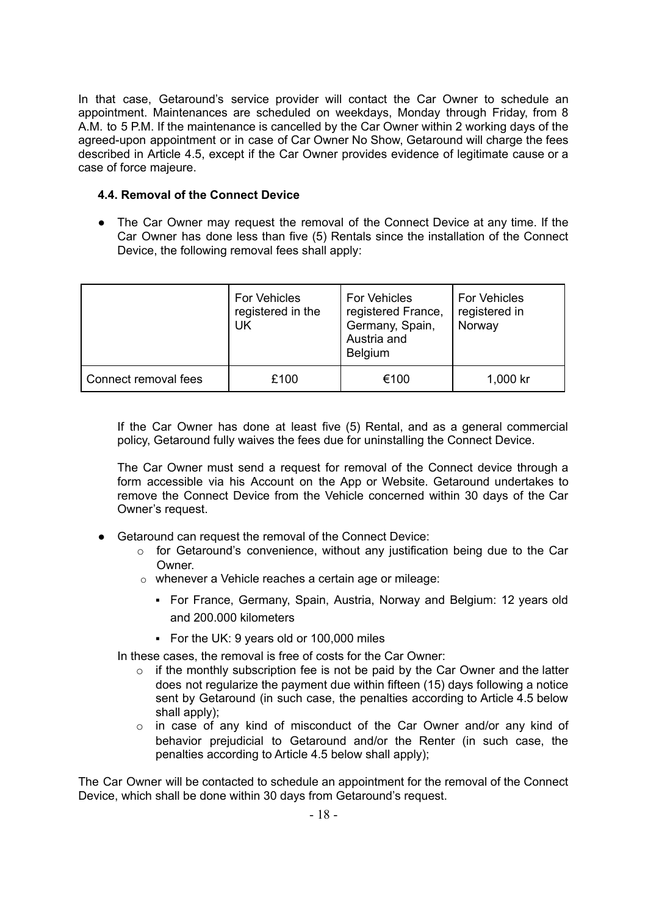In that case, Getaround's service provider will contact the Car Owner to schedule an appointment. Maintenances are scheduled on weekdays, Monday through Friday, from 8 A.M. to 5 P.M. If the maintenance is cancelled by the Car Owner within 2 working days of the agreed-upon appointment or in case of Car Owner No Show, Getaround will charge the fees described in Article 4.5, except if the Car Owner provides evidence of legitimate cause or a case of force majeure.

#### <span id="page-13-0"></span>**4.4. Removal of the Connect Device**

• The Car Owner may request the removal of the Connect Device at any time. If the Car Owner has done less than five (5) Rentals since the installation of the Connect Device, the following removal fees shall apply:

|                      | For Vehicles<br>registered in the<br>UK | For Vehicles<br>registered France,<br>Germany, Spain,<br>Austria and<br><b>Belgium</b> | For Vehicles<br>registered in<br>Norway |
|----------------------|-----------------------------------------|----------------------------------------------------------------------------------------|-----------------------------------------|
| Connect removal fees | £100                                    | €100                                                                                   | 1,000 kr                                |

If the Car Owner has done at least five (5) Rental, and as a general commercial policy, Getaround fully waives the fees due for uninstalling the Connect Device.

The Car Owner must send a request for removal of the Connect device through a form accessible via his Account on the App or Website. Getaround undertakes to remove the Connect Device from the Vehicle concerned within 30 days of the Car Owner's request.

- Getaround can request the removal of the Connect Device:
	- o for Getaround's convenience, without any justification being due to the Car **Owner**
	- o whenever a Vehicle reaches a certain age or mileage:
		- For France, Germany, Spain, Austria, Norway and Belgium: 12 years old and 200.000 kilometers
		- For the UK: 9 years old or 100,000 miles

In these cases, the removal is free of costs for the Car Owner:

- $\circ$  if the monthly subscription fee is not be paid by the Car Owner and the latter does not regularize the payment due within fifteen (15) days following a notice sent by Getaround (in such case, the penalties according to Article 4.5 below shall apply);
- o in case of any kind of misconduct of the Car Owner and/or any kind of behavior prejudicial to Getaround and/or the Renter (in such case, the penalties according to Article 4.5 below shall apply);

The Car Owner will be contacted to schedule an appointment for the removal of the Connect Device, which shall be done within 30 days from Getaround's request.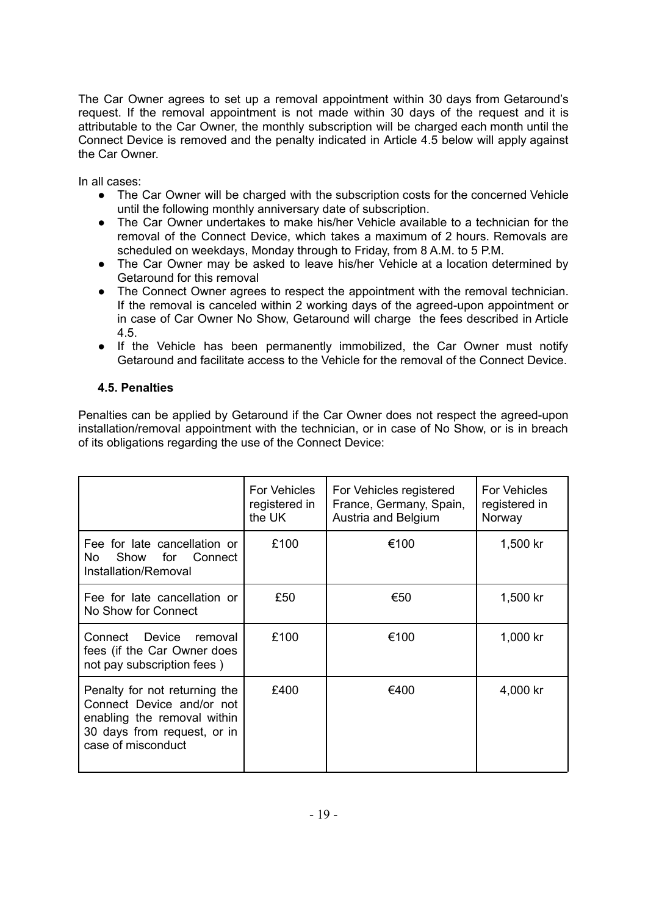The Car Owner agrees to set up a removal appointment within 30 days from Getaround's request. If the removal appointment is not made within 30 days of the request and it is attributable to the Car Owner, the monthly subscription will be charged each month until the Connect Device is removed and the penalty indicated in Article 4.5 below will apply against the Car Owner.

In all cases:

- The Car Owner will be charged with the subscription costs for the concerned Vehicle until the following monthly anniversary date of subscription.
- The Car Owner undertakes to make his/her Vehicle available to a technician for the removal of the Connect Device, which takes a maximum of 2 hours. Removals are scheduled on weekdays, Monday through to Friday, from 8 A.M. to 5 P.M.
- The Car Owner may be asked to leave his/her Vehicle at a location determined by Getaround for this removal
- The Connect Owner agrees to respect the appointment with the removal technician. If the removal is canceled within 2 working days of the agreed-upon appointment or in case of Car Owner No Show, Getaround will charge the fees described in Article 4.5.
- If the Vehicle has been permanently immobilized, the Car Owner must notify Getaround and facilitate access to the Vehicle for the removal of the Connect Device.

## <span id="page-14-0"></span>**4.5. Penalties**

Penalties can be applied by Getaround if the Car Owner does not respect the agreed-upon installation/removal appointment with the technician, or in case of No Show, or is in breach of its obligations regarding the use of the Connect Device:

|                                                                                                                                                | <b>For Vehicles</b><br>registered in<br>the UK | For Vehicles registered<br>France, Germany, Spain,<br>Austria and Belgium | <b>For Vehicles</b><br>registered in<br>Norway |
|------------------------------------------------------------------------------------------------------------------------------------------------|------------------------------------------------|---------------------------------------------------------------------------|------------------------------------------------|
| Fee for late cancellation or<br>Show for Connect<br>No.<br>Installation/Removal                                                                | £100                                           | €100                                                                      | 1,500 kr                                       |
| Fee for late cancellation or<br>No Show for Connect                                                                                            | £50                                            | €50                                                                       | 1,500 kr                                       |
| Connect Device removal<br>fees (if the Car Owner does<br>not pay subscription fees)                                                            | £100                                           | €100                                                                      | 1,000 kr                                       |
| Penalty for not returning the<br>Connect Device and/or not<br>enabling the removal within<br>30 days from request, or in<br>case of misconduct | £400                                           | €400                                                                      | 4,000 kr                                       |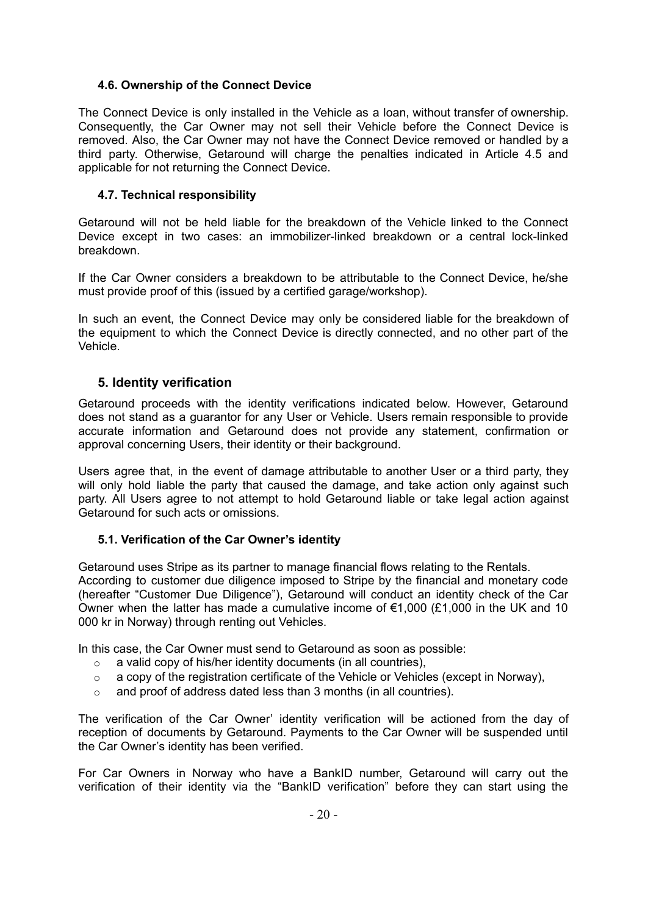### <span id="page-15-0"></span>**4.6. Ownership of the Connect Device**

The Connect Device is only installed in the Vehicle as a loan, without transfer of ownership. Consequently, the Car Owner may not sell their Vehicle before the Connect Device is removed. Also, the Car Owner may not have the Connect Device removed or handled by a third party. Otherwise, Getaround will charge the penalties indicated in Article 4.5 and applicable for not returning the Connect Device.

## <span id="page-15-1"></span>**4.7. Technical responsibility**

Getaround will not be held liable for the breakdown of the Vehicle linked to the Connect Device except in two cases: an immobilizer-linked breakdown or a central lock-linked breakdown.

If the Car Owner considers a breakdown to be attributable to the Connect Device, he/she must provide proof of this (issued by a certified garage/workshop).

In such an event, the Connect Device may only be considered liable for the breakdown of the equipment to which the Connect Device is directly connected, and no other part of the Vehicle.

## <span id="page-15-2"></span>**5. Identity verification**

Getaround proceeds with the identity verifications indicated below. However, Getaround does not stand as a guarantor for any User or Vehicle. Users remain responsible to provide accurate information and Getaround does not provide any statement, confirmation or approval concerning Users, their identity or their background.

Users agree that, in the event of damage attributable to another User or a third party, they will only hold liable the party that caused the damage, and take action only against such party. All Users agree to not attempt to hold Getaround liable or take legal action against Getaround for such acts or omissions.

#### <span id="page-15-3"></span>**5.1. Verification of the Car Owner's identity**

Getaround uses Stripe as its partner to manage financial flows relating to the Rentals.

According to customer due diligence imposed to Stripe by the financial and monetary code (hereafter "Customer Due Diligence"), Getaround will conduct an identity check of the Car Owner when the latter has made a cumulative income of  $\epsilon$ 1,000 (£1,000 in the UK and 10 000 kr in Norway) through renting out Vehicles.

In this case, the Car Owner must send to Getaround as soon as possible:

- $\circ$  a valid copy of his/her identity documents (in all countries),
- $\circ$  a copy of the registration certificate of the Vehicle or Vehicles (except in Norway),
- $\circ$  and proof of address dated less than 3 months (in all countries).

The verification of the Car Owner' identity verification will be actioned from the day of reception of documents by Getaround. Payments to the Car Owner will be suspended until the Car Owner's identity has been verified.

For Car Owners in Norway who have a BankID number, Getaround will carry out the verification of their identity via the "BankID verification" before they can start using the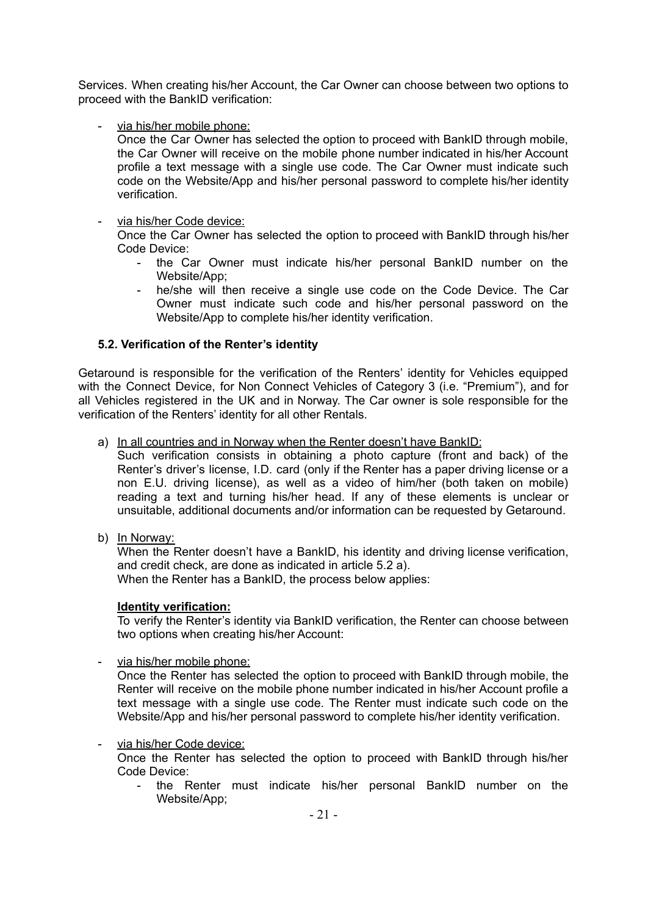Services. When creating his/her Account, the Car Owner can choose between two options to proceed with the BankID verification:

via his/her mobile phone:

Once the Car Owner has selected the option to proceed with BankID through mobile, the Car Owner will receive on the mobile phone number indicated in his/her Account profile a text message with a single use code. The Car Owner must indicate such code on the Website/App and his/her personal password to complete his/her identity verification.

#### - via his/her Code device:

Once the Car Owner has selected the option to proceed with BankID through his/her Code Device:

- the Car Owner must indicate his/her personal BankID number on the Website/App;
- he/she will then receive a single use code on the Code Device. The Car Owner must indicate such code and his/her personal password on the Website/App to complete his/her identity verification.

#### <span id="page-16-0"></span>**5.2. Verification of the Renter's identity**

Getaround is responsible for the verification of the Renters' identity for Vehicles equipped with the Connect Device, for Non Connect Vehicles of Category 3 (i.e. "Premium"), and for all Vehicles registered in the UK and in Norway. The Car owner is sole responsible for the verification of the Renters' identity for all other Rentals.

a) In all countries and in Norway when the Renter doesn't have BankID:

Such verification consists in obtaining a photo capture (front and back) of the Renter's driver's license, I.D. card (only if the Renter has a paper driving license or a non E.U. driving license), as well as a video of him/her (both taken on mobile) reading a text and turning his/her head. If any of these elements is unclear or unsuitable, additional documents and/or information can be requested by Getaround.

b) In Norway:

When the Renter doesn't have a BankID, his identity and driving license verification, and credit check, are done as indicated in article 5.2 a). When the Renter has a BankID, the process below applies:

#### **Identity verification:**

To verify the Renter's identity via BankID verification, the Renter can choose between two options when creating his/her Account:

via his/her mobile phone:

Once the Renter has selected the option to proceed with BankID through mobile, the Renter will receive on the mobile phone number indicated in his/her Account profile a text message with a single use code. The Renter must indicate such code on the Website/App and his/her personal password to complete his/her identity verification.

via his/her Code device:

Once the Renter has selected the option to proceed with BankID through his/her Code Device:

- the Renter must indicate his/her personal BankID number on the Website/App;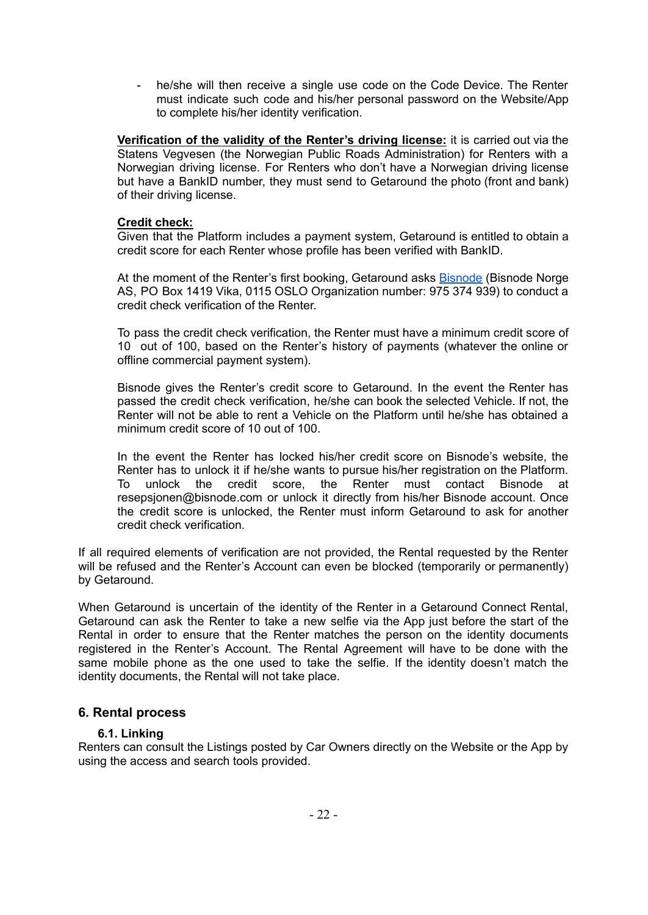he/she will then receive a single use code on the Code Device. The Renter must indicate such code and his/her personal password on the Website/App to complete his/her identity verification.

**Verification of the validity of the Renter's driving license:** it is carried out via the Statens Vegvesen (the Norwegian Public Roads Administration) for Renters with a Norwegian driving license. For Renters who don't have a Norwegian driving license but have a BankID number, they must send to Getaround the photo (front and bank) of their driving license.

#### **Credit check:**

Given that the Platform includes a payment system, Getaround is entitled to obtain a credit score for each Renter whose profile has been verified with BankID.

At the moment of the Renter's first booking, Getaround asks **[Bisnode](https://www.bisnode.no/om-bisnode/)** (Bisnode Norge AS, PO Box 1419 Vika, 0115 OSLO Organization number: 975 374 939) to conduct a credit check verification of the Renter.

To pass the credit check verification, the Renter must have a minimum credit score of 10 out of 100, based on the Renter's history of payments (whatever the online or offline commercial payment system).

Bisnode gives the Renter's credit score to Getaround. In the event the Renter has passed the credit check verification, he/she can book the selected Vehicle. If not, the Renter will not be able to rent a Vehicle on the Platform until he/she has obtained a minimum credit score of 10 out of 100.

In the event the Renter has locked his/her credit score on Bisnode's website, the Renter has to unlock it if he/she wants to pursue his/her registration on the Platform. To unlock the credit score, the Renter must contact Bisnode at resepsjonen@bisnode.com or unlock it directly from his/her Bisnode account. Once the credit score is unlocked, the Renter must inform Getaround to ask for another credit check verification.

If all required elements of verification are not provided, the Rental requested by the Renter will be refused and the Renter's Account can even be blocked (temporarily or permanently) by Getaround.

When Getaround is uncertain of the identity of the Renter in a Getaround Connect Rental, Getaround can ask the Renter to take a new selfie via the App just before the start of the Rental in order to ensure that the Renter matches the person on the identity documents registered in the Renter's Account. The Rental Agreement will have to be done with the same mobile phone as the one used to take the selfie. If the identity doesn't match the identity documents, the Rental will not take place.

#### <span id="page-17-0"></span>**6. Rental process**

#### **6.1. Linking**

<span id="page-17-1"></span>Renters can consult the Listings posted by Car Owners directly on the Website or the App by using the access and search tools provided.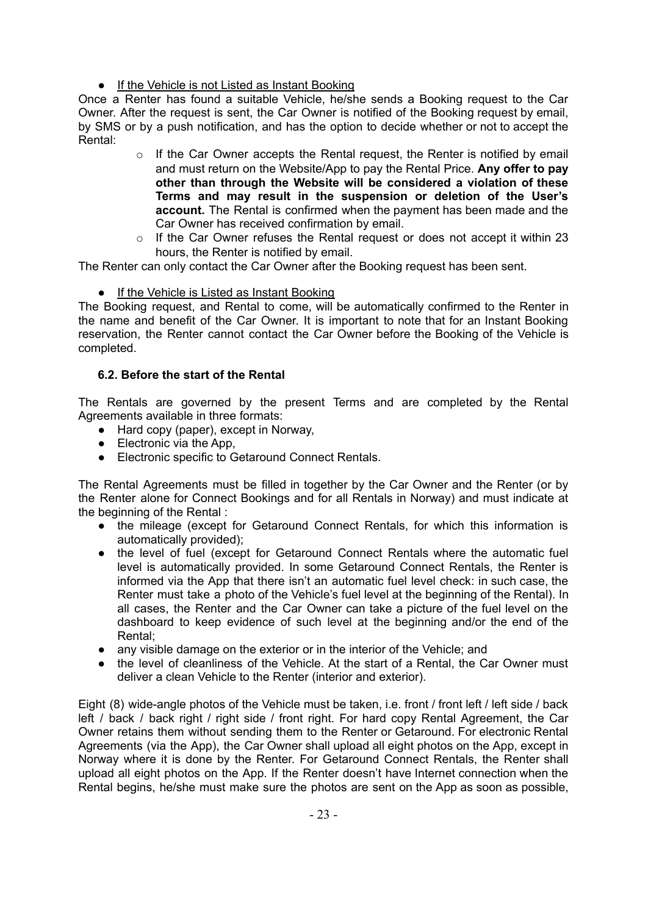● If the Vehicle is not Listed as Instant Booking

Once a Renter has found a suitable Vehicle, he/she sends a Booking request to the Car Owner. After the request is sent, the Car Owner is notified of the Booking request by email, by SMS or by a push notification, and has the option to decide whether or not to accept the Rental:

- o If the Car Owner accepts the Rental request, the Renter is notified by email and must return on the Website/App to pay the Rental Price. **Any offer to pay other than through the Website will be considered a violation of these Terms and may result in the suspension or deletion of the User's account.** The Rental is confirmed when the payment has been made and the Car Owner has received confirmation by email.
- $\circ$  If the Car Owner refuses the Rental request or does not accept it within 23 hours, the Renter is notified by email.

The Renter can only contact the Car Owner after the Booking request has been sent.

● If the Vehicle is Listed as Instant Booking

The Booking request, and Rental to come, will be automatically confirmed to the Renter in the name and benefit of the Car Owner. It is important to note that for an Instant Booking reservation, the Renter cannot contact the Car Owner before the Booking of the Vehicle is completed.

## <span id="page-18-0"></span>**6.2. Before the start of the Rental**

The Rentals are governed by the present Terms and are completed by the Rental Agreements available in three formats:

- Hard copy (paper), except in Norway,
- $\bullet$  Electronic via the App,
- Electronic specific to Getaround Connect Rentals.

The Rental Agreements must be filled in together by the Car Owner and the Renter (or by the Renter alone for Connect Bookings and for all Rentals in Norway) and must indicate at the beginning of the Rental :

- the mileage (except for Getaround Connect Rentals, for which this information is automatically provided);
- the level of fuel (except for Getaround Connect Rentals where the automatic fuel level is automatically provided. In some Getaround Connect Rentals, the Renter is informed via the App that there isn't an automatic fuel level check: in such case, the Renter must take a photo of the Vehicle's fuel level at the beginning of the Rental). In all cases, the Renter and the Car Owner can take a picture of the fuel level on the dashboard to keep evidence of such level at the beginning and/or the end of the Rental;
- any visible damage on the exterior or in the interior of the Vehicle; and
- the level of cleanliness of the Vehicle. At the start of a Rental, the Car Owner must deliver a clean Vehicle to the Renter (interior and exterior).

Eight (8) wide-angle photos of the Vehicle must be taken, i.e. front / front left / left side / back left / back / back right / right side / front right. For hard copy Rental Agreement, the Car Owner retains them without sending them to the Renter or Getaround. For electronic Rental Agreements (via the App), the Car Owner shall upload all eight photos on the App, except in Norway where it is done by the Renter. For Getaround Connect Rentals, the Renter shall upload all eight photos on the App. If the Renter doesn't have Internet connection when the Rental begins, he/she must make sure the photos are sent on the App as soon as possible,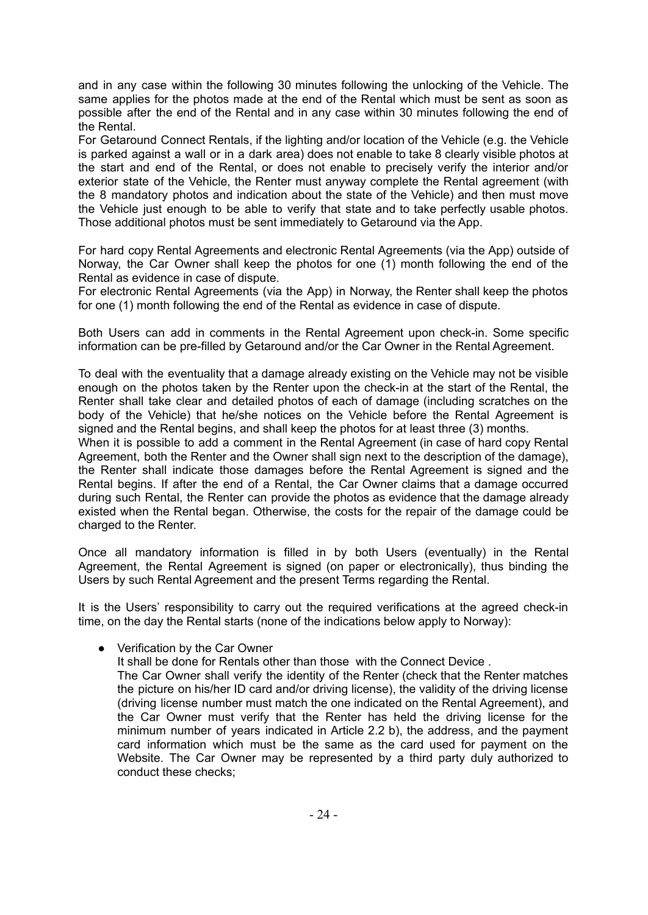and in any case within the following 30 minutes following the unlocking of the Vehicle. The same applies for the photos made at the end of the Rental which must be sent as soon as possible after the end of the Rental and in any case within 30 minutes following the end of the Rental.

For Getaround Connect Rentals, if the lighting and/or location of the Vehicle (e.g. the Vehicle is parked against a wall or in a dark area) does not enable to take 8 clearly visible photos at the start and end of the Rental, or does not enable to precisely verify the interior and/or exterior state of the Vehicle, the Renter must anyway complete the Rental agreement (with the 8 mandatory photos and indication about the state of the Vehicle) and then must move the Vehicle just enough to be able to verify that state and to take perfectly usable photos. Those additional photos must be sent immediately to Getaround via the App.

For hard copy Rental Agreements and electronic Rental Agreements (via the App) outside of Norway, the Car Owner shall keep the photos for one (1) month following the end of the Rental as evidence in case of dispute.

For electronic Rental Agreements (via the App) in Norway, the Renter shall keep the photos for one (1) month following the end of the Rental as evidence in case of dispute.

Both Users can add in comments in the Rental Agreement upon check-in. Some specific information can be pre-filled by Getaround and/or the Car Owner in the Rental Agreement.

To deal with the eventuality that a damage already existing on the Vehicle may not be visible enough on the photos taken by the Renter upon the check-in at the start of the Rental, the Renter shall take clear and detailed photos of each of damage (including scratches on the body of the Vehicle) that he/she notices on the Vehicle before the Rental Agreement is signed and the Rental begins, and shall keep the photos for at least three (3) months.

When it is possible to add a comment in the Rental Agreement (in case of hard copy Rental Agreement, both the Renter and the Owner shall sign next to the description of the damage), the Renter shall indicate those damages before the Rental Agreement is signed and the Rental begins. If after the end of a Rental, the Car Owner claims that a damage occurred during such Rental, the Renter can provide the photos as evidence that the damage already existed when the Rental began. Otherwise, the costs for the repair of the damage could be charged to the Renter.

Once all mandatory information is filled in by both Users (eventually) in the Rental Agreement, the Rental Agreement is signed (on paper or electronically), thus binding the Users by such Rental Agreement and the present Terms regarding the Rental.

It is the Users' responsibility to carry out the required verifications at the agreed check-in time, on the day the Rental starts (none of the indications below apply to Norway):

● Verification by the Car Owner

It shall be done for Rentals other than those with the Connect Device .

The Car Owner shall verify the identity of the Renter (check that the Renter matches the picture on his/her ID card and/or driving license), the validity of the driving license (driving license number must match the one indicated on the Rental Agreement), and the Car Owner must verify that the Renter has held the driving license for the minimum number of years indicated in Article 2.2 b), the address, and the payment card information which must be the same as the card used for payment on the Website. The Car Owner may be represented by a third party duly authorized to conduct these checks;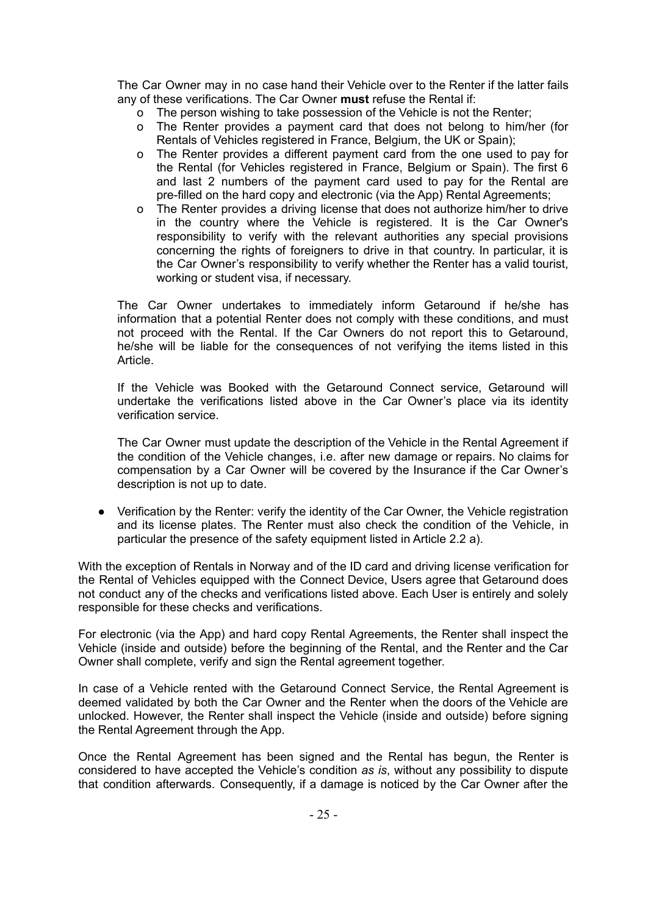The Car Owner may in no case hand their Vehicle over to the Renter if the latter fails any of these verifications. The Car Owner **must** refuse the Rental if:

- o The person wishing to take possession of the Vehicle is not the Renter;
- o The Renter provides a payment card that does not belong to him/her (for Rentals of Vehicles registered in France, Belgium, the UK or Spain);
- o The Renter provides a different payment card from the one used to pay for the Rental (for Vehicles registered in France, Belgium or Spain). The first 6 and last 2 numbers of the payment card used to pay for the Rental are pre-filled on the hard copy and electronic (via the App) Rental Agreements;
- o The Renter provides a driving license that does not authorize him/her to drive in the country where the Vehicle is registered. It is the Car Owner's responsibility to verify with the relevant authorities any special provisions concerning the rights of foreigners to drive in that country. In particular, it is the Car Owner's responsibility to verify whether the Renter has a valid tourist, working or student visa, if necessary.

The Car Owner undertakes to immediately inform Getaround if he/she has information that a potential Renter does not comply with these conditions, and must not proceed with the Rental. If the Car Owners do not report this to Getaround, he/she will be liable for the consequences of not verifying the items listed in this Article.

If the Vehicle was Booked with the Getaround Connect service, Getaround will undertake the verifications listed above in the Car Owner's place via its identity verification service.

The Car Owner must update the description of the Vehicle in the Rental Agreement if the condition of the Vehicle changes, i.e. after new damage or repairs. No claims for compensation by a Car Owner will be covered by the Insurance if the Car Owner's description is not up to date.

● Verification by the Renter: verify the identity of the Car Owner, the Vehicle registration and its license plates. The Renter must also check the condition of the Vehicle, in particular the presence of the safety equipment listed in Article 2.2 a).

With the exception of Rentals in Norway and of the ID card and driving license verification for the Rental of Vehicles equipped with the Connect Device, Users agree that Getaround does not conduct any of the checks and verifications listed above. Each User is entirely and solely responsible for these checks and verifications.

For electronic (via the App) and hard copy Rental Agreements, the Renter shall inspect the Vehicle (inside and outside) before the beginning of the Rental, and the Renter and the Car Owner shall complete, verify and sign the Rental agreement together.

In case of a Vehicle rented with the Getaround Connect Service, the Rental Agreement is deemed validated by both the Car Owner and the Renter when the doors of the Vehicle are unlocked. However, the Renter shall inspect the Vehicle (inside and outside) before signing the Rental Agreement through the App.

Once the Rental Agreement has been signed and the Rental has begun, the Renter is considered to have accepted the Vehicle's condition *as is*, without any possibility to dispute that condition afterwards. Consequently, if a damage is noticed by the Car Owner after the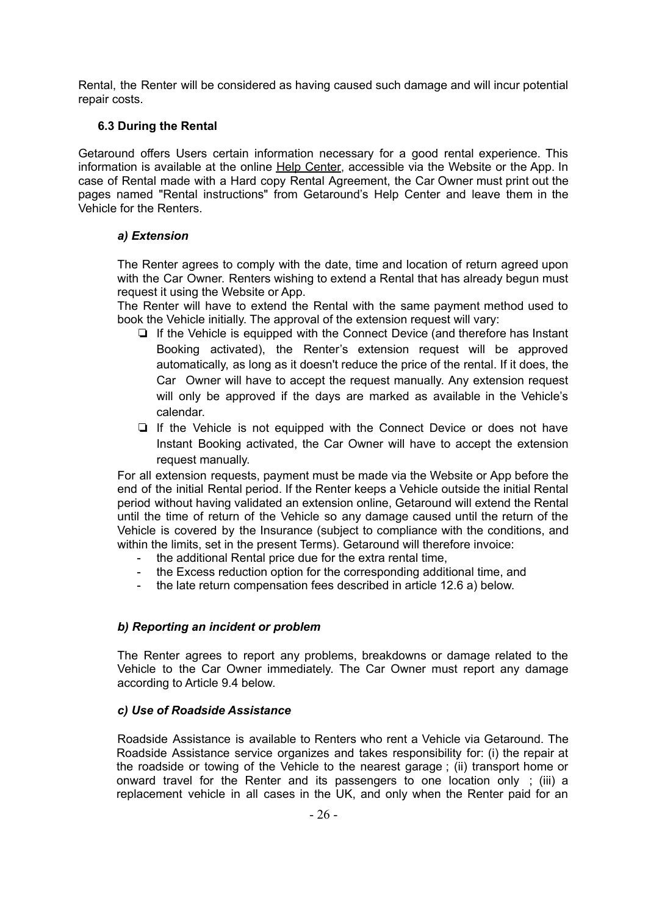Rental, the Renter will be considered as having caused such damage and will incur potential repair costs.

#### <span id="page-21-0"></span>**6.3 During the Rental**

Getaround offers Users certain information necessary for a good rental experience. This information is available at the online Help [Center,](https://en.drivy.com/help) accessible via the Website or the App. In case of Rental made with a Hard copy Rental Agreement, the Car Owner must print out the pages named "Rental instructions" from Getaround's Help Center and leave them in the Vehicle for the Renters.

#### <span id="page-21-1"></span>*a) Extension*

The Renter agrees to comply with the date, time and location of return agreed upon with the Car Owner. Renters wishing to extend a Rental that has already begun must request it using the Website or App.

The Renter will have to extend the Rental with the same payment method used to book the Vehicle initially. The approval of the extension request will vary:

- ❏ If the Vehicle is equipped with the Connect Device (and therefore has Instant Booking activated), the Renter's extension request will be approved automatically, as long as it doesn't reduce the price of the rental. If it does, the Car Owner will have to accept the request manually. Any extension request will only be approved if the days are marked as available in the Vehicle's calendar.
- ❏ If the Vehicle is not equipped with the Connect Device or does not have Instant Booking activated, the Car Owner will have to accept the extension request manually.

For all extension requests, payment must be made via the Website or App before the end of the initial Rental period. If the Renter keeps a Vehicle outside the initial Rental period without having validated an extension online, Getaround will extend the Rental until the time of return of the Vehicle so any damage caused until the return of the Vehicle is covered by the Insurance (subject to compliance with the conditions, and within the limits, set in the present Terms). Getaround will therefore invoice:

- the additional Rental price due for the extra rental time.
- the Excess reduction option for the corresponding additional time, and
- the late return compensation fees described in article 12.6 a) below.

#### <span id="page-21-2"></span>*b) Reporting an incident or problem*

The Renter agrees to report any problems, breakdowns or damage related to the Vehicle to the Car Owner immediately. The Car Owner must report any damage according to Article 9.4 below.

#### <span id="page-21-3"></span>*c) Use of Roadside Assistance*

Roadside Assistance is available to Renters who rent a Vehicle via Getaround. The Roadside Assistance service organizes and takes responsibility for: (i) the repair at the roadside or towing of the Vehicle to the nearest garage ; (ii) transport home or onward travel for the Renter and its passengers to one location only ; (iii) a replacement vehicle in all cases in the UK, and only when the Renter paid for an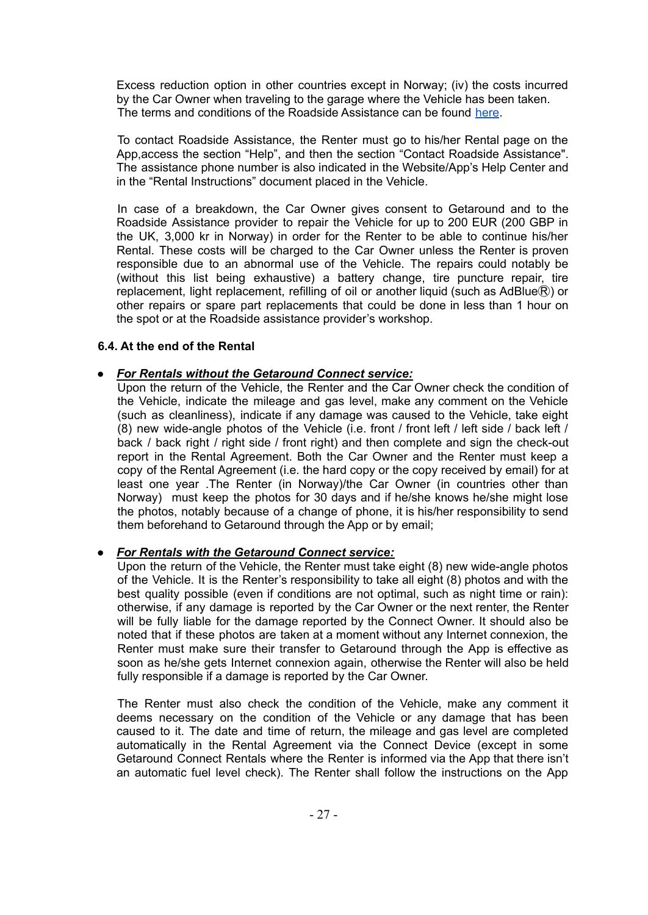Excess reduction option in other countries except in Norway; (iv) the costs incurred by the Car Owner when traveling to the garage where the Vehicle has been taken. The terms and conditions of the Roadside Assistance can be found [here](https://en.getaround.com/insurance#documents).

To contact Roadside Assistance, the Renter must go to his/her Rental page on the App,access the section "Help", and then the section "Contact Roadside Assistance". The assistance phone number is also indicated in the Website/App's Help Center and in the "Rental Instructions" document placed in the Vehicle.

In case of a breakdown, the Car Owner gives consent to Getaround and to the Roadside Assistance provider to repair the Vehicle for up to 200 EUR (200 GBP in the UK, 3,000 kr in Norway) in order for the Renter to be able to continue his/her Rental. These costs will be charged to the Car Owner unless the Renter is proven responsible due to an abnormal use of the Vehicle. The repairs could notably be (without this list being exhaustive) a battery change, tire puncture repair, tire replacement, light replacement, refilling of oil or another liquid (such as AdBlue®) or other repairs or spare part replacements that could be done in less than 1 hour on the spot or at the Roadside assistance provider's workshop.

## <span id="page-22-0"></span>**6.4. At the end of the Rental**

## *● For Rentals without the Getaround Connect service:*

Upon the return of the Vehicle, the Renter and the Car Owner check the condition of the Vehicle, indicate the mileage and gas level, make any comment on the Vehicle (such as cleanliness), indicate if any damage was caused to the Vehicle, take eight (8) new wide-angle photos of the Vehicle (i.e. front  $\ell$  front left  $\ell$  left side  $\ell$  back left  $\ell$ back / back right / right side / front right) and then complete and sign the check-out report in the Rental Agreement. Both the Car Owner and the Renter must keep a copy of the Rental Agreement (i.e. the hard copy or the copy received by email) for at least one year .The Renter (in Norway)/the Car Owner (in countries other than Norway) must keep the photos for 30 days and if he/she knows he/she might lose the photos, notably because of a change of phone, it is his/her responsibility to send them beforehand to Getaround through the App or by email;

## *● For Rentals with the Getaround Connect service:*

Upon the return of the Vehicle, the Renter must take eight (8) new wide-angle photos of the Vehicle. It is the Renter's responsibility to take all eight (8) photos and with the best quality possible (even if conditions are not optimal, such as night time or rain): otherwise, if any damage is reported by the Car Owner or the next renter, the Renter will be fully liable for the damage reported by the Connect Owner. It should also be noted that if these photos are taken at a moment without any Internet connexion, the Renter must make sure their transfer to Getaround through the App is effective as soon as he/she gets Internet connexion again, otherwise the Renter will also be held fully responsible if a damage is reported by the Car Owner.

The Renter must also check the condition of the Vehicle, make any comment it deems necessary on the condition of the Vehicle or any damage that has been caused to it. The date and time of return, the mileage and gas level are completed automatically in the Rental Agreement via the Connect Device (except in some Getaround Connect Rentals where the Renter is informed via the App that there isn't an automatic fuel level check). The Renter shall follow the instructions on the App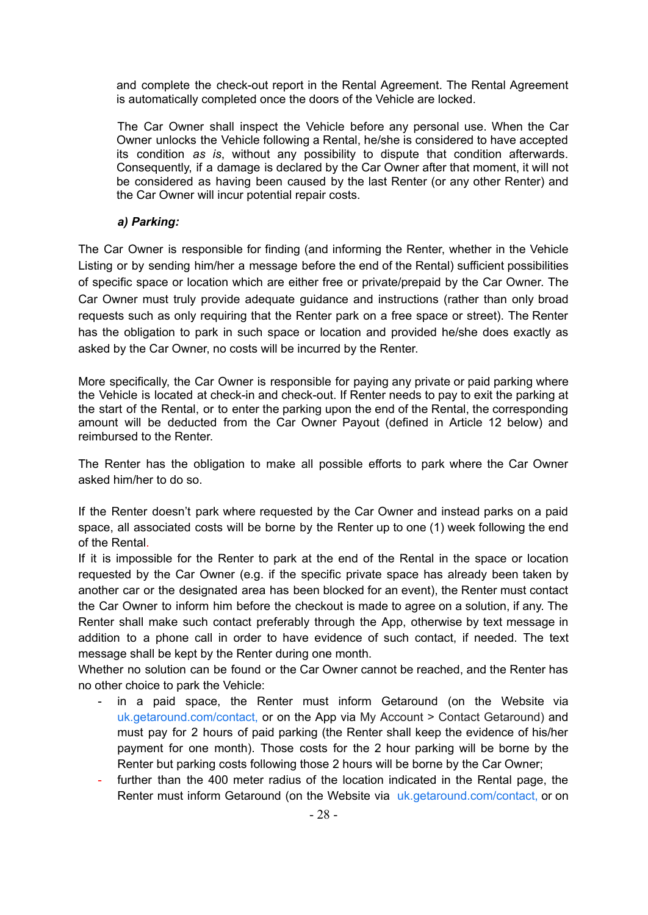and complete the check-out report in the Rental Agreement. The Rental Agreement is automatically completed once the doors of the Vehicle are locked.

The Car Owner shall inspect the Vehicle before any personal use. When the Car Owner unlocks the Vehicle following a Rental, he/she is considered to have accepted its condition *as is*, without any possibility to dispute that condition afterwards. Consequently, if a damage is declared by the Car Owner after that moment, it will not be considered as having been caused by the last Renter (or any other Renter) and the Car Owner will incur potential repair costs.

### *a) Parking:*

<span id="page-23-0"></span>The Car Owner is responsible for finding (and informing the Renter, whether in the Vehicle Listing or by sending him/her a message before the end of the Rental) sufficient possibilities of specific space or location which are either free or private/prepaid by the Car Owner. The Car Owner must truly provide adequate guidance and instructions (rather than only broad requests such as only requiring that the Renter park on a free space or street). The Renter has the obligation to park in such space or location and provided he/she does exactly as asked by the Car Owner, no costs will be incurred by the Renter.

More specifically, the Car Owner is responsible for paying any private or paid parking where the Vehicle is located at check-in and check-out. If Renter needs to pay to exit the parking at the start of the Rental, or to enter the parking upon the end of the Rental, the corresponding amount will be deducted from the Car Owner Payout (defined in Article 12 below) and reimbursed to the Renter.

The Renter has the obligation to make all possible efforts to park where the Car Owner asked him/her to do so.

If the Renter doesn't park where requested by the Car Owner and instead parks on a paid space, all associated costs will be borne by the Renter up to one (1) week following the end of the Rental.

If it is impossible for the Renter to park at the end of the Rental in the space or location requested by the Car Owner (e.g. if the specific private space has already been taken by another car or the designated area has been blocked for an event), the Renter must contact the Car Owner to inform him before the checkout is made to agree on a solution, if any. The Renter shall make such contact preferably through the App, otherwise by text message in addition to a phone call in order to have evidence of such contact, if needed. The text message shall be kept by the Renter during one month.

Whether no solution can be found or the Car Owner cannot be reached, and the Renter has no other choice to park the Vehicle:

- in a paid space, the Renter must inform Getaround (on the Website via [uk.getaround.com/contact,](http://uk.getaround.com/contact) or on the App via My Account > Contact Getaround) and must pay for 2 hours of paid parking (the Renter shall keep the evidence of his/her payment for one month). Those costs for the 2 hour parking will be borne by the Renter but parking costs following those 2 hours will be borne by the Car Owner;
- further than the 400 meter radius of the location indicated in the Rental page, the Renter must inform Getaround (on the Website via [uk.getaround.com/contact,](http://uk.getaround.com/contact) or on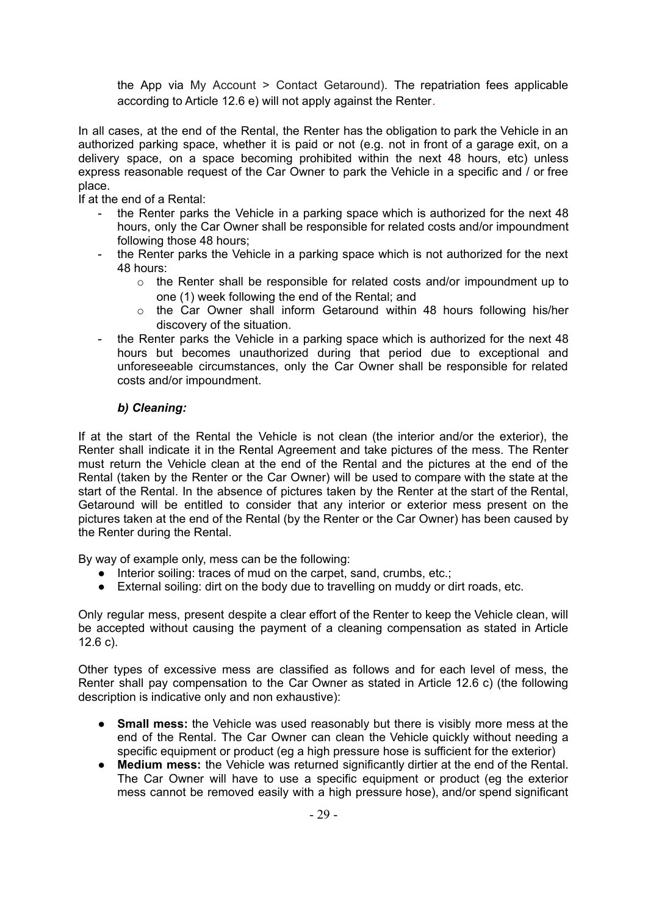the App via My Account > Contact Getaround). The repatriation fees applicable according to Article 12.6 e) will not apply against the Renter.

In all cases, at the end of the Rental, the Renter has the obligation to park the Vehicle in an authorized parking space, whether it is paid or not (e.g. not in front of a garage exit, on a delivery space, on a space becoming prohibited within the next 48 hours, etc) unless express reasonable request of the Car Owner to park the Vehicle in a specific and / or free place.

If at the end of a Rental:

- the Renter parks the Vehicle in a parking space which is authorized for the next 48 hours, only the Car Owner shall be responsible for related costs and/or impoundment following those 48 hours;
- the Renter parks the Vehicle in a parking space which is not authorized for the next 48 hours:
	- $\circ$  the Renter shall be responsible for related costs and/or impoundment up to one (1) week following the end of the Rental; and
	- $\circ$  the Car Owner shall inform Getaround within 48 hours following his/her discovery of the situation.
- the Renter parks the Vehicle in a parking space which is authorized for the next 48 hours but becomes unauthorized during that period due to exceptional and unforeseeable circumstances, only the Car Owner shall be responsible for related costs and/or impoundment.

## *b) Cleaning:*

<span id="page-24-0"></span>If at the start of the Rental the Vehicle is not clean (the interior and/or the exterior), the Renter shall indicate it in the Rental Agreement and take pictures of the mess. The Renter must return the Vehicle clean at the end of the Rental and the pictures at the end of the Rental (taken by the Renter or the Car Owner) will be used to compare with the state at the start of the Rental. In the absence of pictures taken by the Renter at the start of the Rental, Getaround will be entitled to consider that any interior or exterior mess present on the pictures taken at the end of the Rental (by the Renter or the Car Owner) has been caused by the Renter during the Rental.

By way of example only, mess can be the following:

- Interior soiling: traces of mud on the carpet, sand, crumbs, etc.;
- External soiling: dirt on the body due to travelling on muddy or dirt roads, etc.

Only regular mess, present despite a clear effort of the Renter to keep the Vehicle clean, will be accepted without causing the payment of a cleaning compensation as stated in Article 12.6 c).

Other types of excessive mess are classified as follows and for each level of mess, the Renter shall pay compensation to the Car Owner as stated in Article 12.6 c) (the following description is indicative only and non exhaustive):

- **Small mess:** the Vehicle was used reasonably but there is visibly more mess at the end of the Rental. The Car Owner can clean the Vehicle quickly without needing a specific equipment or product (eg a high pressure hose is sufficient for the exterior)
- **Medium mess:** the Vehicle was returned significantly dirtier at the end of the Rental. The Car Owner will have to use a specific equipment or product (eg the exterior mess cannot be removed easily with a high pressure hose), and/or spend significant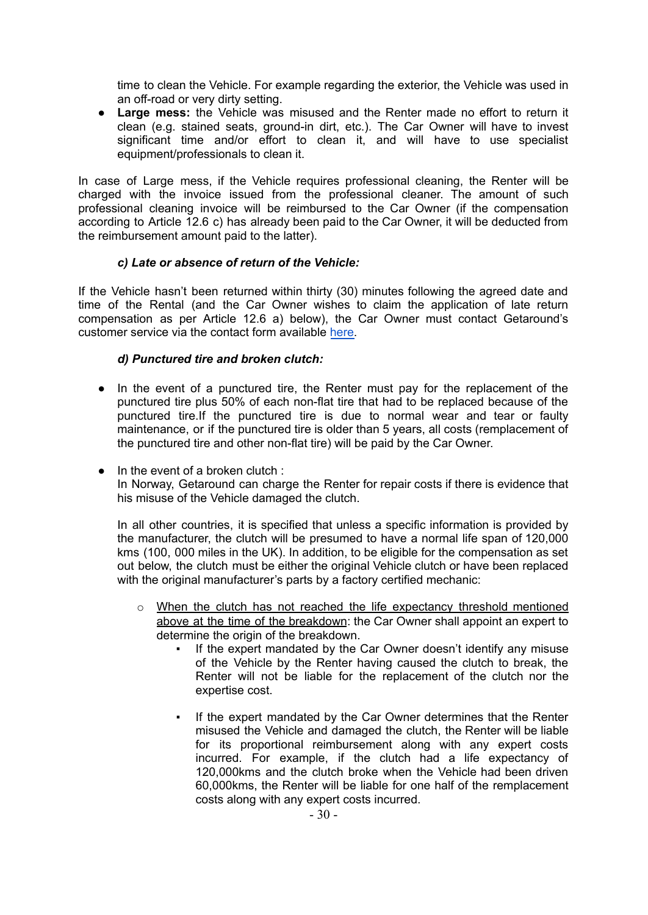time to clean the Vehicle. For example regarding the exterior, the Vehicle was used in an off-road or very dirty setting.

● **Large mess:** the Vehicle was misused and the Renter made no effort to return it clean (e.g. stained seats, ground-in dirt, etc.). The Car Owner will have to invest significant time and/or effort to clean it, and will have to use specialist equipment/professionals to clean it.

In case of Large mess, if the Vehicle requires professional cleaning, the Renter will be charged with the invoice issued from the professional cleaner. The amount of such professional cleaning invoice will be reimbursed to the Car Owner (if the compensation according to Article 12.6 c) has already been paid to the Car Owner, it will be deducted from the reimbursement amount paid to the latter).

#### *c) Late or absence of return of the Vehicle:*

<span id="page-25-0"></span>If the Vehicle hasn't been returned within thirty (30) minutes following the agreed date and time of the Rental (and the Car Owner wishes to claim the application of late return compensation as per Article 12.6 a) below), the Car Owner must contact Getaround's customer service via the contact form available [here.](https://uk.getaround.com/contact/driver/no_rental)

## *d) Punctured tire and broken clutch:*

- <span id="page-25-1"></span>● In the event of a punctured tire, the Renter must pay for the replacement of the punctured tire plus 50% of each non-flat tire that had to be replaced because of the punctured tire.If the punctured tire is due to normal wear and tear or faulty maintenance, or if the punctured tire is older than 5 years, all costs (remplacement of the punctured tire and other non-flat tire) will be paid by the Car Owner.
- $\bullet$  In the event of a broken clutch : In Norway, Getaround can charge the Renter for repair costs if there is evidence that his misuse of the Vehicle damaged the clutch.

In all other countries, it is specified that unless a specific information is provided by the manufacturer, the clutch will be presumed to have a normal life span of 120,000 kms (100, 000 miles in the UK). In addition, to be eligible for the compensation as set out below, the clutch must be either the original Vehicle clutch or have been replaced with the original manufacturer's parts by a factory certified mechanic:

- $\circ$  When the clutch has not reached the life expectancy threshold mentioned above at the time of the breakdown: the Car Owner shall appoint an expert to determine the origin of the breakdown.
	- If the expert mandated by the Car Owner doesn't identify any misuse of the Vehicle by the Renter having caused the clutch to break, the Renter will not be liable for the replacement of the clutch nor the expertise cost.
	- If the expert mandated by the Car Owner determines that the Renter misused the Vehicle and damaged the clutch, the Renter will be liable for its proportional reimbursement along with any expert costs incurred. For example, if the clutch had a life expectancy of 120,000kms and the clutch broke when the Vehicle had been driven 60,000kms, the Renter will be liable for one half of the remplacement costs along with any expert costs incurred.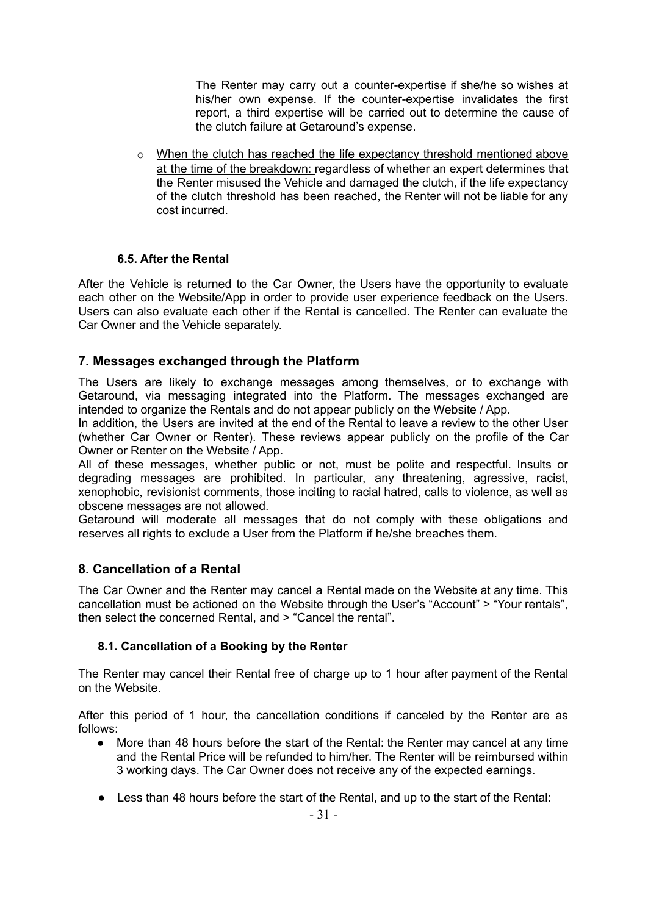The Renter may carry out a counter-expertise if she/he so wishes at his/her own expense. If the counter-expertise invalidates the first report, a third expertise will be carried out to determine the cause of the clutch failure at Getaround's expense.

o When the clutch has reached the life expectancy threshold mentioned above at the time of the breakdown: regardless of whether an expert determines that the Renter misused the Vehicle and damaged the clutch, if the life expectancy of the clutch threshold has been reached, the Renter will not be liable for any cost incurred.

## **6.5. After the Rental**

<span id="page-26-0"></span>After the Vehicle is returned to the Car Owner, the Users have the opportunity to evaluate each other on the Website/App in order to provide user experience feedback on the Users. Users can also evaluate each other if the Rental is cancelled. The Renter can evaluate the Car Owner and the Vehicle separately.

# <span id="page-26-1"></span>**7. Messages exchanged through the Platform**

The Users are likely to exchange messages among themselves, or to exchange with Getaround, via messaging integrated into the Platform. The messages exchanged are intended to organize the Rentals and do not appear publicly on the Website / App.

In addition, the Users are invited at the end of the Rental to leave a review to the other User (whether Car Owner or Renter). These reviews appear publicly on the profile of the Car Owner or Renter on the Website / App.

All of these messages, whether public or not, must be polite and respectful. Insults or degrading messages are prohibited. In particular, any threatening, agressive, racist, xenophobic, revisionist comments, those inciting to racial hatred, calls to violence, as well as obscene messages are not allowed.

Getaround will moderate all messages that do not comply with these obligations and reserves all rights to exclude a User from the Platform if he/she breaches them.

## <span id="page-26-2"></span>**8. Cancellation of a Rental**

The Car Owner and the Renter may cancel a Rental made on the Website at any time. This cancellation must be actioned on the Website through the User's "Account" > "Your rentals", then select the concerned Rental, and > "Cancel the rental".

#### <span id="page-26-3"></span>**8.1. Cancellation of a Booking by the Renter**

The Renter may cancel their Rental free of charge up to 1 hour after payment of the Rental on the Website.

After this period of 1 hour, the cancellation conditions if canceled by the Renter are as follows:

- More than 48 hours before the start of the Rental: the Renter may cancel at any time and the Rental Price will be refunded to him/her. The Renter will be reimbursed within 3 working days. The Car Owner does not receive any of the expected earnings.
- Less than 48 hours before the start of the Rental, and up to the start of the Rental: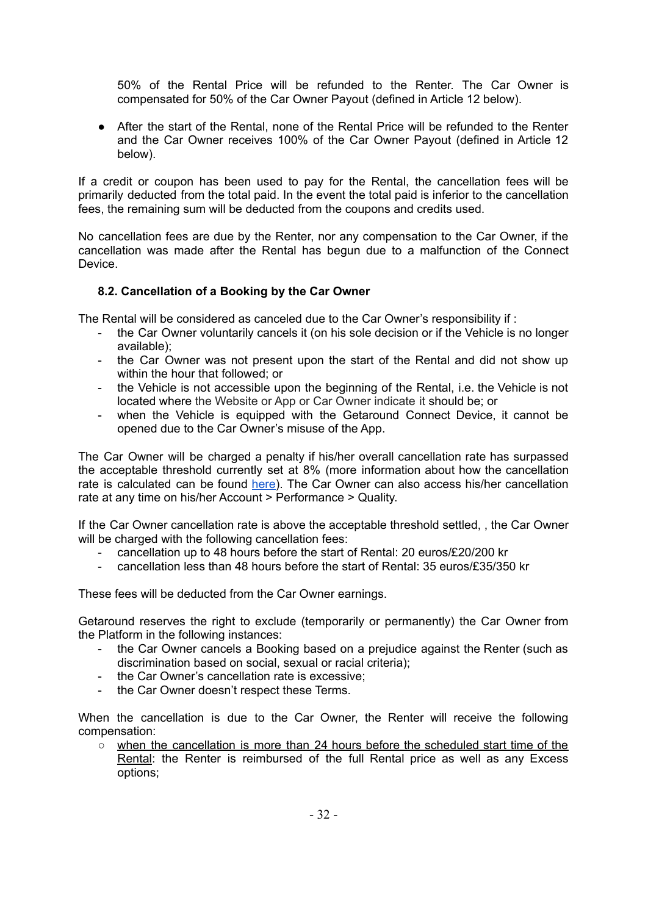50% of the Rental Price will be refunded to the Renter. The Car Owner is compensated for 50% of the Car Owner Payout (defined in Article 12 below).

● After the start of the Rental, none of the Rental Price will be refunded to the Renter and the Car Owner receives 100% of the Car Owner Payout (defined in Article 12 below).

If a credit or coupon has been used to pay for the Rental, the cancellation fees will be primarily deducted from the total paid. In the event the total paid is inferior to the cancellation fees, the remaining sum will be deducted from the coupons and credits used.

No cancellation fees are due by the Renter, nor any compensation to the Car Owner, if the cancellation was made after the Rental has begun due to a malfunction of the Connect **Device** 

## <span id="page-27-0"></span>**8.2. Cancellation of a Booking by the Car Owner**

The Rental will be considered as canceled due to the Car Owner's responsibility if :

- the Car Owner voluntarily cancels it (on his sole decision or if the Vehicle is no longer available);
- the Car Owner was not present upon the start of the Rental and did not show up within the hour that followed; or
- the Vehicle is not accessible upon the beginning of the Rental, i.e. the Vehicle is not located where the Website or App or Car Owner indicate it should be; or
- when the Vehicle is equipped with the Getaround Connect Device, it cannot be opened due to the Car Owner's misuse of the App.

The Car Owner will be charged a penalty if his/her overall cancellation rate has surpassed the acceptable threshold currently set at 8% (more information about how the cancellation rate is calculated can be found [here\)](https://uk.getaround.com/help/articles/3154c2a8147c?from_search=cancellation#owners). The Car Owner can also access his/her cancellation rate at any time on his/her Account > Performance > Quality.

If the Car Owner cancellation rate is above the acceptable threshold settled, , the Car Owner will be charged with the following cancellation fees:

- cancellation up to 48 hours before the start of Rental: 20 euros/£20/200 kr
- cancellation less than 48 hours before the start of Rental: 35 euros/£35/350 kr

These fees will be deducted from the Car Owner earnings.

Getaround reserves the right to exclude (temporarily or permanently) the Car Owner from the Platform in the following instances:

- the Car Owner cancels a Booking based on a prejudice against the Renter (such as discrimination based on social, sexual or racial criteria);
- the Car Owner's cancellation rate is excessive:
- the Car Owner doesn't respect these Terms.

When the cancellation is due to the Car Owner, the Renter will receive the following compensation:

○ when the cancellation is more than 24 hours before the scheduled start time of the Rental: the Renter is reimbursed of the full Rental price as well as any Excess options;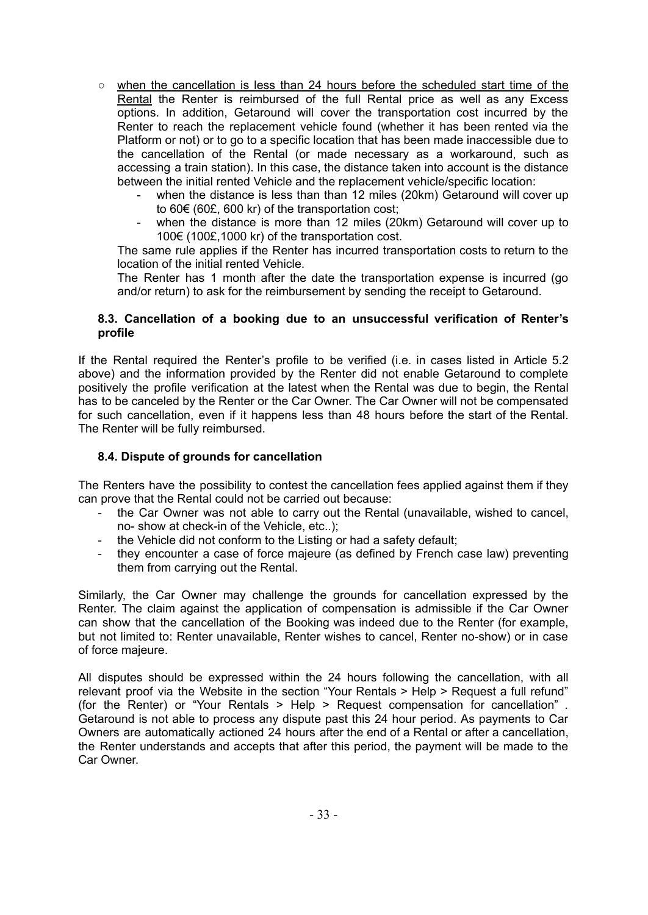- when the cancellation is less than 24 hours before the scheduled start time of the Rental the Renter is reimbursed of the full Rental price as well as any Excess options. In addition, Getaround will cover the transportation cost incurred by the Renter to reach the replacement vehicle found (whether it has been rented via the Platform or not) or to go to a specific location that has been made inaccessible due to the cancellation of the Rental (or made necessary as a workaround, such as accessing a train station). In this case, the distance taken into account is the distance between the initial rented Vehicle and the replacement vehicle/specific location:
	- when the distance is less than than 12 miles (20km) Getaround will cover up to 60€ (60£, 600 kr) of the transportation cost;
	- when the distance is more than 12 miles (20km) Getaround will cover up to 100€ (100£,1000 kr) of the transportation cost.

The same rule applies if the Renter has incurred transportation costs to return to the location of the initial rented Vehicle.

The Renter has 1 month after the date the transportation expense is incurred (go and/or return) to ask for the reimbursement by sending the receipt to Getaround.

#### <span id="page-28-0"></span>**8.3. Cancellation of a booking due to an unsuccessful verification of Renter's profile**

If the Rental required the Renter's profile to be verified (i.e. in cases listed in Article 5.2 above) and the information provided by the Renter did not enable Getaround to complete positively the profile verification at the latest when the Rental was due to begin, the Rental has to be canceled by the Renter or the Car Owner. The Car Owner will not be compensated for such cancellation, even if it happens less than 48 hours before the start of the Rental. The Renter will be fully reimbursed.

## <span id="page-28-1"></span>**8.4. Dispute of grounds for cancellation**

The Renters have the possibility to contest the cancellation fees applied against them if they can prove that the Rental could not be carried out because:

- the Car Owner was not able to carry out the Rental (unavailable, wished to cancel, no- show at check-in of the Vehicle, etc..);
- the Vehicle did not conform to the Listing or had a safety default;
- they encounter a case of force majeure (as defined by French case law) preventing them from carrying out the Rental.

Similarly, the Car Owner may challenge the grounds for cancellation expressed by the Renter. The claim against the application of compensation is admissible if the Car Owner can show that the cancellation of the Booking was indeed due to the Renter (for example, but not limited to: Renter unavailable, Renter wishes to cancel, Renter no-show) or in case of force majeure.

All disputes should be expressed within the 24 hours following the cancellation, with all relevant proof via the Website in the section "Your Rentals > Help > Request a full refund" (for the Renter) or "Your Rentals > Help > Request compensation for cancellation" . Getaround is not able to process any dispute past this 24 hour period. As payments to Car Owners are automatically actioned 24 hours after the end of a Rental or after a cancellation, the Renter understands and accepts that after this period, the payment will be made to the Car Owner.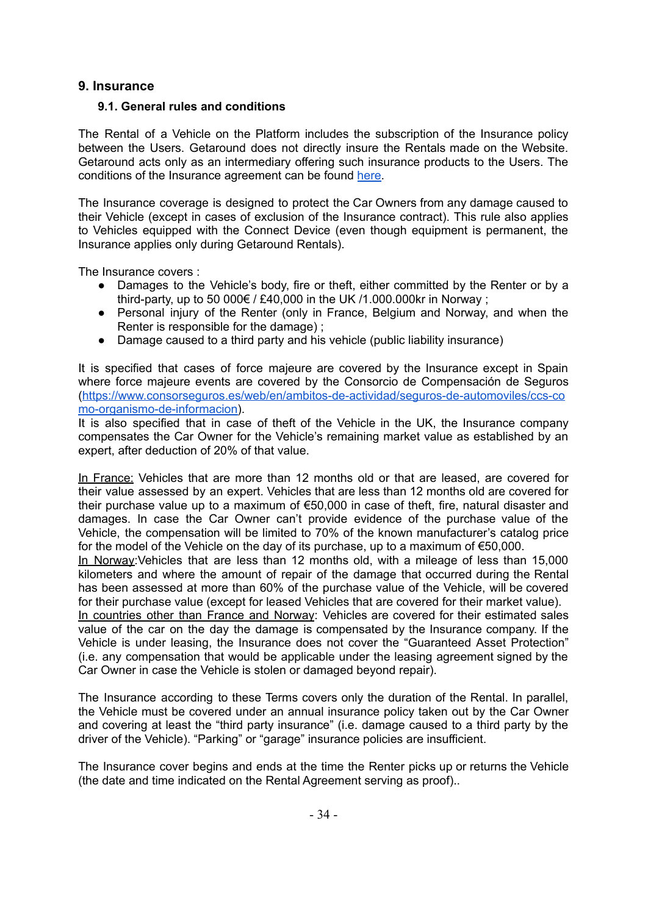## <span id="page-29-0"></span>**9. Insurance**

### <span id="page-29-1"></span>**9.1. General rules and conditions**

The Rental of a Vehicle on the Platform includes the subscription of the Insurance policy between the Users. Getaround does not directly insure the Rentals made on the Website. Getaround acts only as an intermediary offering such insurance products to the Users. The conditions of the Insurance agreement can be found [here.](https://en.getaround.com/insurance#documents)

The Insurance coverage is designed to protect the Car Owners from any damage caused to their Vehicle (except in cases of exclusion of the Insurance contract). This rule also applies to Vehicles equipped with the Connect Device (even though equipment is permanent, the Insurance applies only during Getaround Rentals).

The Insurance covers :

- Damages to the Vehicle's body, fire or theft, either committed by the Renter or by a third-party, up to 50 000 $\epsilon$  / £40,000 in the UK /1.000.000kr in Norway;
- Personal injury of the Renter (only in France, Belgium and Norway, and when the Renter is responsible for the damage) ;
- Damage caused to a third party and his vehicle (public liability insurance)

It is specified that cases of force majeure are covered by the Insurance except in Spain where force majeure events are covered by the Consorcio de Compensación de Seguros ([https://www.consorseguros.es/web/en/ambitos-de-actividad/seguros-de-automoviles/ccs-co](https://www.consorseguros.es/web/en/ambitos-de-actividad/seguros-de-automoviles/ccs-como-organismo-de-informacion) [mo-organismo-de-informacion\)](https://www.consorseguros.es/web/en/ambitos-de-actividad/seguros-de-automoviles/ccs-como-organismo-de-informacion).

It is also specified that in case of theft of the Vehicle in the UK, the Insurance company compensates the Car Owner for the Vehicle's remaining market value as established by an expert, after deduction of 20% of that value.

In France: Vehicles that are more than 12 months old or that are leased, are covered for their value assessed by an expert. Vehicles that are less than 12 months old are covered for their purchase value up to a maximum of €50,000 in case of theft, fire, natural disaster and damages. In case the Car Owner can't provide evidence of the purchase value of the Vehicle, the compensation will be limited to 70% of the known manufacturer's catalog price for the model of the Vehicle on the day of its purchase, up to a maximum of €50,000.

In Norway:Vehicles that are less than 12 months old, with a mileage of less than 15,000 kilometers and where the amount of repair of the damage that occurred during the Rental has been assessed at more than 60% of the purchase value of the Vehicle, will be covered for their purchase value (except for leased Vehicles that are covered for their market value).

In countries other than France and Norway: Vehicles are covered for their estimated sales value of the car on the day the damage is compensated by the Insurance company. If the Vehicle is under leasing, the Insurance does not cover the "Guaranteed Asset Protection" (i.e. any compensation that would be applicable under the leasing agreement signed by the Car Owner in case the Vehicle is stolen or damaged beyond repair).

The Insurance according to these Terms covers only the duration of the Rental. In parallel, the Vehicle must be covered under an annual insurance policy taken out by the Car Owner and covering at least the "third party insurance" (i.e. damage caused to a third party by the driver of the Vehicle). "Parking" or "garage" insurance policies are insufficient.

The Insurance cover begins and ends at the time the Renter picks up or returns the Vehicle (the date and time indicated on the Rental Agreement serving as proof)..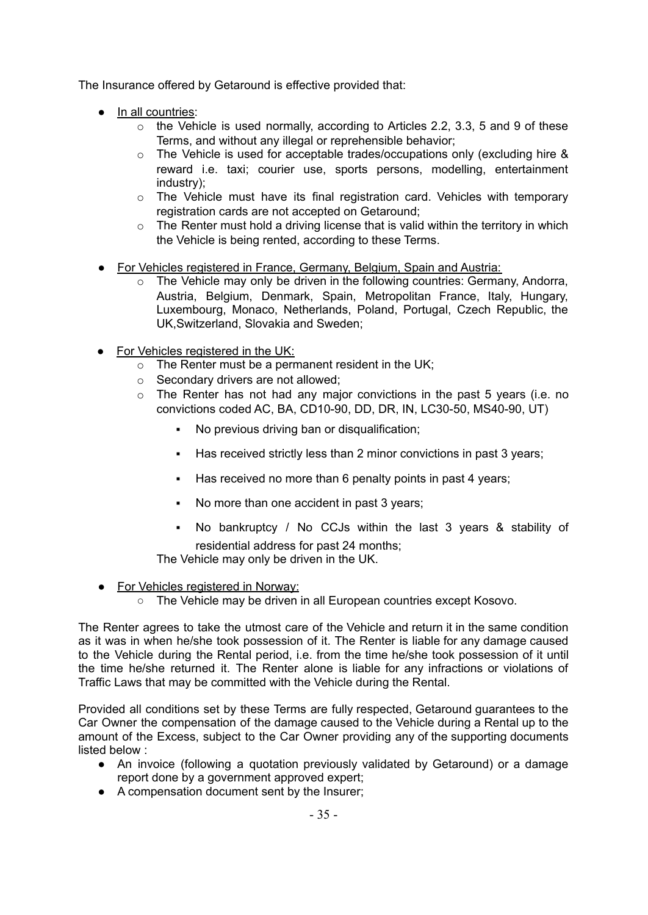The Insurance offered by Getaround is effective provided that:

- In all countries:
	- $\circ$  the Vehicle is used normally, according to Articles 2.2, 3.3, 5 and 9 of these Terms, and without any illegal or reprehensible behavior;
	- o The Vehicle is used for acceptable trades/occupations only (excluding hire & reward i.e. taxi; courier use, sports persons, modelling, entertainment industry);
	- o The Vehicle must have its final registration card. Vehicles with temporary registration cards are not accepted on Getaround;
	- $\circ$  The Renter must hold a driving license that is valid within the territory in which the Vehicle is being rented, according to these Terms.
- For Vehicles registered in France, Germany, Belgium, Spain and Austria:
	- $\circ$  The Vehicle may only be driven in the following countries: Germany, Andorra, Austria, Belgium, Denmark, Spain, Metropolitan France, Italy, Hungary, Luxembourg, Monaco, Netherlands, Poland, Portugal, Czech Republic, the UK,Switzerland, Slovakia and Sweden;
- For Vehicles registered in the UK:
	- $\circ$  The Renter must be a permanent resident in the UK;
	- o Secondary drivers are not allowed;
	- o The Renter has not had any major convictions in the past 5 years (i.e. no convictions coded AC, BA, CD10-90, DD, DR, IN, LC30-50, MS40-90, UT)
		- No previous driving ban or disqualification;
		- Has received strictly less than 2 minor convictions in past 3 years;
		- Has received no more than 6 penalty points in past 4 years;
		- No more than one accident in past 3 years;
		- No bankruptcy / No CCJs within the last 3 years & stability of residential address for past 24 months;

The Vehicle may only be driven in the UK.

- For Vehicles registered in Norway:
	- The Vehicle may be driven in all European countries except Kosovo.

The Renter agrees to take the utmost care of the Vehicle and return it in the same condition as it was in when he/she took possession of it. The Renter is liable for any damage caused to the Vehicle during the Rental period, i.e. from the time he/she took possession of it until the time he/she returned it. The Renter alone is liable for any infractions or violations of Traffic Laws that may be committed with the Vehicle during the Rental.

Provided all conditions set by these Terms are fully respected, Getaround guarantees to the Car Owner the compensation of the damage caused to the Vehicle during a Rental up to the amount of the Excess, subject to the Car Owner providing any of the supporting documents listed below :

- An invoice (following a quotation previously validated by Getaround) or a damage report done by a government approved expert;
- A compensation document sent by the Insurer;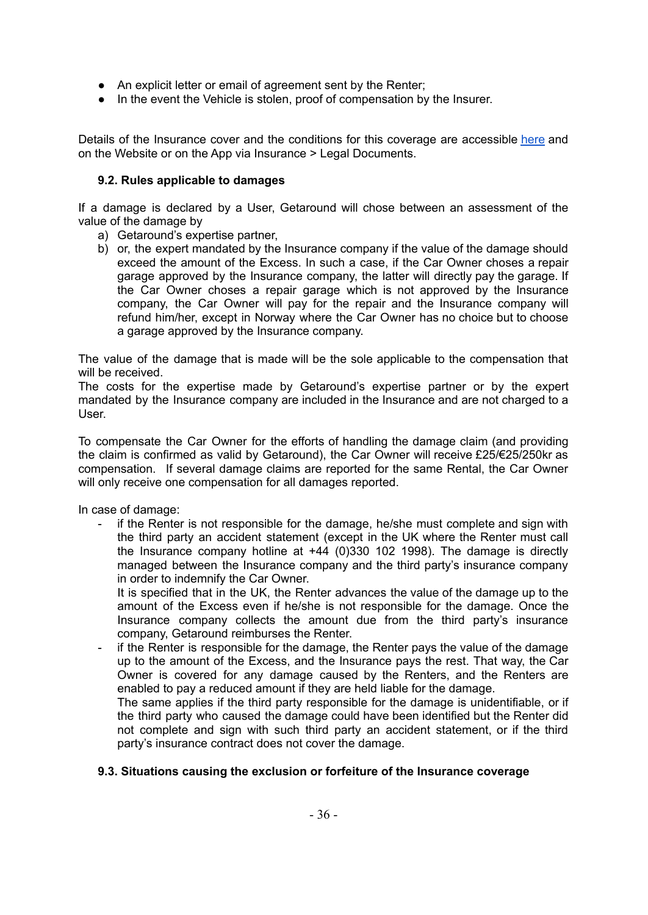- An explicit letter or email of agreement sent by the Renter;
- In the event the Vehicle is stolen, proof of compensation by the Insurer.

Details of the Insurance cover and the conditions for this coverage are accessible [here](http://uk.getaround.com/insurance) and on the Website or on the App via Insurance > Legal Documents.

#### <span id="page-31-0"></span>**9.2. Rules applicable to damages**

If a damage is declared by a User, Getaround will chose between an assessment of the value of the damage by

- a) Getaround's expertise partner,
- b) or, the expert mandated by the Insurance company if the value of the damage should exceed the amount of the Excess. In such a case, if the Car Owner choses a repair garage approved by the Insurance company, the latter will directly pay the garage. If the Car Owner choses a repair garage which is not approved by the Insurance company, the Car Owner will pay for the repair and the Insurance company will refund him/her, except in Norway where the Car Owner has no choice but to choose a garage approved by the Insurance company.

The value of the damage that is made will be the sole applicable to the compensation that will be received.

The costs for the expertise made by Getaround's expertise partner or by the expert mandated by the Insurance company are included in the Insurance and are not charged to a User.

To compensate the Car Owner for the efforts of handling the damage claim (and providing the claim is confirmed as valid by Getaround), the Car Owner will receive £25/€25/250kr as compensation. If several damage claims are reported for the same Rental, the Car Owner will only receive one compensation for all damages reported.

In case of damage:

if the Renter is not responsible for the damage, he/she must complete and sign with the third party an accident statement (except in the UK where the Renter must call the Insurance company hotline at +44 (0)330 102 1998). The damage is directly managed between the Insurance company and the third party's insurance company in order to indemnify the Car Owner.

It is specified that in the UK, the Renter advances the value of the damage up to the amount of the Excess even if he/she is not responsible for the damage. Once the Insurance company collects the amount due from the third party's insurance company, Getaround reimburses the Renter.

if the Renter is responsible for the damage, the Renter pays the value of the damage up to the amount of the Excess, and the Insurance pays the rest. That way, the Car Owner is covered for any damage caused by the Renters, and the Renters are enabled to pay a reduced amount if they are held liable for the damage.

The same applies if the third party responsible for the damage is unidentifiable, or if the third party who caused the damage could have been identified but the Renter did not complete and sign with such third party an accident statement, or if the third party's insurance contract does not cover the damage.

#### <span id="page-31-1"></span>**9.3. Situations causing the exclusion or forfeiture of the Insurance coverage**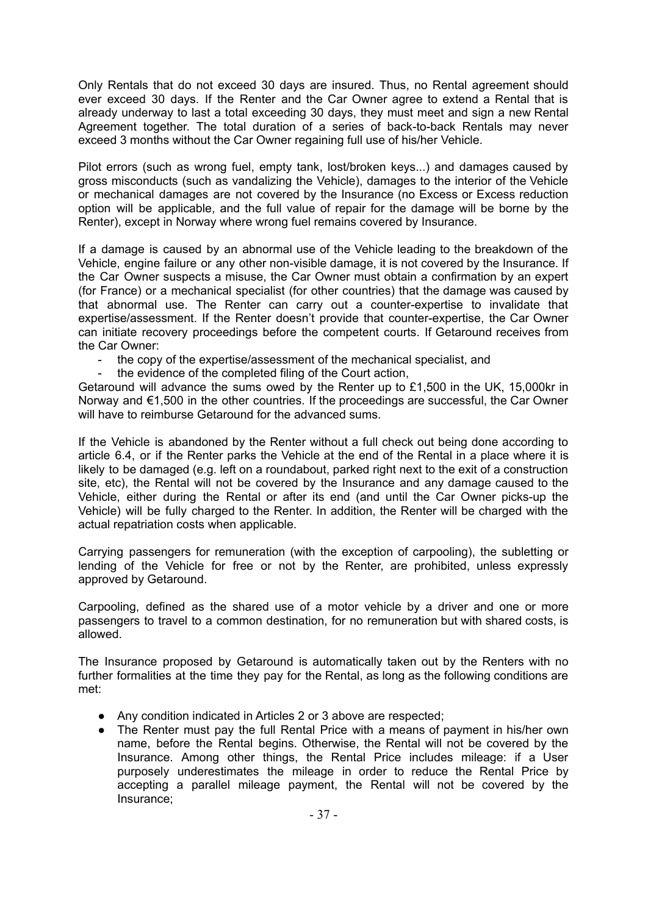Only Rentals that do not exceed 30 days are insured. Thus, no Rental agreement should ever exceed 30 days. If the Renter and the Car Owner agree to extend a Rental that is already underway to last a total exceeding 30 days, they must meet and sign a new Rental Agreement together. The total duration of a series of back-to-back Rentals may never exceed 3 months without the Car Owner regaining full use of his/her Vehicle.

Pilot errors (such as wrong fuel, empty tank, lost/broken keys...) and damages caused by gross misconducts (such as vandalizing the Vehicle), damages to the interior of the Vehicle or mechanical damages are not covered by the Insurance (no Excess or Excess reduction option will be applicable, and the full value of repair for the damage will be borne by the Renter), except in Norway where wrong fuel remains covered by Insurance.

If a damage is caused by an abnormal use of the Vehicle leading to the breakdown of the Vehicle, engine failure or any other non-visible damage, it is not covered by the Insurance. If the Car Owner suspects a misuse, the Car Owner must obtain a confirmation by an expert (for France) or a mechanical specialist (for other countries) that the damage was caused by that abnormal use. The Renter can carry out a counter-expertise to invalidate that expertise/assessment. If the Renter doesn't provide that counter-expertise, the Car Owner can initiate recovery proceedings before the competent courts. If Getaround receives from the Car Owner:

- the copy of the expertise/assessment of the mechanical specialist, and
- the evidence of the completed filing of the Court action,

Getaround will advance the sums owed by the Renter up to £1,500 in the UK, 15,000kr in Norway and €1,500 in the other countries. If the proceedings are successful, the Car Owner will have to reimburse Getaround for the advanced sums.

If the Vehicle is abandoned by the Renter without a full check out being done according to article 6.4, or if the Renter parks the Vehicle at the end of the Rental in a place where it is likely to be damaged (e.g. left on a roundabout, parked right next to the exit of a construction site, etc), the Rental will not be covered by the Insurance and any damage caused to the Vehicle, either during the Rental or after its end (and until the Car Owner picks-up the Vehicle) will be fully charged to the Renter. In addition, the Renter will be charged with the actual repatriation costs when applicable.

Carrying passengers for remuneration (with the exception of carpooling), the subletting or lending of the Vehicle for free or not by the Renter, are prohibited, unless expressly approved by Getaround.

Carpooling, defined as the shared use of a motor vehicle by a driver and one or more passengers to travel to a common destination, for no remuneration but with shared costs, is allowed.

The Insurance proposed by Getaround is automatically taken out by the Renters with no further formalities at the time they pay for the Rental, as long as the following conditions are met:

- Any condition indicated in Articles 2 or 3 above are respected;
- The Renter must pay the full Rental Price with a means of payment in his/her own name, before the Rental begins. Otherwise, the Rental will not be covered by the Insurance. Among other things, the Rental Price includes mileage: if a User purposely underestimates the mileage in order to reduce the Rental Price by accepting a parallel mileage payment, the Rental will not be covered by the Insurance;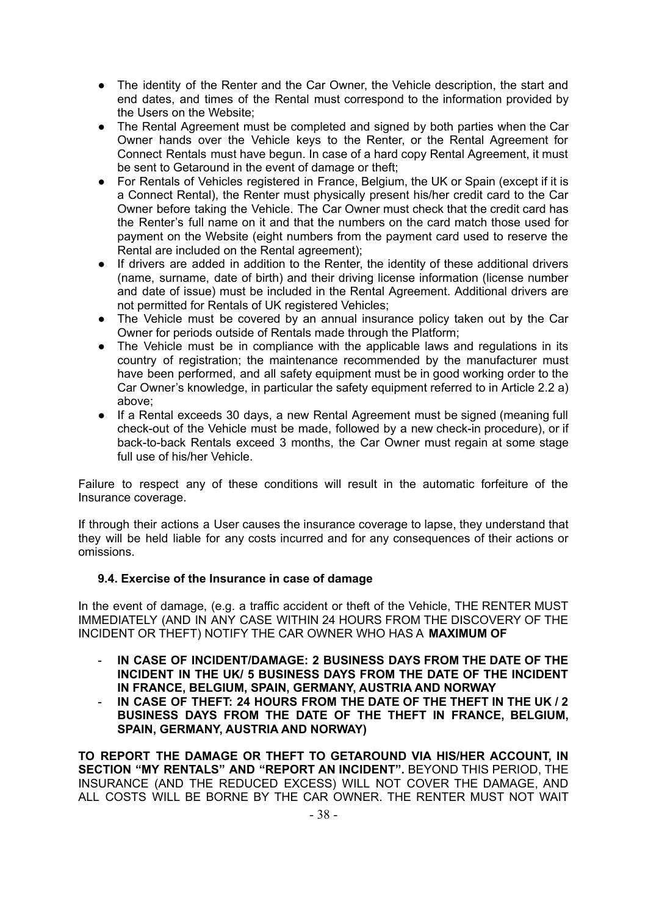- The identity of the Renter and the Car Owner, the Vehicle description, the start and end dates, and times of the Rental must correspond to the information provided by the Users on the Website;
- The Rental Agreement must be completed and signed by both parties when the Car Owner hands over the Vehicle keys to the Renter, or the Rental Agreement for Connect Rentals must have begun. In case of a hard copy Rental Agreement, it must be sent to Getaround in the event of damage or theft;
- For Rentals of Vehicles registered in France, Belgium, the UK or Spain (except if it is a Connect Rental), the Renter must physically present his/her credit card to the Car Owner before taking the Vehicle. The Car Owner must check that the credit card has the Renter's full name on it and that the numbers on the card match those used for payment on the Website (eight numbers from the payment card used to reserve the Rental are included on the Rental agreement);
- If drivers are added in addition to the Renter, the identity of these additional drivers (name, surname, date of birth) and their driving license information (license number and date of issue) must be included in the Rental Agreement. Additional drivers are not permitted for Rentals of UK registered Vehicles;
- The Vehicle must be covered by an annual insurance policy taken out by the Car Owner for periods outside of Rentals made through the Platform;
- The Vehicle must be in compliance with the applicable laws and regulations in its country of registration; the maintenance recommended by the manufacturer must have been performed, and all safety equipment must be in good working order to the Car Owner's knowledge, in particular the safety equipment referred to in Article 2.2 a) above;
- If a Rental exceeds 30 days, a new Rental Agreement must be signed (meaning full check-out of the Vehicle must be made, followed by a new check-in procedure), or if back-to-back Rentals exceed 3 months, the Car Owner must regain at some stage full use of his/her Vehicle.

Failure to respect any of these conditions will result in the automatic forfeiture of the Insurance coverage.

If through their actions a User causes the insurance coverage to lapse, they understand that they will be held liable for any costs incurred and for any consequences of their actions or omissions.

#### <span id="page-33-0"></span>**9.4. Exercise of the Insurance in case of damage**

In the event of damage, (e.g. a traffic accident or theft of the Vehicle, THE RENTER MUST IMMEDIATELY (AND IN ANY CASE WITHIN 24 HOURS FROM THE DISCOVERY OF THE INCIDENT OR THEFT) NOTIFY THE CAR OWNER WHO HAS A **MAXIMUM OF**

- **IN CASE OF INCIDENT/DAMAGE: 2 BUSINESS DAYS FROM THE DATE OF THE INCIDENT IN THE UK/ 5 BUSINESS DAYS FROM THE DATE OF THE INCIDENT IN FRANCE, BELGIUM, SPAIN, GERMANY, AUSTRIA AND NORWAY**
- **IN CASE OF THEFT: 24 HOURS FROM THE DATE OF THE THEFT IN THE UK / 2 BUSINESS DAYS FROM THE DATE OF THE THEFT IN FRANCE, BELGIUM, SPAIN, GERMANY, AUSTRIA AND NORWAY)**

**TO REPORT THE DAMAGE OR THEFT TO GETAROUND VIA HIS/HER ACCOUNT, IN SECTION "MY RENTALS" AND "REPORT AN INCIDENT".** BEYOND THIS PERIOD, THE INSURANCE (AND THE REDUCED EXCESS) WILL NOT COVER THE DAMAGE, AND ALL COSTS WILL BE BORNE BY THE CAR OWNER. THE RENTER MUST NOT WAIT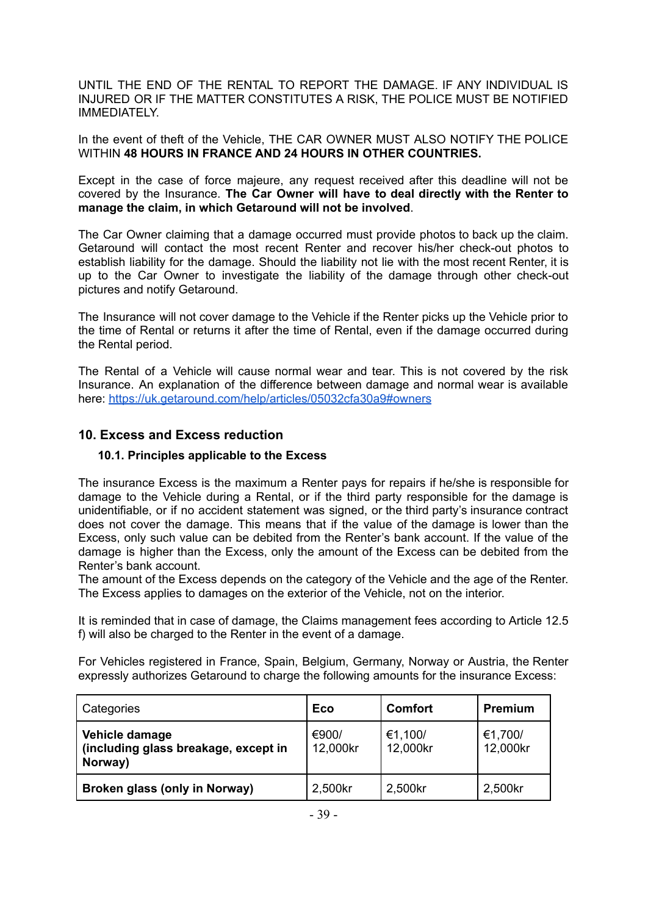UNTIL THE END OF THE RENTAL TO REPORT THE DAMAGE. IF ANY INDIVIDUAL IS INJURED OR IF THE MATTER CONSTITUTES A RISK, THE POLICE MUST BE NOTIFIED IMMEDIATELY.

In the event of theft of the Vehicle, THE CAR OWNER MUST ALSO NOTIFY THE POLICE WITHIN **48 HOURS IN FRANCE AND 24 HOURS IN OTHER COUNTRIES.**

Except in the case of force majeure, any request received after this deadline will not be covered by the Insurance. **The Car Owner will have to deal directly with the Renter to manage the claim, in which Getaround will not be involved**.

The Car Owner claiming that a damage occurred must provide photos to back up the claim. Getaround will contact the most recent Renter and recover his/her check-out photos to establish liability for the damage. Should the liability not lie with the most recent Renter, it is up to the Car Owner to investigate the liability of the damage through other check-out pictures and notify Getaround.

The Insurance will not cover damage to the Vehicle if the Renter picks up the Vehicle prior to the time of Rental or returns it after the time of Rental, even if the damage occurred during the Rental period.

The Rental of a Vehicle will cause normal wear and tear. This is not covered by the risk Insurance. An explanation of the difference between damage and normal wear is available here: <https://uk.getaround.com/help/articles/05032cfa30a9#owners>

## <span id="page-34-0"></span>**10. Excess and Excess reduction**

## <span id="page-34-1"></span>**10.1. Principles applicable to the Excess**

The insurance Excess is the maximum a Renter pays for repairs if he/she is responsible for damage to the Vehicle during a Rental, or if the third party responsible for the damage is unidentifiable, or if no accident statement was signed, or the third party's insurance contract does not cover the damage. This means that if the value of the damage is lower than the Excess, only such value can be debited from the Renter's bank account. If the value of the damage is higher than the Excess, only the amount of the Excess can be debited from the Renter's bank account.

The amount of the Excess depends on the category of the Vehicle and the age of the Renter. The Excess applies to damages on the exterior of the Vehicle, not on the interior.

It is reminded that in case of damage, the Claims management fees according to Article 12.5 f) will also be charged to the Renter in the event of a damage.

For Vehicles registered in France, Spain, Belgium, Germany, Norway or Austria, the Renter expressly authorizes Getaround to charge the following amounts for the insurance Excess:

| Categories                                                        | <b>Eco</b>        | <b>Comfort</b>      | <b>Premium</b>      |
|-------------------------------------------------------------------|-------------------|---------------------|---------------------|
| Vehicle damage<br>(including glass breakage, except in<br>Norway) | €900/<br>12,000kr | €1,100/<br>12,000kr | €1,700/<br>12,000kr |
| Broken glass (only in Norway)                                     | 2,500kr           | 2,500kr             | 2,500kr             |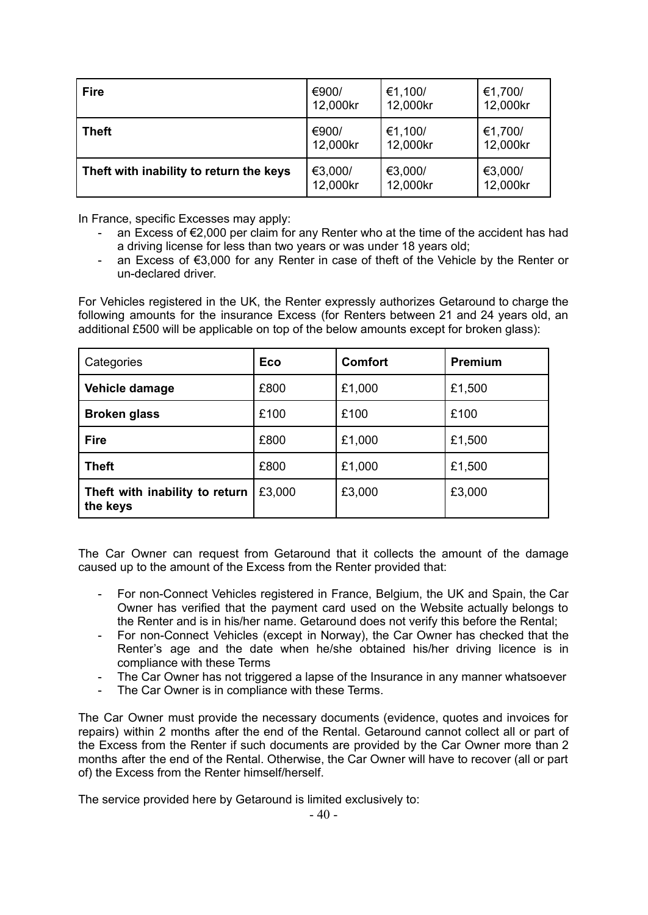| <b>Fire</b>                             | €900/    | €1,100/  | €1,700/  |
|-----------------------------------------|----------|----------|----------|
|                                         | 12,000kr | 12,000kr | 12,000kr |
| <b>Theft</b>                            | €900/    | €1,100/  | €1,700/  |
|                                         | 12,000kr | 12,000kr | 12,000kr |
| Theft with inability to return the keys | €3,000/  | €3,000/  | €3,000/  |
|                                         | 12,000kr | 12,000kr | 12,000kr |

In France, specific Excesses may apply:

- an Excess of €2,000 per claim for any Renter who at the time of the accident has had a driving license for less than two years or was under 18 years old;
- an Excess of €3,000 for any Renter in case of theft of the Vehicle by the Renter or un-declared driver.

For Vehicles registered in the UK, the Renter expressly authorizes Getaround to charge the following amounts for the insurance Excess (for Renters between 21 and 24 years old, an additional £500 will be applicable on top of the below amounts except for broken glass):

| Categories                                 | <b>Eco</b> | <b>Comfort</b> | <b>Premium</b> |
|--------------------------------------------|------------|----------------|----------------|
| Vehicle damage                             | £800       | £1,000         | £1,500         |
| <b>Broken glass</b>                        | £100       | £100           | £100           |
| <b>Fire</b>                                | £800       | £1,000         | £1,500         |
| <b>Theft</b>                               | £800       | £1,000         | £1,500         |
| Theft with inability to return<br>the keys | £3,000     | £3,000         | £3,000         |

The Car Owner can request from Getaround that it collects the amount of the damage caused up to the amount of the Excess from the Renter provided that:

- For non-Connect Vehicles registered in France, Belgium, the UK and Spain, the Car Owner has verified that the payment card used on the Website actually belongs to the Renter and is in his/her name. Getaround does not verify this before the Rental;
- For non-Connect Vehicles (except in Norway), the Car Owner has checked that the Renter's age and the date when he/she obtained his/her driving licence is in compliance with these Terms
- The Car Owner has not triggered a lapse of the Insurance in any manner whatsoever
- The Car Owner is in compliance with these Terms.

The Car Owner must provide the necessary documents (evidence, quotes and invoices for repairs) within 2 months after the end of the Rental. Getaround cannot collect all or part of the Excess from the Renter if such documents are provided by the Car Owner more than 2 months after the end of the Rental. Otherwise, the Car Owner will have to recover (all or part of) the Excess from the Renter himself/herself.

The service provided here by Getaround is limited exclusively to: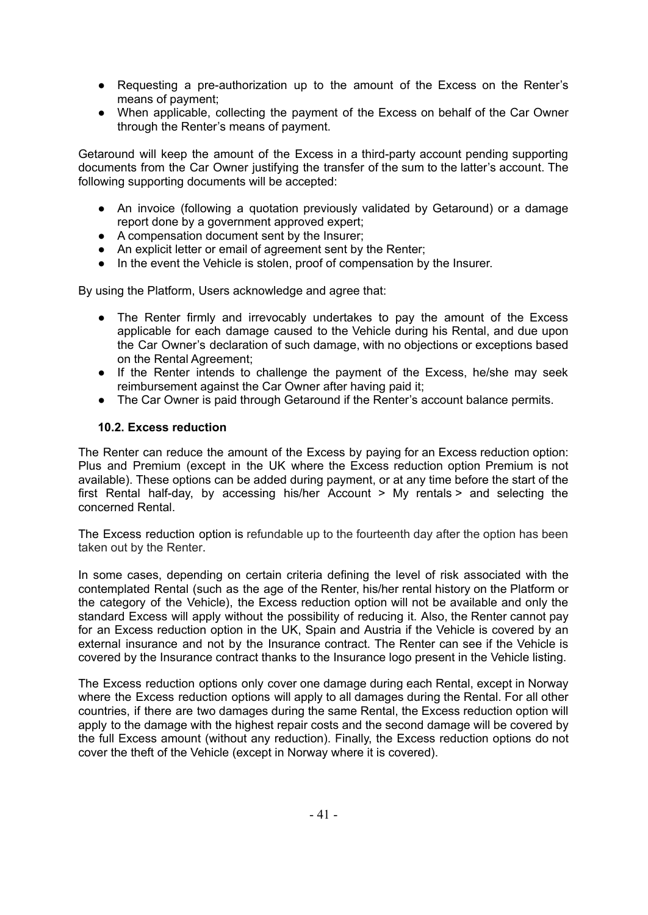- Requesting a pre-authorization up to the amount of the Excess on the Renter's means of payment;
- When applicable, collecting the payment of the Excess on behalf of the Car Owner through the Renter's means of payment.

Getaround will keep the amount of the Excess in a third-party account pending supporting documents from the Car Owner justifying the transfer of the sum to the latter's account. The following supporting documents will be accepted:

- An invoice (following a quotation previously validated by Getaround) or a damage report done by a government approved expert;
- A compensation document sent by the Insurer;
- An explicit letter or email of agreement sent by the Renter;
- In the event the Vehicle is stolen, proof of compensation by the Insurer.

By using the Platform, Users acknowledge and agree that:

- The Renter firmly and irrevocably undertakes to pay the amount of the Excess applicable for each damage caused to the Vehicle during his Rental, and due upon the Car Owner's declaration of such damage, with no objections or exceptions based on the Rental Agreement;
- If the Renter intends to challenge the payment of the Excess, he/she may seek reimbursement against the Car Owner after having paid it;
- The Car Owner is paid through Getaround if the Renter's account balance permits.

#### <span id="page-36-0"></span>**10.2. Excess reduction**

The Renter can reduce the amount of the Excess by paying for an Excess reduction option: Plus and Premium (except in the UK where the Excess reduction option Premium is not available). These options can be added during payment, or at any time before the start of the first Rental half-day, by accessing his/her Account > My rentals > and selecting the concerned Rental.

The Excess reduction option is refundable up to the fourteenth day after the option has been taken out by the Renter.

In some cases, depending on certain criteria defining the level of risk associated with the contemplated Rental (such as the age of the Renter, his/her rental history on the Platform or the category of the Vehicle), the Excess reduction option will not be available and only the standard Excess will apply without the possibility of reducing it. Also, the Renter cannot pay for an Excess reduction option in the UK, Spain and Austria if the Vehicle is covered by an external insurance and not by the Insurance contract. The Renter can see if the Vehicle is covered by the Insurance contract thanks to the Insurance logo present in the Vehicle listing.

The Excess reduction options only cover one damage during each Rental, except in Norway where the Excess reduction options will apply to all damages during the Rental. For all other countries, if there are two damages during the same Rental, the Excess reduction option will apply to the damage with the highest repair costs and the second damage will be covered by the full Excess amount (without any reduction). Finally, the Excess reduction options do not cover the theft of the Vehicle (except in Norway where it is covered).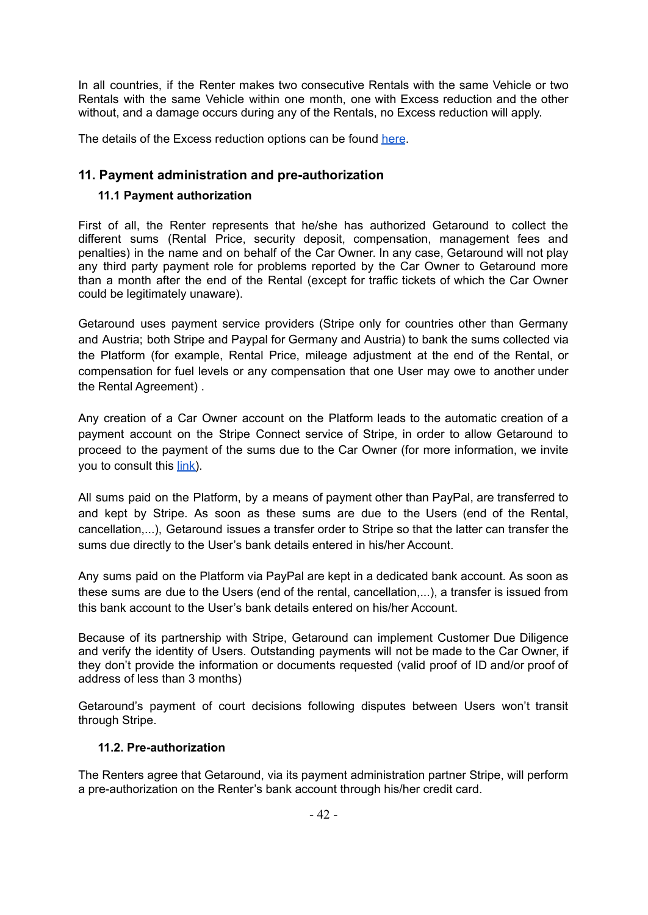In all countries, if the Renter makes two consecutive Rentals with the same Vehicle or two Rentals with the same Vehicle within one month, one with Excess reduction and the other without, and a damage occurs during any of the Rentals, no Excess reduction will apply.

<span id="page-37-0"></span>The details of the Excess reduction options can be found [here](https://en.getaround.com/help/articles/ded19c090f45#drivers).

# **11. Payment administration and pre-authorization**

## <span id="page-37-1"></span>**11.1 Payment authorization**

First of all, the Renter represents that he/she has authorized Getaround to collect the different sums (Rental Price, security deposit, compensation, management fees and penalties) in the name and on behalf of the Car Owner. In any case, Getaround will not play any third party payment role for problems reported by the Car Owner to Getaround more than a month after the end of the Rental (except for traffic tickets of which the Car Owner could be legitimately unaware).

Getaround uses payment service providers (Stripe only for countries other than Germany and Austria; both Stripe and Paypal for Germany and Austria) to bank the sums collected via the Platform (for example, Rental Price, mileage adjustment at the end of the Rental, or compensation for fuel levels or any compensation that one User may owe to another under the Rental Agreement) .

Any creation of a Car Owner account on the Platform leads to the automatic creation of a payment account on the Stripe Connect service of Stripe, in order to allow Getaround to proceed to the payment of the sums due to the Car Owner (for more information, we invite you to consult this [link\)](https://stripe.com/gb/connect-account/legal).

All sums paid on the Platform, by a means of payment other than PayPal, are transferred to and kept by Stripe. As soon as these sums are due to the Users (end of the Rental, cancellation,...), Getaround issues a transfer order to Stripe so that the latter can transfer the sums due directly to the User's bank details entered in his/her Account.

Any sums paid on the Platform via PayPal are kept in a dedicated bank account. As soon as these sums are due to the Users (end of the rental, cancellation,...), a transfer is issued from this bank account to the User's bank details entered on his/her Account.

Because of its partnership with Stripe, Getaround can implement Customer Due Diligence and verify the identity of Users. Outstanding payments will not be made to the Car Owner, if they don't provide the information or documents requested (valid proof of ID and/or proof of address of less than 3 months)

Getaround's payment of court decisions following disputes between Users won't transit through Stripe.

#### <span id="page-37-2"></span>**11.2. Pre-authorization**

The Renters agree that Getaround, via its payment administration partner Stripe, will perform a pre-authorization on the Renter's bank account through his/her credit card.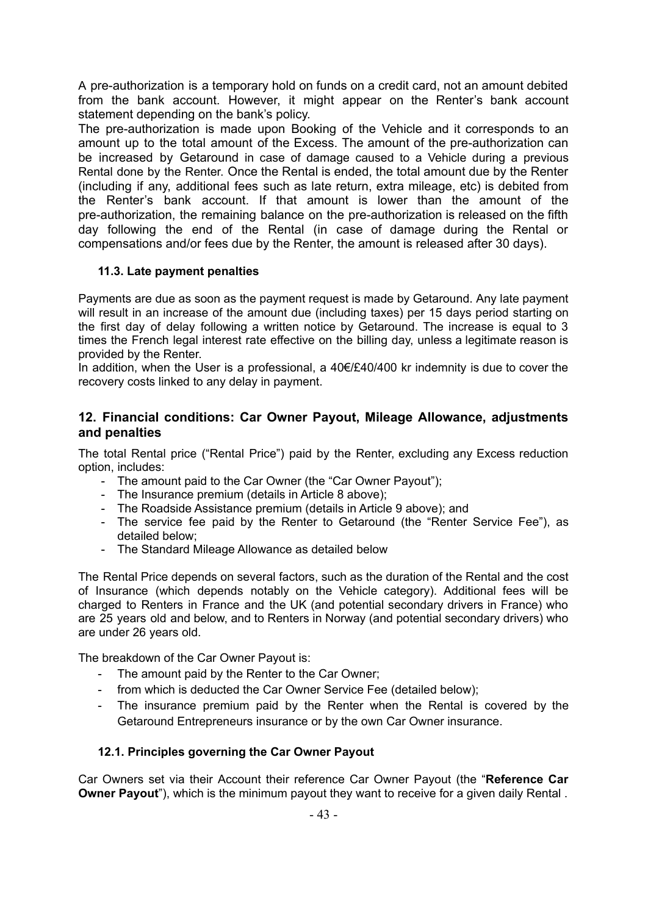A pre-authorization is a temporary hold on funds on a credit card, not an amount debited from the bank account. However, it might appear on the Renter's bank account statement depending on the bank's policy.

The pre-authorization is made upon Booking of the Vehicle and it corresponds to an amount up to the total amount of the Excess. The amount of the pre-authorization can be increased by Getaround in case of damage caused to a Vehicle during a previous Rental done by the Renter. Once the Rental is ended, the total amount due by the Renter (including if any, additional fees such as late return, extra mileage, etc) is debited from the Renter's bank account. If that amount is lower than the amount of the pre-authorization, the remaining balance on the pre-authorization is released on the fifth day following the end of the Rental (in case of damage during the Rental or compensations and/or fees due by the Renter, the amount is released after 30 days).

## <span id="page-38-0"></span>**11.3. Late payment penalties**

Payments are due as soon as the payment request is made by Getaround. Any late payment will result in an increase of the amount due (including taxes) per 15 days period starting on the first day of delay following a written notice by Getaround. The increase is equal to 3 times the French legal interest rate effective on the billing day, unless a legitimate reason is provided by the Renter.

In addition, when the User is a professional, a 40€/£40/400 kr indemnity is due to cover the recovery costs linked to any delay in payment.

## <span id="page-38-1"></span>**12. Financial conditions: Car Owner Payout, Mileage Allowance, adjustments and penalties**

The total Rental price ("Rental Price") paid by the Renter, excluding any Excess reduction option, includes:

- The amount paid to the Car Owner (the "Car Owner Payout");
- The Insurance premium (details in Article 8 above);
- The Roadside Assistance premium (details in Article 9 above); and
- The service fee paid by the Renter to Getaround (the "Renter Service Fee"), as detailed below;
- The Standard Mileage Allowance as detailed below

The Rental Price depends on several factors, such as the duration of the Rental and the cost of Insurance (which depends notably on the Vehicle category). Additional fees will be charged to Renters in France and the UK (and potential secondary drivers in France) who are 25 years old and below, and to Renters in Norway (and potential secondary drivers) who are under 26 years old.

The breakdown of the Car Owner Payout is:

- The amount paid by the Renter to the Car Owner;
- from which is deducted the Car Owner Service Fee (detailed below);
- The insurance premium paid by the Renter when the Rental is covered by the Getaround Entrepreneurs insurance or by the own Car Owner insurance.

## <span id="page-38-2"></span>**12.1. Principles governing the Car Owner Payout**

Car Owners set via their Account their reference Car Owner Payout (the "**Reference Car Owner Payout**"), which is the minimum payout they want to receive for a given daily Rental .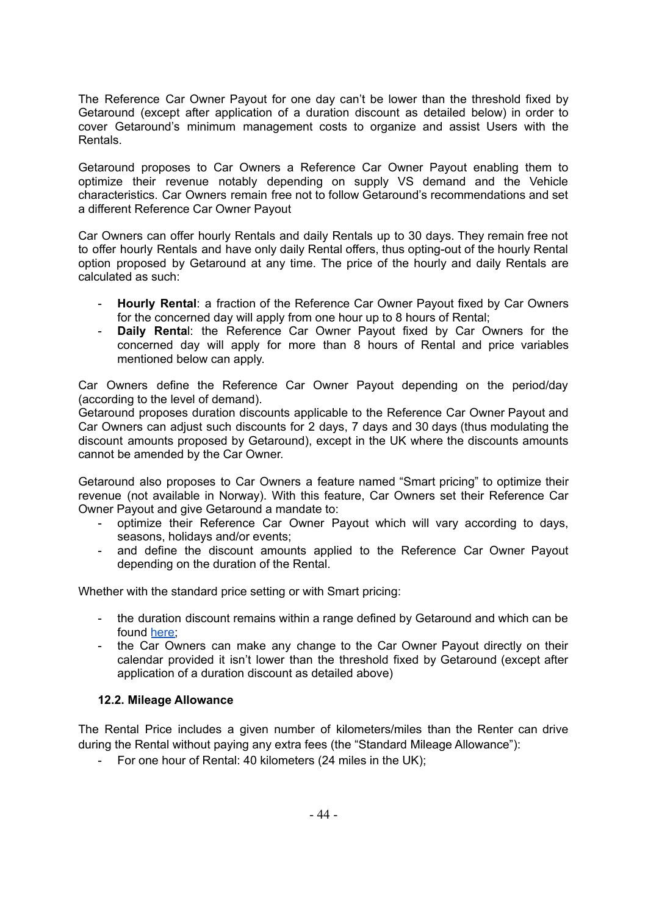The Reference Car Owner Payout for one day can't be lower than the threshold fixed by Getaround (except after application of a duration discount as detailed below) in order to cover Getaround's minimum management costs to organize and assist Users with the Rentals.

Getaround proposes to Car Owners a Reference Car Owner Payout enabling them to optimize their revenue notably depending on supply VS demand and the Vehicle characteristics. Car Owners remain free not to follow Getaround's recommendations and set a different Reference Car Owner Payout

Car Owners can offer hourly Rentals and daily Rentals up to 30 days. They remain free not to offer hourly Rentals and have only daily Rental offers, thus opting-out of the hourly Rental option proposed by Getaround at any time. The price of the hourly and daily Rentals are calculated as such:

- **Hourly Rental**: a fraction of the Reference Car Owner Payout fixed by Car Owners for the concerned day will apply from one hour up to 8 hours of Rental;
- **Daily Renta**l: the Reference Car Owner Payout fixed by Car Owners for the concerned day will apply for more than 8 hours of Rental and price variables mentioned below can apply.

Car Owners define the Reference Car Owner Payout depending on the period/day (according to the level of demand).

Getaround proposes duration discounts applicable to the Reference Car Owner Payout and Car Owners can adjust such discounts for 2 days, 7 days and 30 days (thus modulating the discount amounts proposed by Getaround), except in the UK where the discounts amounts cannot be amended by the Car Owner.

Getaround also proposes to Car Owners a feature named "Smart pricing" to optimize their revenue (not available in Norway). With this feature, Car Owners set their Reference Car Owner Payout and give Getaround a mandate to:

- optimize their Reference Car Owner Payout which will vary according to days, seasons, holidays and/or events;
- and define the discount amounts applied to the Reference Car Owner Payout depending on the duration of the Rental.

Whether with the standard price setting or with Smart pricing:

- the duration discount remains within a range defined by Getaround and which can be found [here;](http://uk.getaround.com/help/articles/87b75337c6f5)
- the Car Owners can make any change to the Car Owner Payout directly on their calendar provided it isn't lower than the threshold fixed by Getaround (except after application of a duration discount as detailed above)

#### <span id="page-39-0"></span>**12.2. Mileage Allowance**

The Rental Price includes a given number of kilometers/miles than the Renter can drive during the Rental without paying any extra fees (the "Standard Mileage Allowance"):

- For one hour of Rental: 40 kilometers (24 miles in the UK);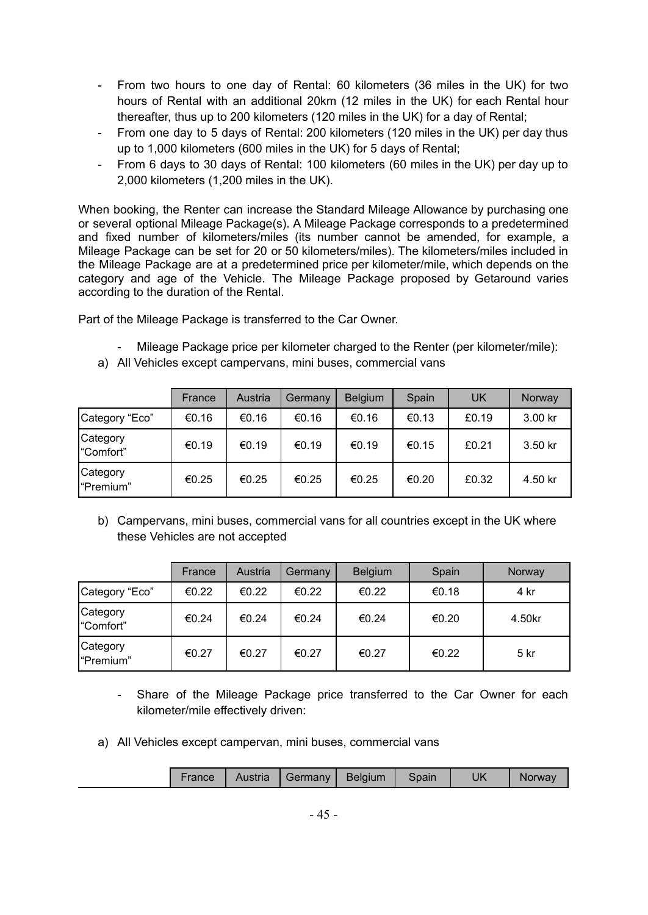- From two hours to one day of Rental: 60 kilometers (36 miles in the UK) for two hours of Rental with an additional 20km (12 miles in the UK) for each Rental hour thereafter, thus up to 200 kilometers (120 miles in the UK) for a day of Rental;
- From one day to 5 days of Rental: 200 kilometers (120 miles in the UK) per day thus up to 1,000 kilometers (600 miles in the UK) for 5 days of Rental;
- From 6 days to 30 days of Rental: 100 kilometers (60 miles in the UK) per day up to 2,000 kilometers (1,200 miles in the UK).

When booking, the Renter can increase the Standard Mileage Allowance by purchasing one or several optional Mileage Package(s). A Mileage Package corresponds to a predetermined and fixed number of kilometers/miles (its number cannot be amended, for example, a Mileage Package can be set for 20 or 50 kilometers/miles). The kilometers/miles included in the Mileage Package are at a predetermined price per kilometer/mile, which depends on the category and age of the Vehicle. The Mileage Package proposed by Getaround varies according to the duration of the Rental.

Part of the Mileage Package is transferred to the Car Owner.

Mileage Package price per kilometer charged to the Renter (per kilometer/mile):

|                              | France | Austria | Germany | <b>Belgium</b> | Spain | UK    | Norway  |
|------------------------------|--------|---------|---------|----------------|-------|-------|---------|
| Category "Eco"               | €0.16  | €0.16   | €0.16   | €0.16          | €0.13 | £0.19 | 3.00 kr |
| <b>Category</b><br>"Comfort" | €0.19  | €0.19   | €0.19   | €0.19          | €0.15 | £0.21 | 3.50 kr |
| <b>Category</b><br>"Premium" | €0.25  | €0.25   | €0.25   | €0.25          | €0.20 | £0.32 | 4.50 kr |

a) All Vehicles except campervans, mini buses, commercial vans

b) Campervans, mini buses, commercial vans for all countries except in the UK where these Vehicles are not accepted

|                       | France | Austria | <b>Germany</b> | Belgium | Spain | Norway |
|-----------------------|--------|---------|----------------|---------|-------|--------|
| Category "Eco"        | €0.22  | €0.22   | €0.22          | €0.22   | €0.18 | 4 kr   |
| Category<br>"Comfort" | €0.24  | €0.24   | €0.24          | €0.24   | €0.20 | 4.50kr |
| Category<br>"Premium" | €0.27  | €0.27   | €0.27          | €0.27   | €0.22 | 5 kr   |

- Share of the Mileage Package price transferred to the Car Owner for each kilometer/mile effectively driven:
- a) All Vehicles except campervan, mini buses, commercial vans

| UK<br>Belgium<br>Austria<br>Spain<br>Germany<br>France<br>Norway |
|------------------------------------------------------------------|
|------------------------------------------------------------------|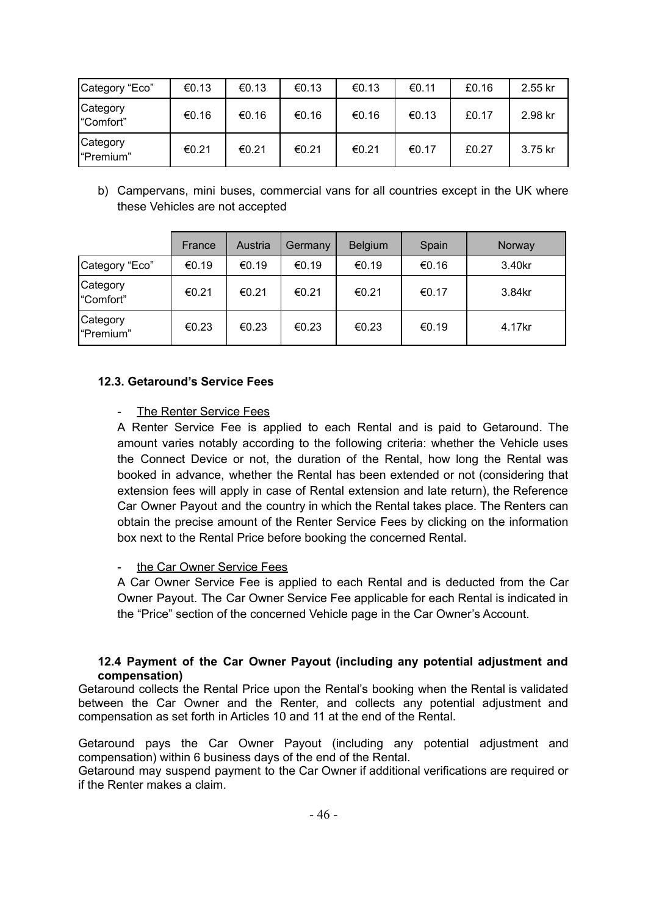| Category "Eco"         | €0.13 | €0.13 | €0.13 | €0.13 | €0.11 | £0.16 | 2.55 kr |
|------------------------|-------|-------|-------|-------|-------|-------|---------|
| Category<br>"Comfort"  | €0.16 | €0.16 | €0.16 | €0.16 | €0.13 | £0.17 | 2.98 kr |
| Category<br>l"Premium" | €0.21 | €0.21 | €0.21 | €0.21 | €0.17 | £0.27 | 3.75 kr |

b) Campervans, mini buses, commercial vans for all countries except in the UK where these Vehicles are not accepted

|                              | France | Austria | Germany | <b>Belgium</b> | Spain | Norway |
|------------------------------|--------|---------|---------|----------------|-------|--------|
| Category "Eco"               | €0.19  | €0.19   | €0.19   | €0.19          | €0.16 | 3.40kr |
| <b>Category</b><br>"Comfort" | €0.21  | €0.21   | €0.21   | €0.21          | €0.17 | 3.84kr |
| Category<br>"Premium"        | €0.23  | €0.23   | €0.23   | €0.23          | €0.19 | 4.17kr |

## <span id="page-41-0"></span>**12.3. Getaround's Service Fees**

## The Renter Service Fees

A Renter Service Fee is applied to each Rental and is paid to Getaround. The amount varies notably according to the following criteria: whether the Vehicle uses the Connect Device or not, the duration of the Rental, how long the Rental was booked in advance, whether the Rental has been extended or not (considering that extension fees will apply in case of Rental extension and late return), the Reference Car Owner Payout and the country in which the Rental takes place. The Renters can obtain the precise amount of the Renter Service Fees by clicking on the information box next to the Rental Price before booking the concerned Rental.

## the Car Owner Service Fees

A Car Owner Service Fee is applied to each Rental and is deducted from the Car Owner Payout. The Car Owner Service Fee applicable for each Rental is indicated in the "Price" section of the concerned Vehicle page in the Car Owner's Account.

#### **12.4 Payment of the Car Owner Payout (including any potential adjustment and compensation)**

<span id="page-41-1"></span>Getaround collects the Rental Price upon the Rental's booking when the Rental is validated between the Car Owner and the Renter, and collects any potential adjustment and compensation as set forth in Articles 10 and 11 at the end of the Rental.

Getaround pays the Car Owner Payout (including any potential adjustment and compensation) within 6 business days of the end of the Rental.

Getaround may suspend payment to the Car Owner if additional verifications are required or if the Renter makes a claim.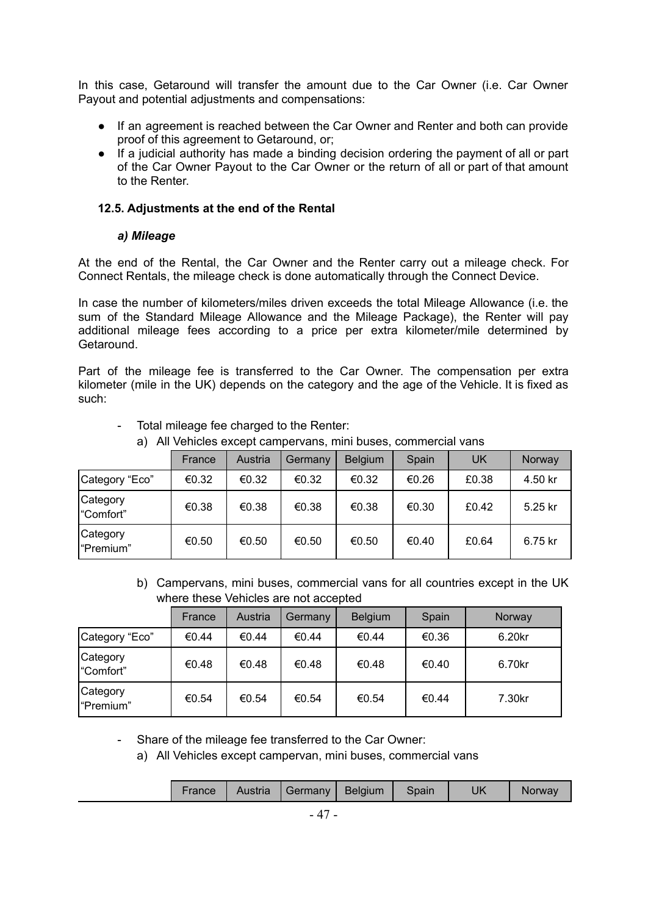In this case, Getaround will transfer the amount due to the Car Owner (i.e. Car Owner Payout and potential adjustments and compensations:

- If an agreement is reached between the Car Owner and Renter and both can provide proof of this agreement to Getaround, or;
- If a judicial authority has made a binding decision ordering the payment of all or part of the Car Owner Payout to the Car Owner or the return of all or part of that amount to the Renter.

#### <span id="page-42-0"></span>**12.5. Adjustments at the end of the Rental**

#### *a) Mileage*

<span id="page-42-1"></span>At the end of the Rental, the Car Owner and the Renter carry out a mileage check. For Connect Rentals, the mileage check is done automatically through the Connect Device.

In case the number of kilometers/miles driven exceeds the total Mileage Allowance (i.e. the sum of the Standard Mileage Allowance and the Mileage Package), the Renter will pay additional mileage fees according to a price per extra kilometer/mile determined by Getaround.

Part of the mileage fee is transferred to the Car Owner. The compensation per extra kilometer (mile in the UK) depends on the category and the age of the Vehicle. It is fixed as such:

|                       | France | Austria | Germany | <b>Belgium</b> | Spain | UK    | Norway  |
|-----------------------|--------|---------|---------|----------------|-------|-------|---------|
| Category "Eco"        | €0.32  | €0.32   | €0.32   | €0.32          | €0.26 | £0.38 | 4.50 kr |
| Category<br>"Comfort" | €0.38  | €0.38   | €0.38   | €0.38          | €0.30 | £0.42 | 5.25 kr |
| Category<br>"Premium" | €0.50  | €0.50   | €0.50   | €0.50          | €0.40 | £0.64 | 6.75 kr |

- Total mileage fee charged to the Renter:
	- a) All Vehicles except campervans, mini buses, commercial vans

b) Campervans, mini buses, commercial vans for all countries except in the UK where these Vehicles are not accepted

|                       | France | Austria | Germany | <b>Belgium</b> | Spain | Norway |
|-----------------------|--------|---------|---------|----------------|-------|--------|
| Category "Eco"        | €0.44  | €0.44   | €0.44   | €0.44          | €0.36 | 6.20kr |
| Category<br>"Comfort" | €0.48  | €0.48   | €0.48   | €0.48          | €0.40 | 6.70kr |
| Category<br>"Premium" | €0.54  | €0.54   | €0.54   | €0.54          | €0.44 | 7.30kr |

- Share of the mileage fee transferred to the Car Owner:

a) All Vehicles except campervan, mini buses, commercial vans

| France | Austria | Germany | Belgium | Spain | UK | Norway |
|--------|---------|---------|---------|-------|----|--------|
|        |         |         |         |       |    |        |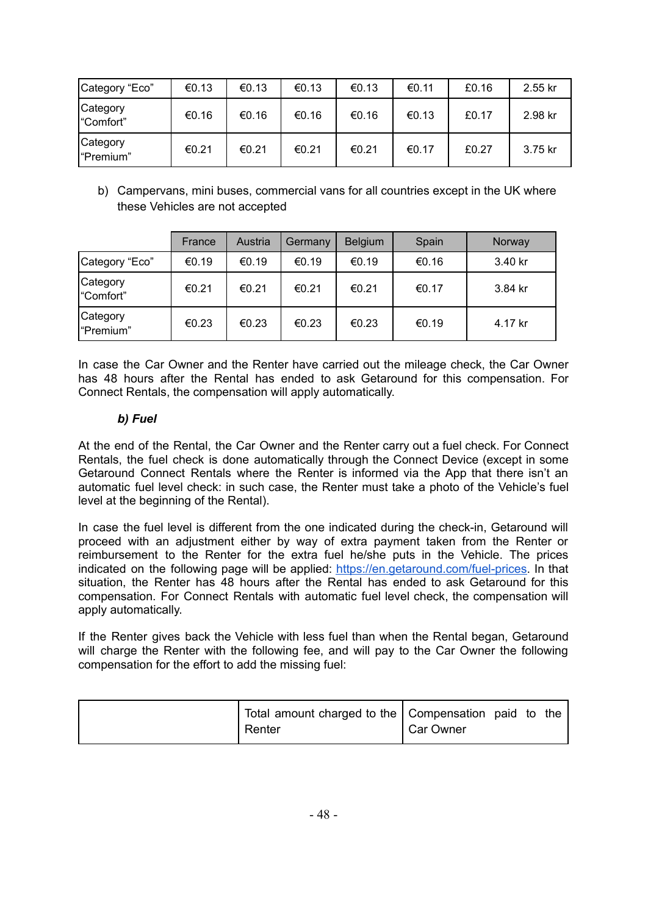| Category "Eco"        | €0.13 | €0.13 | €0.13 | €0.13 | €0.11 | £0.16 | 2.55 kr |
|-----------------------|-------|-------|-------|-------|-------|-------|---------|
| Category<br>"Comfort" | €0.16 | €0.16 | €0.16 | €0.16 | €0.13 | £0.17 | 2.98 kr |
| Category<br>"Premium" | €0.21 | €0.21 | €0.21 | €0.21 | €0.17 | £0.27 | 3.75 kr |

b) Campervans, mini buses, commercial vans for all countries except in the UK where these Vehicles are not accepted

|                              | France | Austria | Germany | <b>Belgium</b> | Spain | Norway  |
|------------------------------|--------|---------|---------|----------------|-------|---------|
| Category "Eco"               | €0.19  | €0.19   | €0.19   | €0.19          | €0.16 | 3.40 kr |
| <b>Category</b><br>"Comfort" | €0.21  | €0.21   | €0.21   | €0.21          | €0.17 | 3.84 kr |
| Category<br>"Premium"        | €0.23  | €0.23   | €0.23   | €0.23          | €0.19 | 4.17 kr |

In case the Car Owner and the Renter have carried out the mileage check, the Car Owner has 48 hours after the Rental has ended to ask Getaround for this compensation. For Connect Rentals, the compensation will apply automatically.

## *b) Fuel*

<span id="page-43-0"></span>At the end of the Rental, the Car Owner and the Renter carry out a fuel check. For Connect Rentals, the fuel check is done automatically through the Connect Device (except in some Getaround Connect Rentals where the Renter is informed via the App that there isn't an automatic fuel level check: in such case, the Renter must take a photo of the Vehicle's fuel level at the beginning of the Rental).

In case the fuel level is different from the one indicated during the check-in, Getaround will proceed with an adjustment either by way of extra payment taken from the Renter or reimbursement to the Renter for the extra fuel he/she puts in the Vehicle. The prices indicated on the following page will be applied: [https://en.getaround.com/fuel-prices.](https://en.getaround.com/fuel-prices) In that situation, the Renter has 48 hours after the Rental has ended to ask Getaround for this compensation. For Connect Rentals with automatic fuel level check, the compensation will apply automatically.

If the Renter gives back the Vehicle with less fuel than when the Rental began, Getaround will charge the Renter with the following fee, and will pay to the Car Owner the following compensation for the effort to add the missing fuel:

| Total amount charged to the   Compensation paid to the |                  |  |  |
|--------------------------------------------------------|------------------|--|--|
| Renter                                                 | <b>Car Owner</b> |  |  |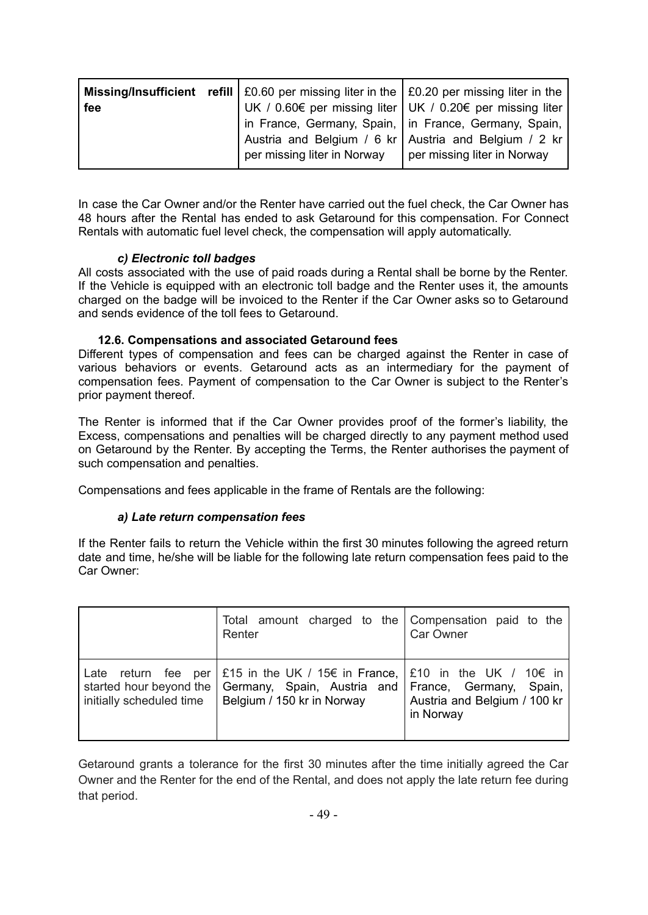| fee |                                                           | <b>Missing/Insufficient</b> refill $\vert$ £0.60 per missing liter in the $\vert$ £0.20 per missing liter in the $\vert$<br>UK / 0.60€ per missing liter UK / 0.20€ per missing liter |
|-----|-----------------------------------------------------------|---------------------------------------------------------------------------------------------------------------------------------------------------------------------------------------|
|     |                                                           | In France, Germany, Spain, In France, Germany, Spain, I                                                                                                                               |
|     |                                                           | Austria and Belgium / 6 kr   Austria and Belgium / 2 kr                                                                                                                               |
|     | per missing liter in Norway   per missing liter in Norway |                                                                                                                                                                                       |

In case the Car Owner and/or the Renter have carried out the fuel check, the Car Owner has 48 hours after the Rental has ended to ask Getaround for this compensation. For Connect Rentals with automatic fuel level check, the compensation will apply automatically.

## *c) Electronic toll badges*

<span id="page-44-0"></span>All costs associated with the use of paid roads during a Rental shall be borne by the Renter. If the Vehicle is equipped with an electronic toll badge and the Renter uses it, the amounts charged on the badge will be invoiced to the Renter if the Car Owner asks so to Getaround and sends evidence of the toll fees to Getaround.

## **12.6. Compensations and associated Getaround fees**

<span id="page-44-1"></span>Different types of compensation and fees can be charged against the Renter in case of various behaviors or events. Getaround acts as an intermediary for the payment of compensation fees. Payment of compensation to the Car Owner is subject to the Renter's prior payment thereof.

The Renter is informed that if the Car Owner provides proof of the former's liability, the Excess, compensations and penalties will be charged directly to any payment method used on Getaround by the Renter. By accepting the Terms, the Renter authorises the payment of such compensation and penalties.

<span id="page-44-2"></span>Compensations and fees applicable in the frame of Rentals are the following:

#### *a) Late return compensation fees*

If the Renter fails to return the Vehicle within the first 30 minutes following the agreed return date and time, he/she will be liable for the following late return compensation fees paid to the Car Owner:

|                                  | Total amount charged to the Compensation paid to the<br>Renter                                                                                                                                  | Car Owner                                 |
|----------------------------------|-------------------------------------------------------------------------------------------------------------------------------------------------------------------------------------------------|-------------------------------------------|
| Late<br>initially scheduled time | return fee per   £15 in the UK / 15€ in France, $\vert$ £10 in the UK / 10€ in<br>started hour beyond the   Germany, Spain, Austria and   France, Germany, Spain,<br>Belgium / 150 kr in Norway | Austria and Belgium / 100 kr<br>in Norway |

Getaround grants a tolerance for the first 30 minutes after the time initially agreed the Car Owner and the Renter for the end of the Rental, and does not apply the late return fee during that period.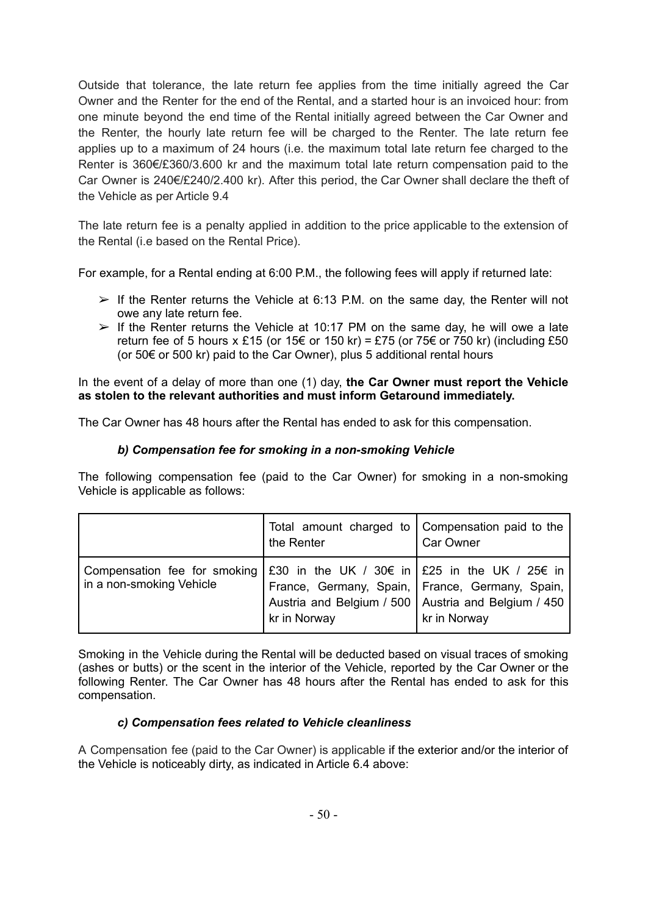Outside that tolerance, the late return fee applies from the time initially agreed the Car Owner and the Renter for the end of the Rental, and a started hour is an invoiced hour: from one minute beyond the end time of the Rental initially agreed between the Car Owner and the Renter, the hourly late return fee will be charged to the Renter. The late return fee applies up to a maximum of 24 hours (i.e. the maximum total late return fee charged to the Renter is 360€/£360/3.600 kr and the maximum total late return compensation paid to the Car Owner is 240€/£240/2.400 kr). After this period, the Car Owner shall declare the theft of the Vehicle as per Article 9.4

The late return fee is a penalty applied in addition to the price applicable to the extension of the Rental (i.e based on the Rental Price).

For example, for a Rental ending at 6:00 P.M., the following fees will apply if returned late:

- $\triangleright$  If the Renter returns the Vehicle at 6:13 P.M. on the same day, the Renter will not owe any late return fee.
- $\triangleright$  If the Renter returns the Vehicle at 10:17 PM on the same day, he will owe a late return fee of 5 hours x £15 (or 15 $\epsilon$  or 150 kr) = £75 (or 75 $\epsilon$  or 750 kr) (including £50 (or 50€ or 500 kr) paid to the Car Owner), plus 5 additional rental hours

In the event of a delay of more than one (1) day, **the Car Owner must report the Vehicle as stolen to the relevant authorities and must inform Getaround immediately.**

<span id="page-45-0"></span>The Car Owner has 48 hours after the Rental has ended to ask for this compensation.

### *b) Compensation fee for smoking in a non-smoking Vehicle*

The following compensation fee (paid to the Car Owner) for smoking in a non-smoking Vehicle is applicable as follows:

|                                                                                                                                                   | Total amount charged to   Compensation paid to the<br>the Renter                                                           | Car Owner    |
|---------------------------------------------------------------------------------------------------------------------------------------------------|----------------------------------------------------------------------------------------------------------------------------|--------------|
| Compensation fee for smoking $\frac{1}{230}$ in the UK / 30 $\epsilon$ in $\frac{1}{25}$ in the UK / 25 $\epsilon$ in<br>in a non-smoking Vehicle | France, Germany, Spain,   France, Germany, Spain,<br>Austria and Belgium / 500   Austria and Belgium / 450<br>kr in Norway | kr in Norway |

Smoking in the Vehicle during the Rental will be deducted based on visual traces of smoking (ashes or butts) or the scent in the interior of the Vehicle, reported by the Car Owner or the following Renter. The Car Owner has 48 hours after the Rental has ended to ask for this compensation.

#### *c) Compensation fees related to Vehicle cleanliness*

<span id="page-45-1"></span>A Compensation fee (paid to the Car Owner) is applicable if the exterior and/or the interior of the Vehicle is noticeably dirty, as indicated in Article 6.4 above: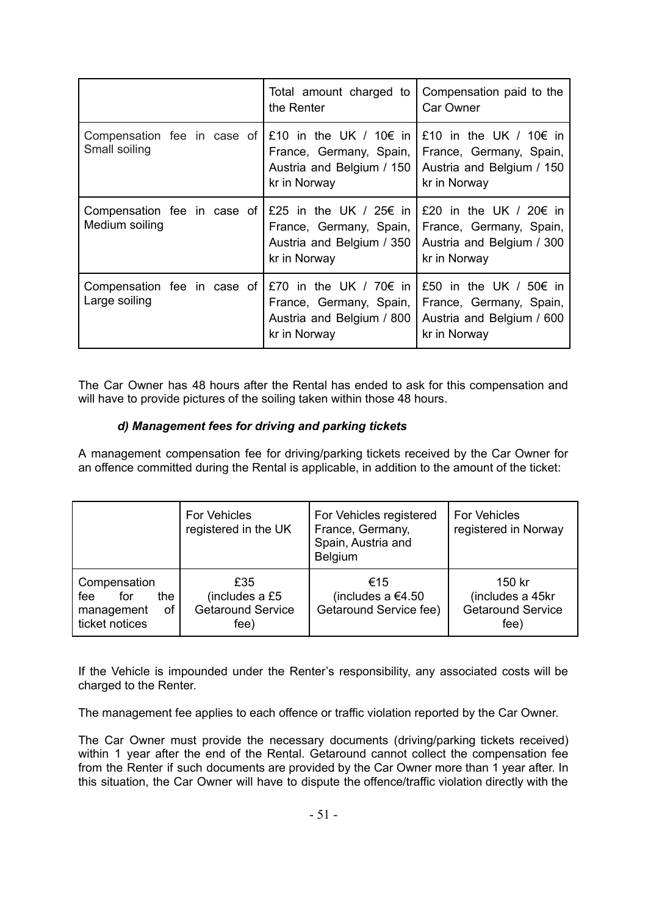|                                               | Total amount charged to<br>the Renter                                                                    | Compensation paid to the<br><b>Car Owner</b>                                                             |
|-----------------------------------------------|----------------------------------------------------------------------------------------------------------|----------------------------------------------------------------------------------------------------------|
| Compensation fee in case of<br>Small soiling  | £10 in the UK / 10 $\epsilon$ in<br>France, Germany, Spain,<br>Austria and Belgium / 150<br>kr in Norway | £10 in the UK / 10 $\epsilon$ in<br>France, Germany, Spain,<br>Austria and Belgium / 150<br>kr in Norway |
| Compensation fee in case of<br>Medium soiling | £25 in the UK / 25€ in<br>France, Germany, Spain,<br>Austria and Belgium / 350<br>kr in Norway           | £20 in the UK / 20 $\epsilon$ in<br>France, Germany, Spain,<br>Austria and Belgium / 300<br>kr in Norway |
| Compensation fee in case of<br>Large soiling  | £70 in the UK / 70 $\epsilon$ in<br>France, Germany, Spain,<br>Austria and Belgium / 800<br>kr in Norway | £50 in the UK / 50 $\epsilon$ in<br>France, Germany, Spain,<br>Austria and Belgium / 600<br>kr in Norway |

The Car Owner has 48 hours after the Rental has ended to ask for this compensation and will have to provide pictures of the soiling taken within those 48 hours.

## *d) Management fees for driving and parking tickets*

<span id="page-46-0"></span>A management compensation fee for driving/parking tickets received by the Car Owner for an offence committed during the Rental is applicable, in addition to the amount of the ticket:

|                                                                         | <b>For Vehicles</b><br>registered in the UK               | For Vehicles registered<br>France, Germany,<br>Spain, Austria and<br><b>Belgium</b> | <b>For Vehicles</b><br>registered in Norway                    |
|-------------------------------------------------------------------------|-----------------------------------------------------------|-------------------------------------------------------------------------------------|----------------------------------------------------------------|
| Compensation<br>the<br>for<br>fee<br>management<br>οf<br>ticket notices | £35<br>(includes a £5<br><b>Getaround Service</b><br>fee) | €15<br>(includes a €4.50<br>Getaround Service fee)                                  | 150 kr<br>(includes a 45kr<br><b>Getaround Service</b><br>fee) |

If the Vehicle is impounded under the Renter's responsibility, any associated costs will be charged to the Renter.

The management fee applies to each offence or traffic violation reported by the Car Owner.

The Car Owner must provide the necessary documents (driving/parking tickets received) within 1 year after the end of the Rental. Getaround cannot collect the compensation fee from the Renter if such documents are provided by the Car Owner more than 1 year after. In this situation, the Car Owner will have to dispute the offence/traffic violation directly with the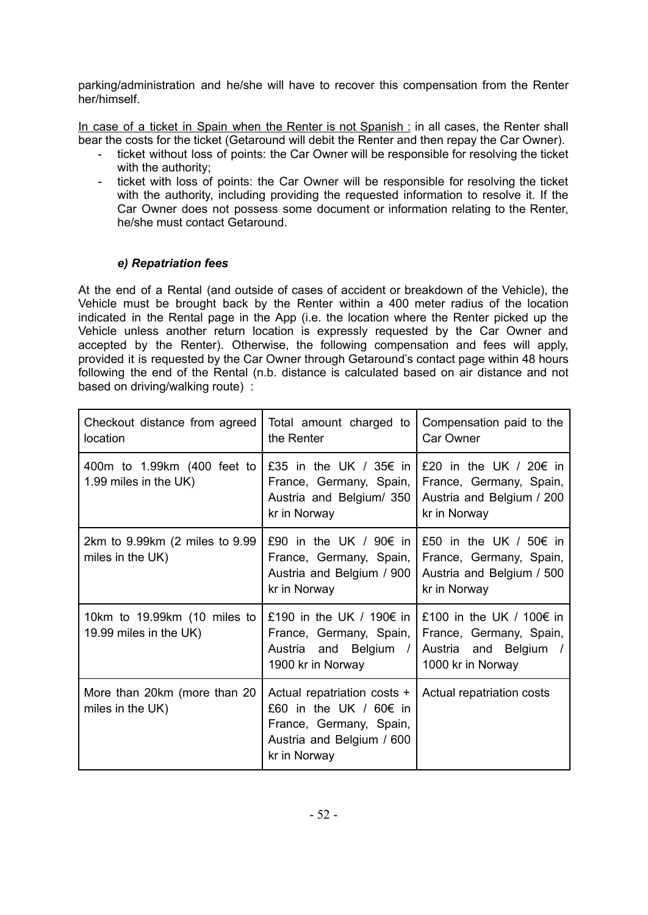parking/administration and he/she will have to recover this compensation from the Renter her/himself.

In case of a ticket in Spain when the Renter is not Spanish : in all cases, the Renter shall bear the costs for the ticket (Getaround will debit the Renter and then repay the Car Owner).

- ticket without loss of points: the Car Owner will be responsible for resolving the ticket with the authority;
- ticket with loss of points: the Car Owner will be responsible for resolving the ticket with the authority, including providing the requested information to resolve it. If the Car Owner does not possess some document or information relating to the Renter, he/she must contact Getaround.

## *e) Repatriation fees*

<span id="page-47-0"></span>At the end of a Rental (and outside of cases of accident or breakdown of the Vehicle), the Vehicle must be brought back by the Renter within a 400 meter radius of the location indicated in the Rental page in the App (i.e. the location where the Renter picked up the Vehicle unless another return location is expressly requested by the Car Owner and accepted by the Renter). Otherwise, the following compensation and fees will apply, provided it is requested by the Car Owner through Getaround's contact page within 48 hours following the end of the Rental (n.b. distance is calculated based on air distance and not based on driving/walking route) :

| Checkout distance from agreed<br>location              | Total amount charged to<br>the Renter                                                                                         | Compensation paid to the<br>Car Owner                                                                     |
|--------------------------------------------------------|-------------------------------------------------------------------------------------------------------------------------------|-----------------------------------------------------------------------------------------------------------|
| 400m to 1.99km (400 feet to<br>1.99 miles in the UK)   | £35 in the UK / 35€ in<br>France, Germany, Spain,<br>Austria and Belgium/ 350<br>kr in Norway                                 | £20 in the UK / 20€ in<br>France, Germany, Spain,<br>Austria and Belgium / 200<br>kr in Norway            |
| 2km to 9.99km (2 miles to 9.99<br>miles in the UK)     | £90 in the UK / 90€ in<br>France, Germany, Spain,<br>Austria and Belgium / 900<br>kr in Norway                                | £50 in the UK / 50€ in<br>France, Germany, Spain,<br>Austria and Belgium / 500<br>kr in Norway            |
| 10km to 19.99km (10 miles to<br>19.99 miles in the UK) | £190 in the UK / 190€ in<br>France, Germany, Spain,<br>Austria and Belgium /<br>1900 kr in Norway                             | £100 in the UK / 100 $\epsilon$ in<br>France, Germany, Spain,<br>Austria and Belgium<br>1000 kr in Norway |
| More than 20km (more than 20<br>miles in the UK)       | Actual repatriation costs +<br>£60 in the UK / 60€ in<br>France, Germany, Spain,<br>Austria and Belgium / 600<br>kr in Norway | Actual repatriation costs                                                                                 |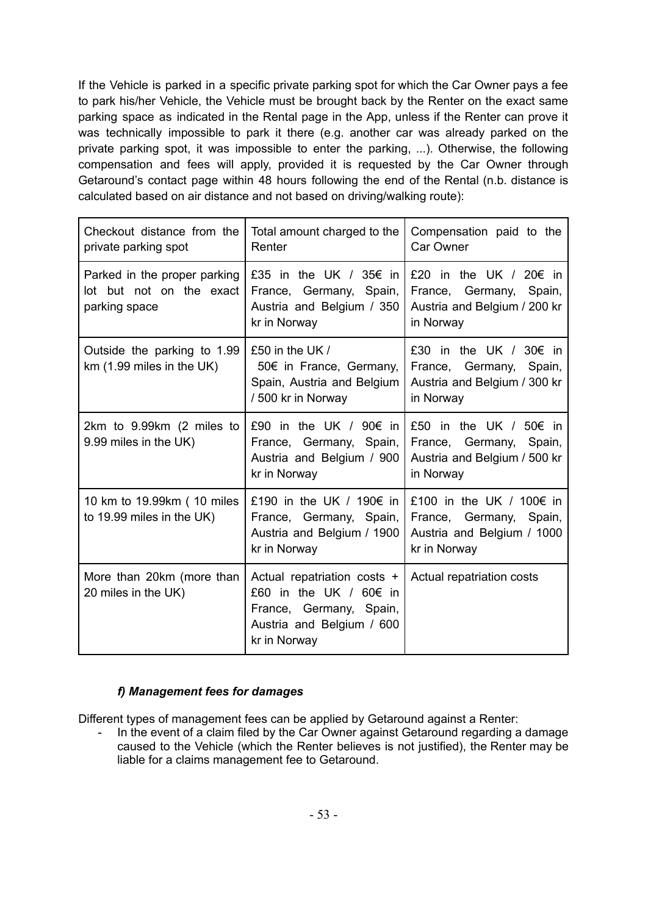If the Vehicle is parked in a specific private parking spot for which the Car Owner pays a fee to park his/her Vehicle, the Vehicle must be brought back by the Renter on the exact same parking space as indicated in the Rental page in the App, unless if the Renter can prove it was technically impossible to park it there (e.g. another car was already parked on the private parking spot, it was impossible to enter the parking, ...). Otherwise, the following compensation and fees will apply, provided it is requested by the Car Owner through Getaround's contact page within 48 hours following the end of the Rental (n.b. distance is calculated based on air distance and not based on driving/walking route):

| Checkout distance from the<br>private parking spot                        | Total amount charged to the<br>Renter                                                                                         | Compensation paid to the<br>Car Owner                                                             |
|---------------------------------------------------------------------------|-------------------------------------------------------------------------------------------------------------------------------|---------------------------------------------------------------------------------------------------|
| Parked in the proper parking<br>lot but not on the exact<br>parking space | £35 in the UK / 35€ in<br>France, Germany, Spain,<br>Austria and Belgium / 350<br>kr in Norway                                | £20 in the UK / 20€ in<br>France, Germany, Spain,<br>Austria and Belgium / 200 kr<br>in Norway    |
| Outside the parking to 1.99<br>$km$ (1.99 miles in the UK)                | £50 in the UK /<br>50€ in France, Germany,<br>Spain, Austria and Belgium<br>/500 kr in Norway                                 | £30 in the UK / 30€ in<br>France, Germany, Spain,<br>Austria and Belgium / 300 kr<br>in Norway    |
| 2km to 9.99km (2 miles to<br>9.99 miles in the UK)                        | £90 in the UK / 90€ in<br>France, Germany, Spain,<br>Austria and Belgium / 900<br>kr in Norway                                | £50 in the UK / 50€ in<br>France, Germany,<br>Spain,<br>Austria and Belgium / 500 kr<br>in Norway |
| 10 km to 19.99km (10 miles<br>to 19.99 miles in the UK)                   | £190 in the UK / 190€ in<br>France, Germany, Spain,<br>Austria and Belgium / 1900<br>kr in Norway                             | £100 in the UK / 100€ in<br>France, Germany, Spain,<br>Austria and Belgium / 1000<br>kr in Norway |
| More than 20km (more than<br>20 miles in the UK)                          | Actual repatriation costs +<br>£60 in the UK / 60€ in<br>France, Germany, Spain,<br>Austria and Belgium / 600<br>kr in Norway | Actual repatriation costs                                                                         |

## *f) Management fees for damages*

<span id="page-48-0"></span>Different types of management fees can be applied by Getaround against a Renter:

- In the event of a claim filed by the Car Owner against Getaround regarding a damage caused to the Vehicle (which the Renter believes is not justified), the Renter may be liable for a claims management fee to Getaround.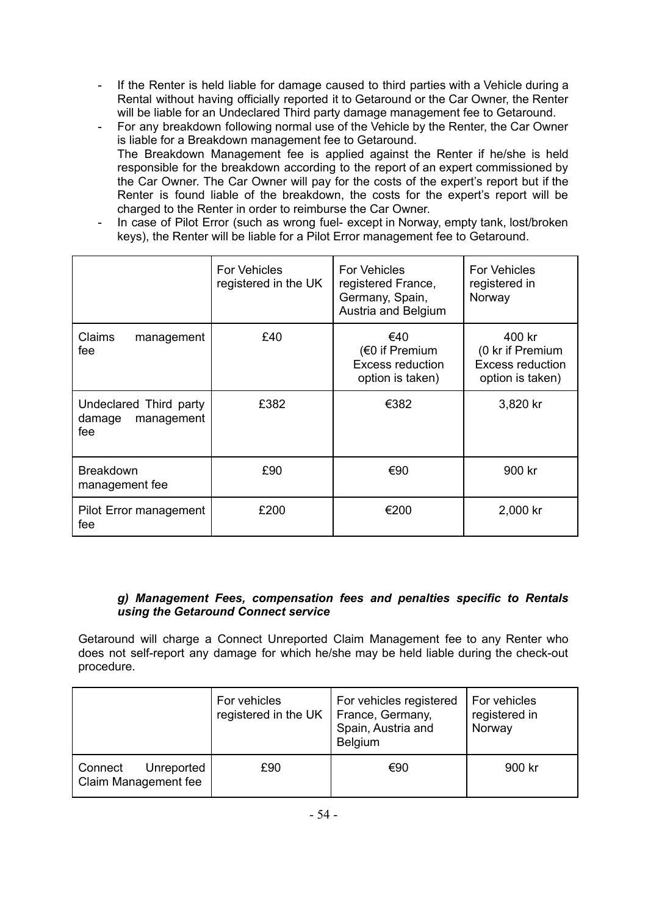- If the Renter is held liable for damage caused to third parties with a Vehicle during a Rental without having officially reported it to Getaround or the Car Owner, the Renter will be liable for an Undeclared Third party damage management fee to Getaround.
- For any breakdown following normal use of the Vehicle by the Renter, the Car Owner is liable for a Breakdown management fee to Getaround. The Breakdown Management fee is applied against the Renter if he/she is held responsible for the breakdown according to the report of an expert commissioned by the Car Owner. The Car Owner will pay for the costs of the expert's report but if the Renter is found liable of the breakdown, the costs for the expert's report will be charged to the Renter in order to reimburse the Car Owner.
- In case of Pilot Error (such as wrong fuel- except in Norway, empty tank, lost/broken keys), the Renter will be liable for a Pilot Error management fee to Getaround.

|                                                       | <b>For Vehicles</b><br>registered in the UK | <b>For Vehicles</b><br>registered France,<br>Germany, Spain,<br>Austria and Belgium | <b>For Vehicles</b><br>registered in<br>Norway                            |
|-------------------------------------------------------|---------------------------------------------|-------------------------------------------------------------------------------------|---------------------------------------------------------------------------|
| Claims<br>management<br>fee                           | £40                                         | €40<br>$(60$ if Premium<br><b>Excess reduction</b><br>option is taken)              | 400 kr<br>(0 kr if Premium<br><b>Excess reduction</b><br>option is taken) |
| Undeclared Third party<br>management<br>damage<br>fee | £382                                        | €382                                                                                | 3,820 kr                                                                  |
| <b>Breakdown</b><br>management fee                    | £90                                         | €90                                                                                 | 900 kr                                                                    |
| Pilot Error management<br>fee                         | £200                                        | €200                                                                                | 2,000 kr                                                                  |

## *g) Management Fees, compensation fees and penalties specific to Rentals using the Getaround Connect service*

<span id="page-49-0"></span>Getaround will charge a Connect Unreported Claim Management fee to any Renter who does not self-report any damage for which he/she may be held liable during the check-out procedure.

|                                               | For vehicles<br>registered in the UK | For vehicles registered<br>France, Germany,<br>Spain, Austria and<br>Belgium | For vehicles<br>registered in<br>Norway |
|-----------------------------------------------|--------------------------------------|------------------------------------------------------------------------------|-----------------------------------------|
| Unreported<br>Connect<br>Claim Management fee | £90                                  | €90                                                                          | 900 kr                                  |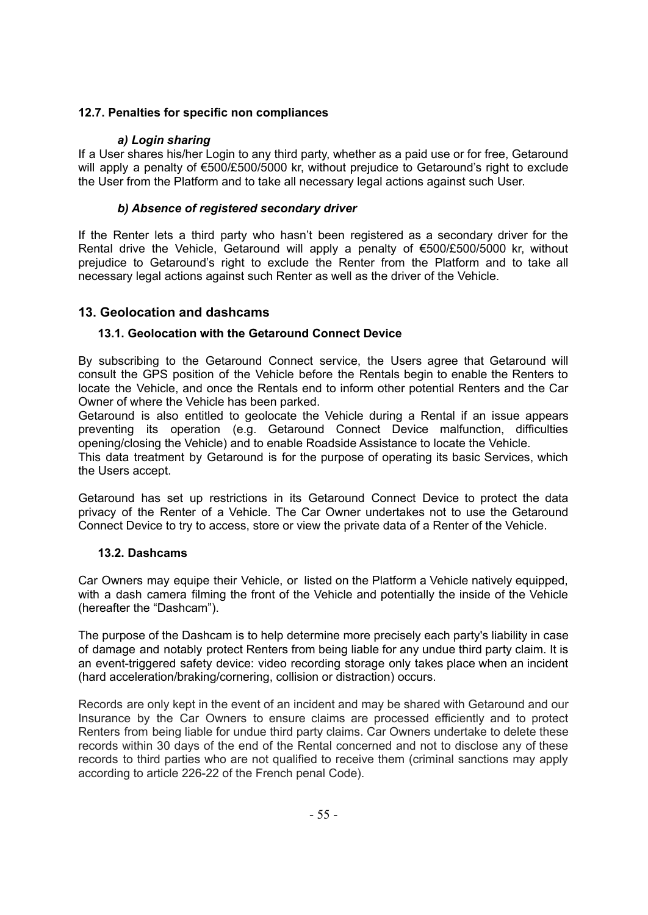## <span id="page-50-0"></span>**12.7. Penalties for specific non compliances**

## *a) Login sharing*

<span id="page-50-1"></span>If a User shares his/her Login to any third party, whether as a paid use or for free, Getaround will apply a penalty of €500/£500/5000 kr, without prejudice to Getaround's right to exclude the User from the Platform and to take all necessary legal actions against such User.

## *b) Absence of registered secondary driver*

<span id="page-50-2"></span>If the Renter lets a third party who hasn't been registered as a secondary driver for the Rental drive the Vehicle, Getaround will apply a penalty of €500/£500/5000 kr, without prejudice to Getaround's right to exclude the Renter from the Platform and to take all necessary legal actions against such Renter as well as the driver of the Vehicle.

## <span id="page-50-3"></span>**13. Geolocation and dashcams**

## <span id="page-50-4"></span>**13.1. Geolocation with the Getaround Connect Device**

By subscribing to the Getaround Connect service, the Users agree that Getaround will consult the GPS position of the Vehicle before the Rentals begin to enable the Renters to locate the Vehicle, and once the Rentals end to inform other potential Renters and the Car Owner of where the Vehicle has been parked.

Getaround is also entitled to geolocate the Vehicle during a Rental if an issue appears preventing its operation (e.g. Getaround Connect Device malfunction, difficulties opening/closing the Vehicle) and to enable Roadside Assistance to locate the Vehicle.

This data treatment by Getaround is for the purpose of operating its basic Services, which the Users accept.

Getaround has set up restrictions in its Getaround Connect Device to protect the data privacy of the Renter of a Vehicle. The Car Owner undertakes not to use the Getaround Connect Device to try to access, store or view the private data of a Renter of the Vehicle.

#### <span id="page-50-5"></span>**13.2. Dashcams**

Car Owners may equipe their Vehicle, or listed on the Platform a Vehicle natively equipped, with a dash camera filming the front of the Vehicle and potentially the inside of the Vehicle (hereafter the "Dashcam").

The purpose of the Dashcam is to help determine more precisely each party's liability in case of damage and notably protect Renters from being liable for any undue third party claim. It is an event-triggered safety device: video recording storage only takes place when an incident (hard acceleration/braking/cornering, collision or distraction) occurs.

Records are only kept in the event of an incident and may be shared with Getaround and our Insurance by the Car Owners to ensure claims are processed efficiently and to protect Renters from being liable for undue third party claims. Car Owners undertake to delete these records within 30 days of the end of the Rental concerned and not to disclose any of these records to third parties who are not qualified to receive them (criminal sanctions may apply according to article 226-22 of the French penal Code).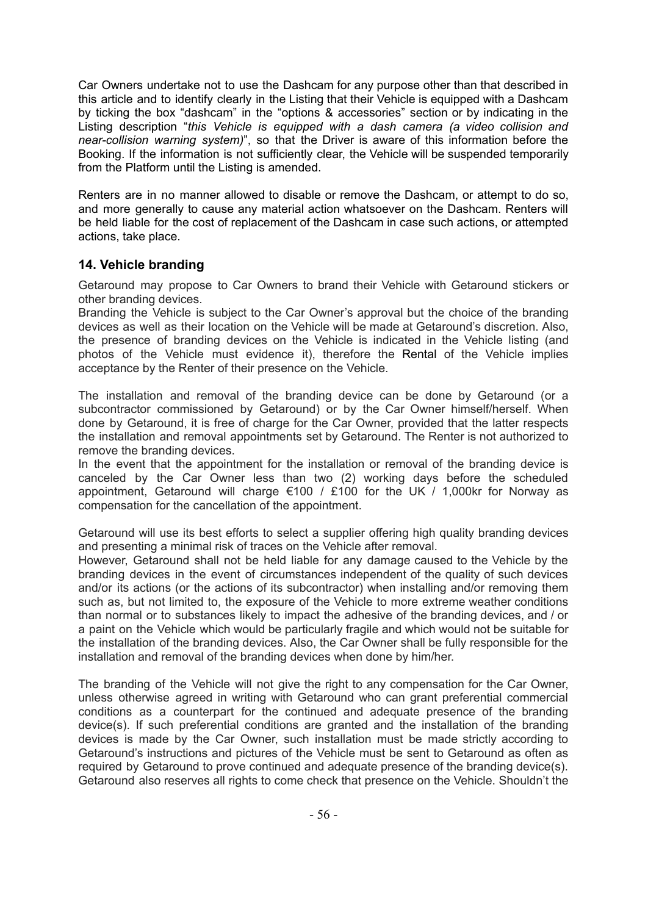Car Owners undertake not to use the Dashcam for any purpose other than that described in this article and to identify clearly in the Listing that their Vehicle is equipped with a Dashcam by ticking the box "dashcam" in the "options & accessories" section or by indicating in the Listing description "*this Vehicle is equipped with a dash camera (a video collision and near-collision warning system)*", so that the Driver is aware of this information before the Booking. If the information is not sufficiently clear, the Vehicle will be suspended temporarily from the Platform until the Listing is amended.

Renters are in no manner allowed to disable or remove the Dashcam, or attempt to do so, and more generally to cause any material action whatsoever on the Dashcam. Renters will be held liable for the cost of replacement of the Dashcam in case such actions, or attempted actions, take place.

# <span id="page-51-0"></span>**14. Vehicle branding**

Getaround may propose to Car Owners to brand their Vehicle with Getaround stickers or other branding devices.

Branding the Vehicle is subject to the Car Owner's approval but the choice of the branding devices as well as their location on the Vehicle will be made at Getaround's discretion. Also, the presence of branding devices on the Vehicle is indicated in the Vehicle listing (and photos of the Vehicle must evidence it), therefore the Rental of the Vehicle implies acceptance by the Renter of their presence on the Vehicle.

The installation and removal of the branding device can be done by Getaround (or a subcontractor commissioned by Getaround) or by the Car Owner himself/herself. When done by Getaround, it is free of charge for the Car Owner, provided that the latter respects the installation and removal appointments set by Getaround. The Renter is not authorized to remove the branding devices.

In the event that the appointment for the installation or removal of the branding device is canceled by the Car Owner less than two (2) working days before the scheduled appointment, Getaround will charge  $\epsilon$ 100 / £100 for the UK / 1,000kr for Norway as compensation for the cancellation of the appointment.

Getaround will use its best efforts to select a supplier offering high quality branding devices and presenting a minimal risk of traces on the Vehicle after removal.

However, Getaround shall not be held liable for any damage caused to the Vehicle by the branding devices in the event of circumstances independent of the quality of such devices and/or its actions (or the actions of its subcontractor) when installing and/or removing them such as, but not limited to, the exposure of the Vehicle to more extreme weather conditions than normal or to substances likely to impact the adhesive of the branding devices, and / or a paint on the Vehicle which would be particularly fragile and which would not be suitable for the installation of the branding devices. Also, the Car Owner shall be fully responsible for the installation and removal of the branding devices when done by him/her.

The branding of the Vehicle will not give the right to any compensation for the Car Owner, unless otherwise agreed in writing with Getaround who can grant preferential commercial conditions as a counterpart for the continued and adequate presence of the branding device(s). If such preferential conditions are granted and the installation of the branding devices is made by the Car Owner, such installation must be made strictly according to Getaround's instructions and pictures of the Vehicle must be sent to Getaround as often as required by Getaround to prove continued and adequate presence of the branding device(s). Getaround also reserves all rights to come check that presence on the Vehicle. Shouldn't the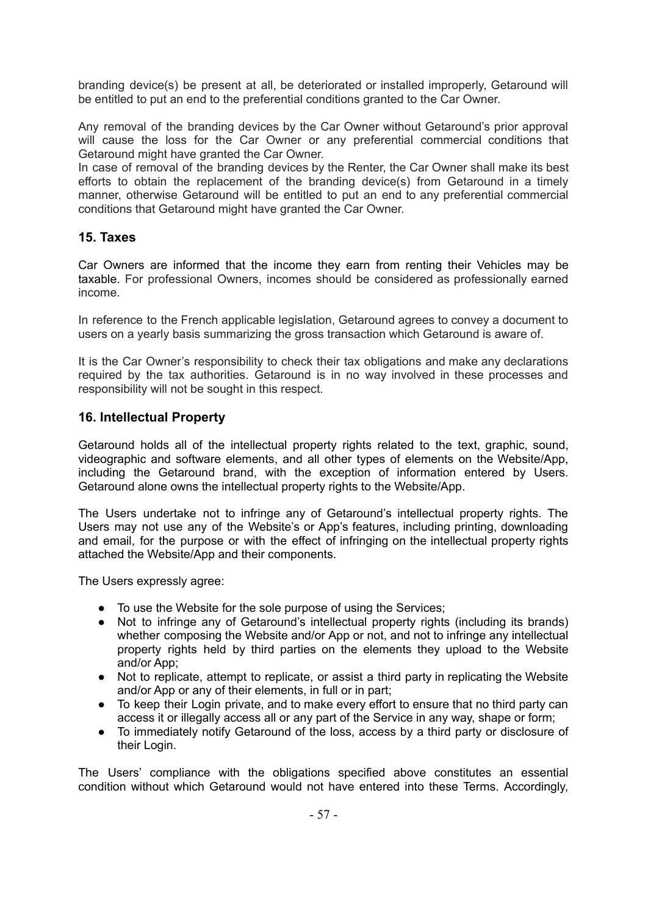branding device(s) be present at all, be deteriorated or installed improperly, Getaround will be entitled to put an end to the preferential conditions granted to the Car Owner.

Any removal of the branding devices by the Car Owner without Getaround's prior approval will cause the loss for the Car Owner or any preferential commercial conditions that Getaround might have granted the Car Owner.

In case of removal of the branding devices by the Renter, the Car Owner shall make its best efforts to obtain the replacement of the branding device(s) from Getaround in a timely manner, otherwise Getaround will be entitled to put an end to any preferential commercial conditions that Getaround might have granted the Car Owner.

## <span id="page-52-0"></span>**15. Taxes**

Car Owners are informed that the income they earn from renting their Vehicles may be taxable. For professional Owners, incomes should be considered as professionally earned income.

In reference to the French applicable legislation, Getaround agrees to convey a document to users on a yearly basis summarizing the gross transaction which Getaround is aware of.

It is the Car Owner's responsibility to check their tax obligations and make any declarations required by the tax authorities. Getaround is in no way involved in these processes and responsibility will not be sought in this respect.

## <span id="page-52-1"></span>**16. Intellectual Property**

Getaround holds all of the intellectual property rights related to the text, graphic, sound, videographic and software elements, and all other types of elements on the Website/App, including the Getaround brand, with the exception of information entered by Users. Getaround alone owns the intellectual property rights to the Website/App.

The Users undertake not to infringe any of Getaround's intellectual property rights. The Users may not use any of the Website's or App's features, including printing, downloading and email, for the purpose or with the effect of infringing on the intellectual property rights attached the Website/App and their components.

The Users expressly agree:

- To use the Website for the sole purpose of using the Services;
- Not to infringe any of Getaround's intellectual property rights (including its brands) whether composing the Website and/or App or not, and not to infringe any intellectual property rights held by third parties on the elements they upload to the Website and/or App;
- Not to replicate, attempt to replicate, or assist a third party in replicating the Website and/or App or any of their elements, in full or in part;
- To keep their Login private, and to make every effort to ensure that no third party can access it or illegally access all or any part of the Service in any way, shape or form;
- To immediately notify Getaround of the loss, access by a third party or disclosure of their Login.

The Users' compliance with the obligations specified above constitutes an essential condition without which Getaround would not have entered into these Terms. Accordingly,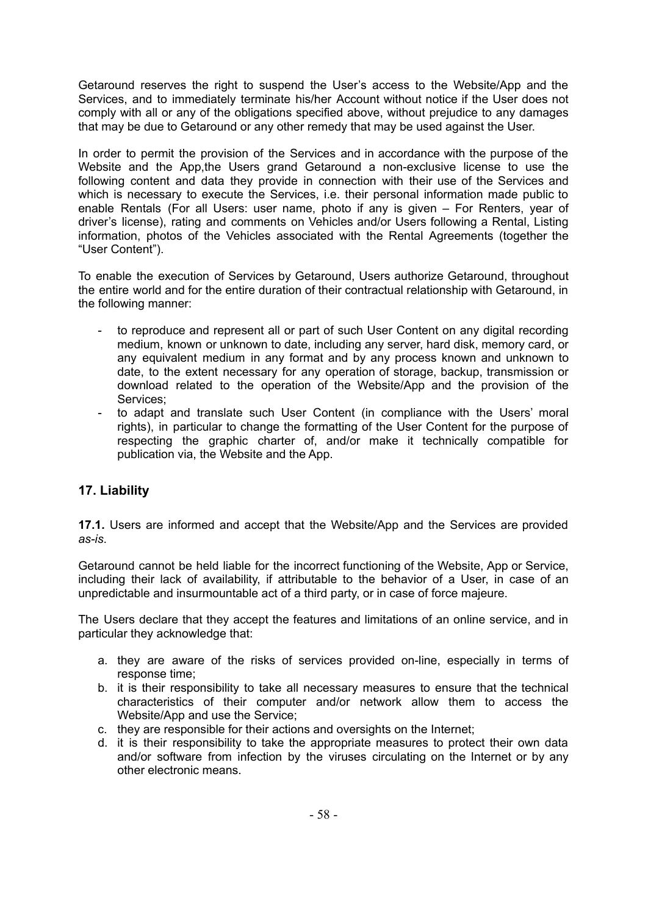Getaround reserves the right to suspend the User's access to the Website/App and the Services, and to immediately terminate his/her Account without notice if the User does not comply with all or any of the obligations specified above, without prejudice to any damages that may be due to Getaround or any other remedy that may be used against the User.

In order to permit the provision of the Services and in accordance with the purpose of the Website and the App,the Users grand Getaround a non-exclusive license to use the following content and data they provide in connection with their use of the Services and which is necessary to execute the Services, i.e. their personal information made public to enable Rentals (For all Users: user name, photo if any is given – For Renters, year of driver's license), rating and comments on Vehicles and/or Users following a Rental, Listing information, photos of the Vehicles associated with the Rental Agreements (together the "User Content").

To enable the execution of Services by Getaround, Users authorize Getaround, throughout the entire world and for the entire duration of their contractual relationship with Getaround, in the following manner:

- to reproduce and represent all or part of such User Content on any digital recording medium, known or unknown to date, including any server, hard disk, memory card, or any equivalent medium in any format and by any process known and unknown to date, to the extent necessary for any operation of storage, backup, transmission or download related to the operation of the Website/App and the provision of the Services;
- to adapt and translate such User Content (in compliance with the Users' moral rights), in particular to change the formatting of the User Content for the purpose of respecting the graphic charter of, and/or make it technically compatible for publication via, the Website and the App.

# <span id="page-53-0"></span>**17. Liability**

**17.1.** Users are informed and accept that the Website/App and the Services are provided *as-is*.

Getaround cannot be held liable for the incorrect functioning of the Website, App or Service, including their lack of availability, if attributable to the behavior of a User, in case of an unpredictable and insurmountable act of a third party, or in case of force majeure.

The Users declare that they accept the features and limitations of an online service, and in particular they acknowledge that:

- a. they are aware of the risks of services provided on-line, especially in terms of response time;
- b. it is their responsibility to take all necessary measures to ensure that the technical characteristics of their computer and/or network allow them to access the Website/App and use the Service;
- c. they are responsible for their actions and oversights on the Internet;
- d. it is their responsibility to take the appropriate measures to protect their own data and/or software from infection by the viruses circulating on the Internet or by any other electronic means.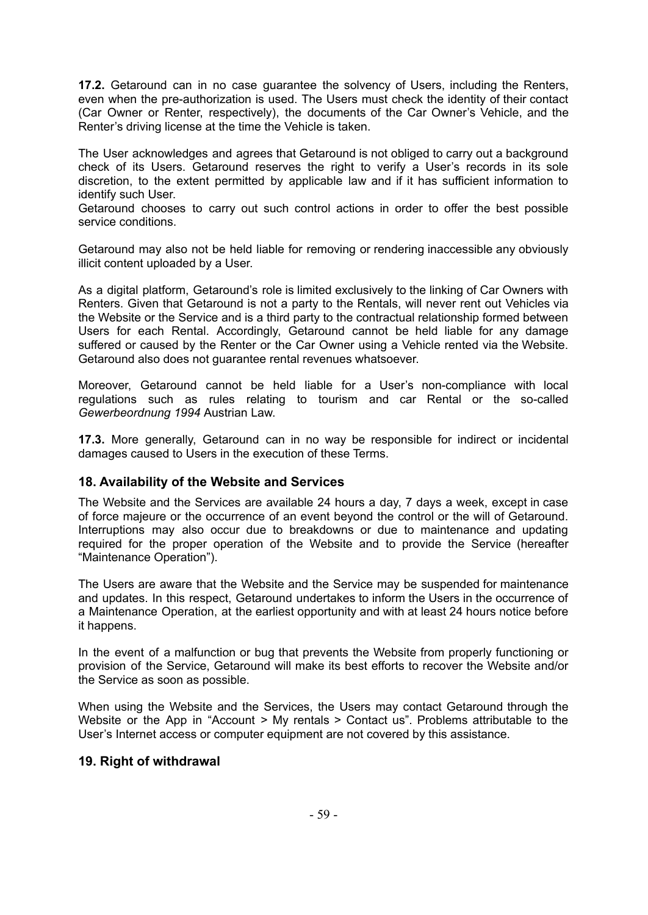**17.2.** Getaround can in no case guarantee the solvency of Users, including the Renters, even when the pre-authorization is used. The Users must check the identity of their contact (Car Owner or Renter, respectively), the documents of the Car Owner's Vehicle, and the Renter's driving license at the time the Vehicle is taken.

The User acknowledges and agrees that Getaround is not obliged to carry out a background check of its Users. Getaround reserves the right to verify a User's records in its sole discretion, to the extent permitted by applicable law and if it has sufficient information to identify such User.

Getaround chooses to carry out such control actions in order to offer the best possible service conditions.

Getaround may also not be held liable for removing or rendering inaccessible any obviously illicit content uploaded by a User.

As a digital platform, Getaround's role is limited exclusively to the linking of Car Owners with Renters. Given that Getaround is not a party to the Rentals, will never rent out Vehicles via the Website or the Service and is a third party to the contractual relationship formed between Users for each Rental. Accordingly, Getaround cannot be held liable for any damage suffered or caused by the Renter or the Car Owner using a Vehicle rented via the Website. Getaround also does not guarantee rental revenues whatsoever.

Moreover, Getaround cannot be held liable for a User's non-compliance with local regulations such as rules relating to tourism and car Rental or the so-called *Gewerbeordnung 1994* Austrian Law.

**17.3.** More generally, Getaround can in no way be responsible for indirect or incidental damages caused to Users in the execution of these Terms.

#### <span id="page-54-0"></span>**18. Availability of the Website and Services**

The Website and the Services are available 24 hours a day, 7 days a week, except in case of force majeure or the occurrence of an event beyond the control or the will of Getaround. Interruptions may also occur due to breakdowns or due to maintenance and updating required for the proper operation of the Website and to provide the Service (hereafter "Maintenance Operation").

The Users are aware that the Website and the Service may be suspended for maintenance and updates. In this respect, Getaround undertakes to inform the Users in the occurrence of a Maintenance Operation, at the earliest opportunity and with at least 24 hours notice before it happens.

In the event of a malfunction or bug that prevents the Website from properly functioning or provision of the Service, Getaround will make its best efforts to recover the Website and/or the Service as soon as possible.

When using the Website and the Services, the Users may contact Getaround through the Website or the App in "Account > My rentals > Contact us". Problems attributable to the User's Internet access or computer equipment are not covered by this assistance.

## <span id="page-54-1"></span>**19. Right of withdrawal**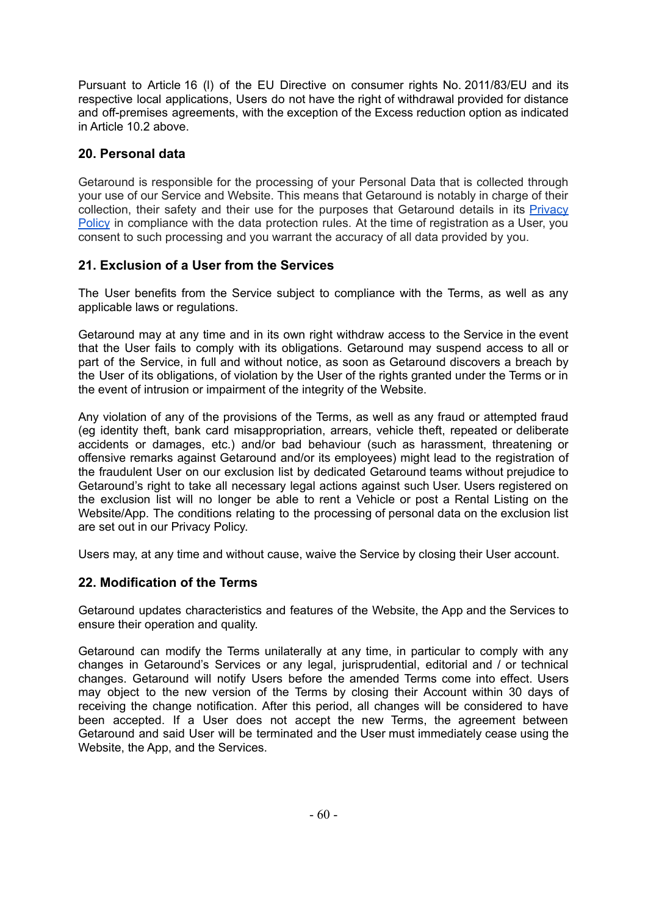Pursuant to Article 16 (l) of the EU Directive on consumer rights No. 2011/83/EU and its respective local applications, Users do not have the right of withdrawal provided for distance and off-premises agreements, with the exception of the Excess reduction option as indicated in Article 10.2 above.

## <span id="page-55-0"></span>**20. Personal data**

Getaround is responsible for the processing of your Personal Data that is collected through your use of our Service and Website. This means that Getaround is notably in charge of their collection, their safety and their use for the purposes that Getaround details in its [Privacy](https://uk.getaround.com/privacy) [Policy](https://uk.getaround.com/privacy) in compliance with the data protection rules. At the time of registration as a User, you consent to such processing and you warrant the accuracy of all data provided by you.

# <span id="page-55-1"></span>**21. Exclusion of a User from the Services**

The User benefits from the Service subject to compliance with the Terms, as well as any applicable laws or regulations.

Getaround may at any time and in its own right withdraw access to the Service in the event that the User fails to comply with its obligations. Getaround may suspend access to all or part of the Service, in full and without notice, as soon as Getaround discovers a breach by the User of its obligations, of violation by the User of the rights granted under the Terms or in the event of intrusion or impairment of the integrity of the Website.

Any violation of any of the provisions of the Terms, as well as any fraud or attempted fraud (eg identity theft, bank card misappropriation, arrears, vehicle theft, repeated or deliberate accidents or damages, etc.) and/or bad behaviour (such as harassment, threatening or offensive remarks against Getaround and/or its employees) might lead to the registration of the fraudulent User on our exclusion list by dedicated Getaround teams without prejudice to Getaround's right to take all necessary legal actions against such User. Users registered on the exclusion list will no longer be able to rent a Vehicle or post a Rental Listing on the Website/App. The conditions relating to the processing of personal data on the exclusion list are set out in our Privacy Policy.

Users may, at any time and without cause, waive the Service by closing their User account.

# <span id="page-55-2"></span>**22. Modification of the Terms**

Getaround updates characteristics and features of the Website, the App and the Services to ensure their operation and quality.

Getaround can modify the Terms unilaterally at any time, in particular to comply with any changes in Getaround's Services or any legal, jurisprudential, editorial and / or technical changes. Getaround will notify Users before the amended Terms come into effect. Users may object to the new version of the Terms by closing their Account within 30 days of receiving the change notification. After this period, all changes will be considered to have been accepted. If a User does not accept the new Terms, the agreement between Getaround and said User will be terminated and the User must immediately cease using the Website, the App, and the Services.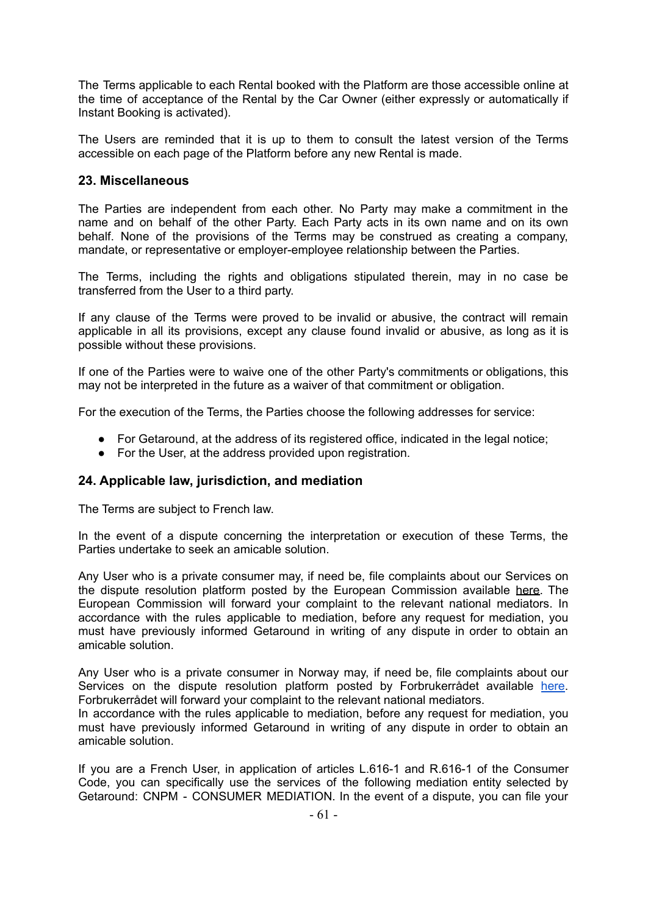The Terms applicable to each Rental booked with the Platform are those accessible online at the time of acceptance of the Rental by the Car Owner (either expressly or automatically if Instant Booking is activated).

The Users are reminded that it is up to them to consult the latest version of the Terms accessible on each page of the Platform before any new Rental is made.

## <span id="page-56-0"></span>**23. Miscellaneous**

The Parties are independent from each other. No Party may make a commitment in the name and on behalf of the other Party. Each Party acts in its own name and on its own behalf. None of the provisions of the Terms may be construed as creating a company, mandate, or representative or employer-employee relationship between the Parties.

The Terms, including the rights and obligations stipulated therein, may in no case be transferred from the User to a third party.

If any clause of the Terms were proved to be invalid or abusive, the contract will remain applicable in all its provisions, except any clause found invalid or abusive, as long as it is possible without these provisions.

If one of the Parties were to waive one of the other Party's commitments or obligations, this may not be interpreted in the future as a waiver of that commitment or obligation.

For the execution of the Terms, the Parties choose the following addresses for service:

- For Getaround, at the address of its registered office, indicated in the legal notice;
- For the User, at the address provided upon registration.

## <span id="page-56-1"></span>**24. Applicable law, jurisdiction, and mediation**

The Terms are subject to French law.

In the event of a dispute concerning the interpretation or execution of these Terms, the Parties undertake to seek an amicable solution.

Any User who is a private consumer may, if need be, file complaints about our Services on the dispute resolution platform posted by the European Commission available [here.](https://webgate.ec.europa.eu/odr/main/?event=main.home.show&lng=FR) The European Commission will forward your complaint to the relevant national mediators. In accordance with the rules applicable to mediation, before any request for mediation, you must have previously informed Getaround in writing of any dispute in order to obtain an amicable solution.

Any User who is a private consumer in Norway may, if need be, file complaints about our Services on the dispute resolution platform posted by Forbrukerrådet available [here.](https://www.forbrukerradet.no/) Forbrukerrådet will forward your complaint to the relevant national mediators.

In accordance with the rules applicable to mediation, before any request for mediation, you must have previously informed Getaround in writing of any dispute in order to obtain an amicable solution.

If you are a French User, in application of articles L.616-1 and R.616-1 of the Consumer Code, you can specifically use the services of the following mediation entity selected by Getaround: CNPM - CONSUMER MEDIATION. In the event of a dispute, you can file your